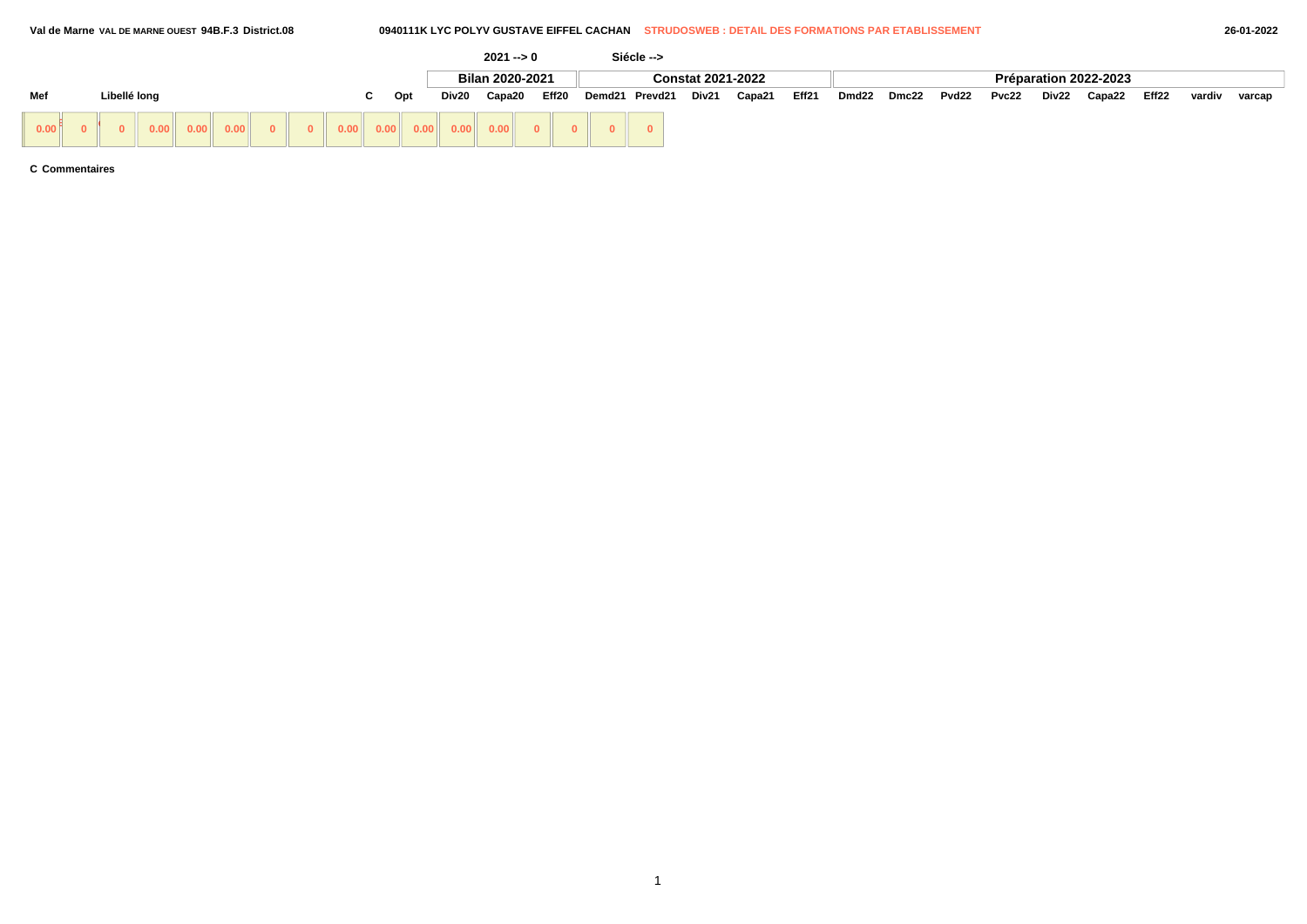# **Val de Marne VAL DE MARNE OUEST 94B.F.3 District.08 0940111K LYC POLYV GUSTAVE EIFFEL CACHAN STRUDOSWEB : DETAIL DES FORMATIONS PAR ETABLISSEMENT 26-01-2022**

|                   |              |  |                                                                                                      |  |      |           |       | $2021 - 0$                                                                                                             |              |       |        | Siécle --> |                          |        |       |       |       |       |       |       |                       |       |        |        |
|-------------------|--------------|--|------------------------------------------------------------------------------------------------------|--|------|-----------|-------|------------------------------------------------------------------------------------------------------------------------|--------------|-------|--------|------------|--------------------------|--------|-------|-------|-------|-------|-------|-------|-----------------------|-------|--------|--------|
|                   |              |  |                                                                                                      |  |      |           |       | Bilan 2020-2021                                                                                                        |              |       |        |            | <b>Constat 2021-2022</b> |        |       |       |       |       |       |       | Préparation 2022-2023 |       |        |        |
| Mef               | Libellé long |  |                                                                                                      |  |      | Opt<br>ι. | Div20 | Capa20                                                                                                                 |              | Eff20 | Demd21 | Prevd21    | Div21                    | Capa21 | Eff21 | Dmd22 | Dmc22 | Pvd22 | Pvc22 | Div22 | Capa22                | Eff22 | vardiv | varcap |
| 0.00 <sup>8</sup> |              |  | $\begin{array}{ c c c c c } \hline \textbf{0.00} & \textbf{0.00} & \textbf{0.00} \hline \end{array}$ |  | 0.00 |           |       | $\begin{array}{ c c c c c c } \hline \textbf{0.00} & \textbf{0.00} & \textbf{0.00} & \textbf{0.00} \hline \end{array}$ | $\mathbf{0}$ |       |        |            |                          |        |       |       |       |       |       |       |                       |       |        |        |

**C Commentaires**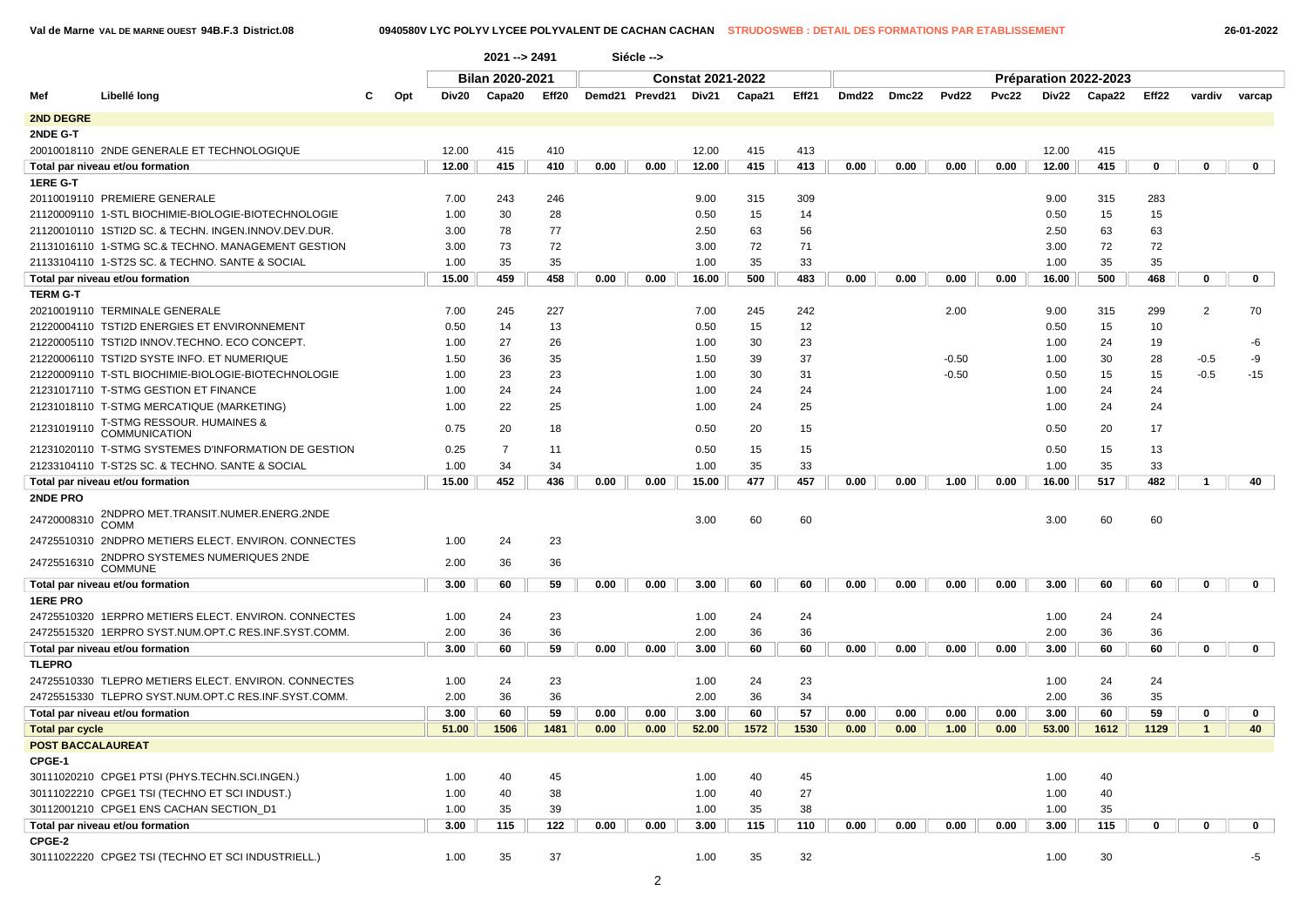**Val de Marne VAL DE MARNE OUEST 94B.F.3 District.08 0940580V LYC POLYV LYCEE POLYVALENT DE CACHAN CACHAN STRUDOSWEB : DETAIL DES FORMATIONS PAR ETABLISSEMENT 26-01-2022**

|                          |                                                      |     |       | 2021 -- > 2491  |       |      | Siécle -->     |                          |        |       |       |       |         |       |       |                       |             |              |              |
|--------------------------|------------------------------------------------------|-----|-------|-----------------|-------|------|----------------|--------------------------|--------|-------|-------|-------|---------|-------|-------|-----------------------|-------------|--------------|--------------|
|                          |                                                      |     |       | Bilan 2020-2021 |       |      |                | <b>Constat 2021-2022</b> |        |       |       |       |         |       |       | Préparation 2022-2023 |             |              |              |
| Mef                      | Libellé long                                         | Opt | Div20 | Capa20          | Eff20 |      | Demd21 Prevd21 | Div21                    | Capa21 | Eff21 | Dmd22 | Dmc22 | Pvd22   | Pvc22 | Div22 | Capa22                | Eff22       | vardiv       | varcap       |
| 2ND DEGRE                |                                                      |     |       |                 |       |      |                |                          |        |       |       |       |         |       |       |                       |             |              |              |
| 2NDE G-T                 |                                                      |     |       |                 |       |      |                |                          |        |       |       |       |         |       |       |                       |             |              |              |
|                          | 20010018110 2NDE GENERALE ET TECHNOLOGIQUE           |     | 12.00 | 415             | 410   |      |                | 12.00                    | 415    | 413   |       |       |         |       | 12.00 | 415                   |             |              |              |
|                          | Total par niveau et/ou formation                     |     | 12.00 | 415             | 410   | 0.00 | 0.00           | 12.00                    | 415    | 413   | 0.00  | 0.00  | 0.00    | 0.00  | 12.00 | 415                   | 0           | $\mathbf 0$  | $\mathbf 0$  |
| 1ERE G-T                 |                                                      |     |       |                 |       |      |                |                          |        |       |       |       |         |       |       |                       |             |              |              |
|                          | 20110019110 PREMIERE GENERALE                        |     | 7.00  | 243             | 246   |      |                | 9.00                     | 315    | 309   |       |       |         |       | 9.00  | 315                   | 283         |              |              |
|                          | 21120009110 1-STL BIOCHIMIE-BIOLOGIE-BIOTECHNOLOGIE  |     | 1.00  | 30              | 28    |      |                | 0.50                     | 15     | 14    |       |       |         |       | 0.50  | 15                    | 15          |              |              |
|                          | 21120010110 1STI2D SC. & TECHN. INGEN.INNOV.DEV.DUR. |     | 3.00  | 78              | 77    |      |                | 2.50                     | 63     | 56    |       |       |         |       | 2.50  | 63                    | 63          |              |              |
|                          | 21131016110 1-STMG SC.& TECHNO. MANAGEMENT GESTION   |     | 3.00  | 73              | 72    |      |                | 3.00                     | 72     | 71    |       |       |         |       | 3.00  | 72                    | 72          |              |              |
|                          | 21133104110 1-ST2S SC. & TECHNO. SANTE & SOCIAL      |     | 1.00  | 35              | 35    |      |                | 1.00                     | 35     | 33    |       |       |         |       | 1.00  | 35                    | 35          |              |              |
|                          | Total par niveau et/ou formation                     |     | 15.00 | 459             | 458   | 0.00 | 0.00           | 16.00                    | 500    | 483   | 0.00  | 0.00  | 0.00    | 0.00  | 16.00 | 500                   | 468         | $\mathbf 0$  | $\mathbf 0$  |
| <b>TERM G-T</b>          |                                                      |     |       |                 |       |      |                |                          |        |       |       |       |         |       |       |                       |             |              |              |
|                          | 20210019110 TERMINALE GENERALE                       |     | 7.00  | 245             | 227   |      |                | 7.00                     | 245    | 242   |       |       | 2.00    |       | 9.00  | 315                   | 299         | 2            | 70           |
|                          | 21220004110 TSTI2D ENERGIES ET ENVIRONNEMENT         |     | 0.50  | 14              | 13    |      |                | 0.50                     | 15     | 12    |       |       |         |       | 0.50  | 15                    | 10          |              |              |
|                          | 21220005110 TSTI2D INNOV.TECHNO. ECO CONCEPT.        |     | 1.00  | 27              | 26    |      |                | 1.00                     | 30     | 23    |       |       |         |       | 1.00  | 24                    | 19          |              | -6           |
|                          | 21220006110 TSTI2D SYSTE INFO. ET NUMERIQUE          |     | 1.50  | 36              | 35    |      |                | 1.50                     | 39     | 37    |       |       | $-0.50$ |       | 1.00  | 30                    | 28          | $-0.5$       | -9           |
|                          | 21220009110 T-STL BIOCHIMIE-BIOLOGIE-BIOTECHNOLOGIE  |     | 1.00  | 23              | 23    |      |                | 1.00                     | 30     | 31    |       |       | $-0.50$ |       | 0.50  | 15                    | 15          | $-0.5$       | $-15$        |
|                          | 21231017110 T-STMG GESTION ET FINANCE                |     | 1.00  | 24              | 24    |      |                | 1.00                     | 24     | 24    |       |       |         |       | 1.00  | 24                    | 24          |              |              |
|                          | 21231018110 T-STMG MERCATIQUE (MARKETING)            |     | 1.00  | 22              | 25    |      |                | 1.00                     | 24     | 25    |       |       |         |       | 1.00  | 24                    | 24          |              |              |
| 21231019110              | T-STMG RESSOUR. HUMAINES &<br><b>COMMUNICATION</b>   |     | 0.75  | 20              | 18    |      |                | 0.50                     | 20     | 15    |       |       |         |       | 0.50  | 20                    | 17          |              |              |
|                          | 21231020110 T-STMG SYSTEMES D'INFORMATION DE GESTION |     | 0.25  | $\overline{7}$  | 11    |      |                | 0.50                     | 15     | 15    |       |       |         |       | 0.50  | 15                    | 13          |              |              |
|                          | 21233104110 T-ST2S SC. & TECHNO. SANTE & SOCIAL      |     | 1.00  | 34              | 34    |      |                | 1.00                     | 35     | 33    |       |       |         |       | 1.00  | 35                    | 33          |              |              |
|                          | Total par niveau et/ou formation                     |     | 15.00 | 452             | 436   | 0.00 | 0.00           | 15.00                    | 477    | 457   | 0.00  | 0.00  | 1.00    | 0.00  | 16.00 | 517                   | 482         | $\mathbf{1}$ | 40           |
| 2NDE PRO                 |                                                      |     |       |                 |       |      |                |                          |        |       |       |       |         |       |       |                       |             |              |              |
| 24720008310              | 2NDPRO MET.TRANSIT.NUMER.ENERG.2NDE<br><b>COMM</b>   |     |       |                 |       |      |                | 3.00                     | 60     | 60    |       |       |         |       | 3.00  | 60                    | 60          |              |              |
|                          | 24725510310 2NDPRO METIERS ELECT. ENVIRON. CONNECTES |     | 1.00  | 24              | 23    |      |                |                          |        |       |       |       |         |       |       |                       |             |              |              |
| 24725516310              | 2NDPRO SYSTEMES NUMERIQUES 2NDE<br><b>COMMUNE</b>    |     | 2.00  | 36              | 36    |      |                |                          |        |       |       |       |         |       |       |                       |             |              |              |
|                          | Total par niveau et/ou formation                     |     | 3.00  | 60              | 59    | 0.00 | 0.00           | 3.00                     | 60     | 60    | 0.00  | 0.00  | 0.00    | 0.00  | 3.00  | 60                    | 60          | $\mathbf 0$  | $\mathbf 0$  |
| <b>1ERE PRO</b>          |                                                      |     |       |                 |       |      |                |                          |        |       |       |       |         |       |       |                       |             |              |              |
|                          | 24725510320 1ERPRO METIERS ELECT. ENVIRON. CONNECTES |     | 1.00  | 24              | 23    |      |                | 1.00                     | 24     | 24    |       |       |         |       | 1.00  | 24                    | 24          |              |              |
|                          | 24725515320 1ERPRO SYST.NUM.OPT.C RES.INF.SYST.COMM. |     | 2.00  | 36              | 36    |      |                | 2.00                     | 36     | 36    |       |       |         |       | 2.00  | 36                    | 36          |              |              |
|                          | Total par niveau et/ou formation                     |     | 3.00  | 60              | 59    | 0.00 | 0.00           | 3.00                     | 60     | 60    | 0.00  | 0.00  | 0.00    | 0.00  | 3.00  | 60                    | 60          | $\mathbf 0$  | $\mathbf 0$  |
| <b>TLEPRO</b>            |                                                      |     |       |                 |       |      |                |                          |        |       |       |       |         |       |       |                       |             |              |              |
|                          | 24725510330 TLEPRO METIERS ELECT. ENVIRON. CONNECTES |     | 1.00  | 24              | 23    |      |                | 1.00                     | 24     | 23    |       |       |         |       | 1.00  | 24                    | 24          |              |              |
|                          | 24725515330 TLEPRO SYST.NUM.OPT.C RES.INF.SYST.COMM  |     | 2.00  | 36              | 36    |      |                | 2.00                     | 36     | 34    |       |       |         |       | 2.00  | 36                    | 35          |              |              |
|                          | Total par niveau et/ou formation                     |     | 3.00  | 60              | 59    | 0.00 | 0.00           | 3.00                     | 60     | 57    | 0.00  | 0.00  | 0.00    | 0.00  | 3.00  | 60                    | 59          | $\mathbf{0}$ | $\mathbf 0$  |
| <b>Total par cycle</b>   |                                                      |     | 51.00 | 1506            | 1481  | 0.00 | 0.00           | 52.00                    | 1572   | 1530  | 0.00  | 0.00  | 1.00    | 0.00  | 53.00 | 1612                  | 1129        | $\mathbf{1}$ | 40           |
| <b>POST BACCALAUREAT</b> |                                                      |     |       |                 |       |      |                |                          |        |       |       |       |         |       |       |                       |             |              |              |
| CPGE-1                   |                                                      |     |       |                 |       |      |                |                          |        |       |       |       |         |       |       |                       |             |              |              |
|                          | 30111020210 CPGE1 PTSI (PHYS.TECHN.SCI.INGEN.)       |     | 1.00  | 40              | 45    |      |                | 1.00                     | 40     | 45    |       |       |         |       | 1.00  | 40                    |             |              |              |
|                          | 30111022210 CPGE1 TSI (TECHNO ET SCI INDUST.)        |     | 1.00  | 40              | 38    |      |                | 1.00                     | 40     | 27    |       |       |         |       | 1.00  | 40                    |             |              |              |
|                          | 30112001210 CPGE1 ENS CACHAN SECTION_D1              |     | 1.00  | 35              | 39    |      |                | 1.00                     | 35     | 38    |       |       |         |       | 1.00  | 35                    |             |              |              |
|                          | Total par niveau et/ou formation                     |     | 3.00  | 115             | 122   | 0.00 | 0.00           | 3.00                     | 115    | 110   | 0.00  | 0.00  | 0.00    | 0.00  | 3.00  | 115                   | $\mathbf 0$ | $\mathbf 0$  | $\mathbf{0}$ |
| CPGE-2                   |                                                      |     |       |                 |       |      |                |                          |        |       |       |       |         |       |       |                       |             |              |              |
|                          | 30111022220 CPGE2 TSI (TECHNO ET SCI INDUSTRIELL.)   |     | 1.00  | 35              | 37    |      |                | 1.00                     | 35     | 32    |       |       |         |       | 1.00  | 30                    |             |              | -5           |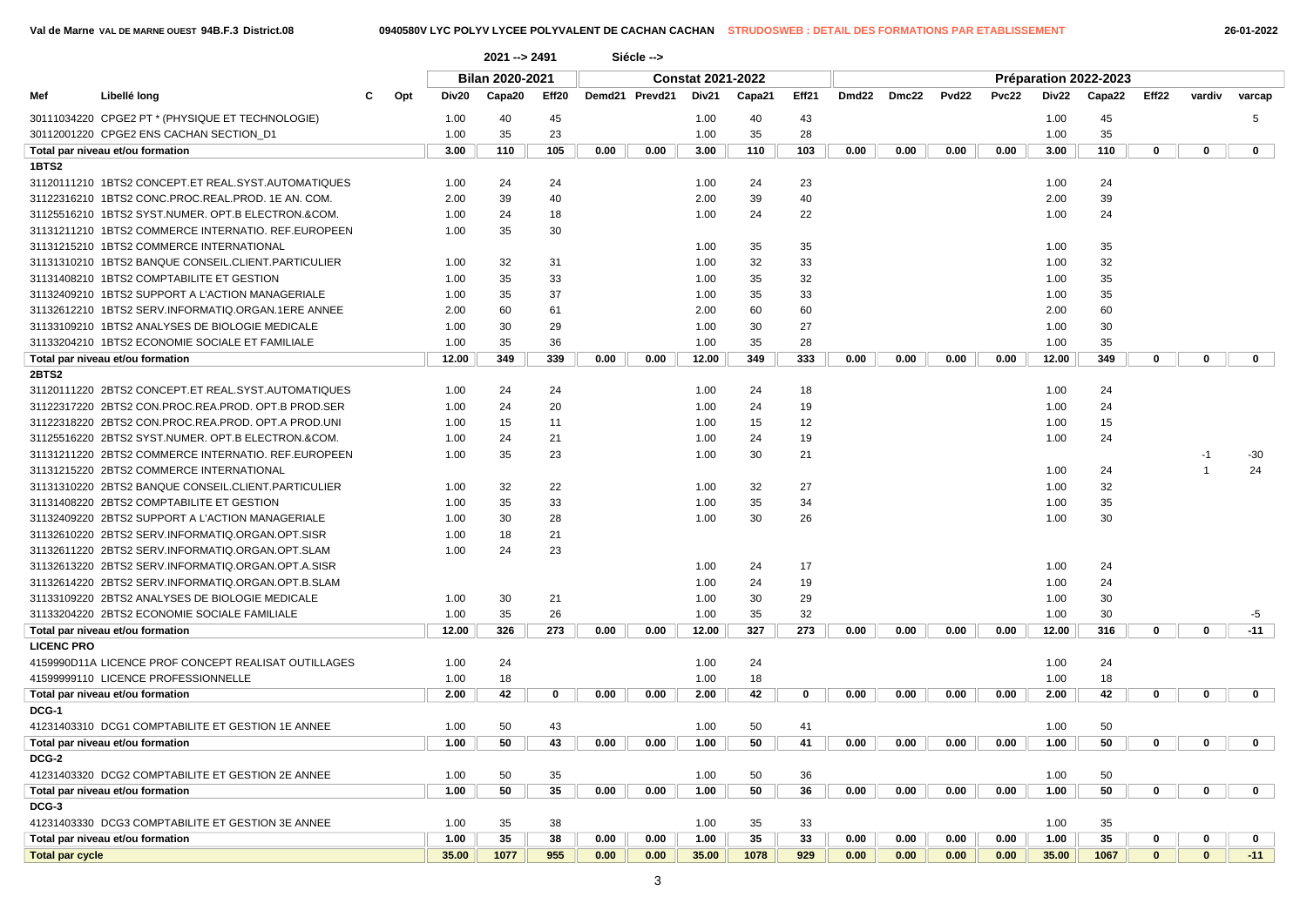**1BTS2**

|       | Val de Marne VAL DE MARNE OUEST 94B.F.3 District.08 |          |       |                 |       |        |            |                          | 0940580V LYC POLYV LYCEE POLYVALENT DE CACHAN CACHAN STRUDOSWEB : DETAIL DES FORMATIONS PAR ETABLISSEMENT |       |                   |       |                   |       |       |                       |       |        | 26-01-2022   |  |
|-------|-----------------------------------------------------|----------|-------|-----------------|-------|--------|------------|--------------------------|-----------------------------------------------------------------------------------------------------------|-------|-------------------|-------|-------------------|-------|-------|-----------------------|-------|--------|--------------|--|
|       |                                                     |          |       | $2021 - 2491$   |       |        | Siécle --> |                          |                                                                                                           |       |                   |       |                   |       |       |                       |       |        |              |  |
|       |                                                     |          |       | Bilan 2020-2021 |       |        |            | <b>Constat 2021-2022</b> |                                                                                                           |       |                   |       |                   |       |       | Préparation 2022-2023 |       |        |              |  |
| Mef   | Libellé long                                        | Opt<br>C | Div20 | Capa20          | Eff20 | Demd21 | Prevd21    | Div21                    | Capa21                                                                                                    | Eff21 | Dmd <sub>22</sub> | Dmc22 | Pvd <sub>22</sub> | Pvc22 | Div22 | Capa22                | Eff22 | vardiv | varcap       |  |
|       | 30111034220 CPGE2 PT * (PHYSIQUE ET TECHNOLOGIE)    |          | 1.00  | 40              | 45    |        |            | 1.00                     | 40                                                                                                        | 43    |                   |       |                   |       | 1.00  | 45                    |       |        |              |  |
|       | 30112001220 CPGE2 ENS CACHAN SECTION D1             |          | 1.00  | 35              | 23    |        |            | 1.00                     | 35                                                                                                        | 28    |                   |       |                   |       | 1.00  | 35                    |       |        |              |  |
|       | Total par niveau et/ou formation                    |          | 3.00  | 110             | 105   | 0.00   | 0.00       | 3.00                     | 110                                                                                                       | 103   | 0.00              | 0.00  | 0.00              | 0.00  | 3.00  | 110                   |       |        | $\mathbf 0$  |  |
| 1BTS2 |                                                     |          |       |                 |       |        |            |                          |                                                                                                           |       |                   |       |                   |       |       |                       |       |        |              |  |
|       |                                                     |          | 1.00  | 24              | 24    |        |            | 1.00                     | 24                                                                                                        | 23    |                   |       |                   |       | 1.00  | 24                    |       |        |              |  |
|       | 31122316210 1BTS2 CONC.PROC.REAL.PROD. 1E AN. COM.  |          | 2.00  | 39              | 40    |        |            | 2.00                     | 39                                                                                                        | 40    |                   |       |                   |       | 2.00  | 39                    |       |        |              |  |
|       | 31125516210_1BTS2 SYST.NUMER. OPT.B ELECTRON.&COM.  |          | 1.00  | 24              | 18    |        |            | 1.00                     | 24                                                                                                        | 22    |                   |       |                   |       | 1.00  | 24                    |       |        |              |  |
|       | 31131211210 1BTS2 COMMERCE INTERNATIO. REF.EUROPEEN |          | 1.00  | 35              | 30    |        |            |                          |                                                                                                           |       |                   |       |                   |       |       |                       |       |        |              |  |
|       | 31131215210 1BTS2 COMMERCE INTERNATIONAL            |          |       |                 |       |        |            | 1.00                     | 35                                                                                                        | 35    |                   |       |                   |       | 1.00  | 35                    |       |        |              |  |
|       | 31131310210 1BTS2 BANQUE CONSEIL.CLIENT.PARTICULIER |          | 1.00  | 32              | 31    |        |            | 1.00                     | 32                                                                                                        | 33    |                   |       |                   |       | 1.00  | 32                    |       |        |              |  |
|       | 31131408210 1BTS2 COMPTABILITE ET GESTION           |          | 1.00  | 35              | 33    |        |            | 1.00                     | 35                                                                                                        | 32    |                   |       |                   |       | 1.00  | 35                    |       |        |              |  |
|       | 31132409210 1BTS2 SUPPORT A L'ACTION MANAGERIALE    |          | 1.00  | 35              | 37    |        |            | 1.00                     | 35                                                                                                        | 33    |                   |       |                   |       | 1.00  | 35                    |       |        |              |  |
|       |                                                     |          | 2.00  | 60              | 61    |        |            | 2.00                     | 60                                                                                                        | 60    |                   |       |                   |       | 2.00  | 60                    |       |        |              |  |
|       | 31133109210_1BTS2 ANALYSES DE BIOLOGIE MEDICALE     |          | 1.00  | 30              | 29    |        |            | 1.00                     | 30                                                                                                        | 27    |                   |       |                   |       | 1.00  | 30                    |       |        |              |  |
|       | 31133204210 1BTS2 ECONOMIE SOCIALE ET FAMILIALE     |          | 1.00  | 35              | 36    |        |            | 1.00                     | 35                                                                                                        | 28    |                   |       |                   |       | 1.00  | 35                    |       |        |              |  |
|       | Total par niveau et/ou formation                    |          | 12.00 | 349             | 339   | 0.00   | 0.00       | 12.00                    | 349                                                                                                       | 333   | 0.00              | 0.00  | 0.00              | 0.00  | 12.00 | 349                   |       |        | $\mathbf{0}$ |  |
| 2BTS2 |                                                     |          |       |                 |       |        |            |                          |                                                                                                           |       |                   |       |                   |       |       |                       |       |        |              |  |
|       | 31120111220 2BTS2 CONCEPT.ET REAL.SYST.AUTOMATIQUES |          | 1.00  | 24              | 24    |        |            | 1.00                     | 24                                                                                                        | 18    |                   |       |                   |       | 1.00  | 24                    |       |        |              |  |
|       | 31122317220 2BTS2 CON.PROC.REA.PROD. OPT.B PROD.SER |          | 1.00  | 24              | 20    |        |            | 1.00                     | 24                                                                                                        | 19    |                   |       |                   |       | 1.00  | 24                    |       |        |              |  |

**Total par cycle 35.00 1077 955 0.00 0.00 35.00 1078 929 0.00 0.00 0.00 0.00 35.00 1067 0 0 -11**

| 31131215210 1BTS2 COMMERCE INTERNATIONAL             |       |     |             |      |      | 1.00  | 35  | 35          |      |      |      |      | 1.00  | 35  |              |             |              |
|------------------------------------------------------|-------|-----|-------------|------|------|-------|-----|-------------|------|------|------|------|-------|-----|--------------|-------------|--------------|
| 31131310210 1BTS2 BANQUE CONSEIL.CLIENT.PARTICULIER  | 1.00  | 32  | 31          |      |      | 1.00  | 32  | 33          |      |      |      |      | 1.00  | 32  |              |             |              |
| 31131408210 1BTS2 COMPTABILITE ET GESTION            | 1.00  | 35  | 33          |      |      | 1.00  | 35  | 32          |      |      |      |      | 1.00  | 35  |              |             |              |
| 31132409210 1BTS2 SUPPORT A L'ACTION MANAGERIALE     | 1.00  | 35  | 37          |      |      | 1.00  | 35  | 33          |      |      |      |      | 1.00  | 35  |              |             |              |
| 31132612210 1BTS2 SERV.INFORMATIQ.ORGAN.1ERE ANNEE   | 2.00  | 60  | 61          |      |      | 2.00  | 60  | 60          |      |      |      |      | 2.00  | 60  |              |             |              |
| 31133109210 1BTS2 ANALYSES DE BIOLOGIE MEDICALE      | 1.00  | 30  | 29          |      |      | 1.00  | 30  | 27          |      |      |      |      | 1.00  | 30  |              |             |              |
| 31133204210 1BTS2 ECONOMIE SOCIALE ET FAMILIALE      | 1.00  | 35  | 36          |      |      | 1.00  | 35  | 28          |      |      |      |      | 1.00  | 35  |              |             |              |
| Total par niveau et/ou formation                     | 12.00 | 349 | 339         | 0.00 | 0.00 | 12.00 | 349 | 333         | 0.00 | 0.00 | 0.00 | 0.00 | 12.00 | 349 | $\mathbf 0$  | $\mathbf 0$ | $\Omega$     |
| <b>2BTS2</b>                                         |       |     |             |      |      |       |     |             |      |      |      |      |       |     |              |             |              |
| 31120111220 2BTS2 CONCEPT.ET REAL.SYST.AUTOMATIQUES  | 1.00  | 24  | 24          |      |      | 1.00  | 24  | 18          |      |      |      |      | 1.00  | 24  |              |             |              |
| 31122317220 2BTS2 CON.PROC.REA.PROD. OPT.B PROD.SER  | 1.00  | 24  | 20          |      |      | 1.00  | 24  | 19          |      |      |      |      | 1.00  | 24  |              |             |              |
| 31122318220 2BTS2 CON.PROC.REA.PROD. OPT.A PROD.UNI  | 1.00  | 15  | 11          |      |      | 1.00  | 15  | 12          |      |      |      |      | 1.00  | 15  |              |             |              |
| 31125516220 2BTS2 SYST.NUMER. OPT.B ELECTRON.&COM.   | 1.00  | 24  | 21          |      |      | 1.00  | 24  | 19          |      |      |      |      | 1.00  | 24  |              |             |              |
| 31131211220 2BTS2 COMMERCE INTERNATIO. REF.EUROPEEN  | 1.00  | 35  | 23          |      |      | 1.00  | 30  | 21          |      |      |      |      |       |     |              |             | $-30$        |
| 31131215220 2BTS2 COMMERCE INTERNATIONAL             |       |     |             |      |      |       |     |             |      |      |      |      | 1.00  | 24  |              |             | 24           |
| 31131310220 2BTS2 BANQUE CONSEIL.CLIENT.PARTICULIER  | 1.00  | 32  | 22          |      |      | 1.00  | 32  | 27          |      |      |      |      | 1.00  | 32  |              |             |              |
| 31131408220 2BTS2 COMPTABILITE ET GESTION            | 1.00  | 35  | 33          |      |      | 1.00  | 35  | 34          |      |      |      |      | 1.00  | 35  |              |             |              |
| 31132409220 2BTS2 SUPPORT A L'ACTION MANAGERIALE     | 1.00  | 30  | 28          |      |      | 1.00  | 30  | 26          |      |      |      |      | 1.00  | 30  |              |             |              |
| 31132610220 2BTS2 SERV.INFORMATIQ.ORGAN.OPT.SISR     | 1.00  | 18  | 21          |      |      |       |     |             |      |      |      |      |       |     |              |             |              |
| 31132611220 2BTS2 SERV.INFORMATIQ.ORGAN.OPT.SLAM     | 1.00  | 24  | 23          |      |      |       |     |             |      |      |      |      |       |     |              |             |              |
| 31132613220 2BTS2 SERV.INFORMATIQ.ORGAN.OPT.A.SISR   |       |     |             |      |      | 1.00  | 24  | 17          |      |      |      |      | 1.00  | 24  |              |             |              |
| 31132614220 2BTS2 SERV.INFORMATIQ.ORGAN.OPT.B.SLAM   |       |     |             |      |      | 1.00  | 24  | 19          |      |      |      |      | 1.00  | 24  |              |             |              |
| 31133109220 2BTS2 ANALYSES DE BIOLOGIE MEDICALE      | 1.00  | 30  | 21          |      |      | 1.00  | 30  | 29          |      |      |      |      | 1.00  | 30  |              |             |              |
| 31133204220 2BTS2 ECONOMIE SOCIALE FAMILIALE         | 1.00  | 35  | 26          |      |      | 1.00  | 35  | 32          |      |      |      |      | 1.00  | 30  |              |             | -5           |
| Total par niveau et/ou formation                     | 12.00 | 326 | 273         | 0.00 | 0.00 | 12.00 | 327 | 273         | 0.00 | 0.00 | 0.00 | 0.00 | 12.00 | 316 | $\mathbf{0}$ | $\Omega$    | $-11$        |
| <b>LICENC PRO</b>                                    |       |     |             |      |      |       |     |             |      |      |      |      |       |     |              |             |              |
| 4159990D11A LICENCE PROF CONCEPT REALISAT OUTILLAGES | 1.00  | 24  |             |      |      | 1.00  | 24  |             |      |      |      |      | 1.00  | 24  |              |             |              |
| 41599999110 LICENCE PROFESSIONNELLE                  | 1.00  | 18  |             |      |      | 1.00  | 18  |             |      |      |      |      | 1.00  | 18  |              |             |              |
| Total par niveau et/ou formation                     | 2.00  | 42  | $\mathbf 0$ | 0.00 | 0.00 | 2.00  | 42  | $\mathbf 0$ | 0.00 | 0.00 | 0.00 | 0.00 | 2.00  | 42  | $\mathbf{0}$ | $\bf{0}$    | $\mathbf{0}$ |
| DCG-1                                                |       |     |             |      |      |       |     |             |      |      |      |      |       |     |              |             |              |
| 41231403310 DCG1 COMPTABILITE ET GESTION 1E ANNEE    | 1.00  | 50  | 43          |      |      | 1.00  | 50  | 41          |      |      |      |      | 1.00  | 50  |              |             |              |
| Total par niveau et/ou formation                     | 1.00  | 50  | 43          | 0.00 | 0.00 | 1.00  | 50  | 41          | 0.00 | 0.00 | 0.00 | 0.00 | 1.00  | 50  | $\mathbf 0$  | 0           | 0            |
| DCG-2                                                |       |     |             |      |      |       |     |             |      |      |      |      |       |     |              |             |              |
| 41231403320 DCG2 COMPTABILITE ET GESTION 2E ANNEE    | 1.00  | 50  | 35          |      |      | 1.00  | 50  | 36          |      |      |      |      | 1.00  | 50  |              |             |              |
| Total par niveau et/ou formation                     | 1.00  | 50  | 35          | 0.00 | 0.00 | 1.00  | 50  | 36          | 0.00 | 0.00 | 0.00 | 0.00 | 1.00  | 50  | $\mathbf 0$  | $\bf{0}$    | $\bf{0}$     |
| DCG-3                                                |       |     |             |      |      |       |     |             |      |      |      |      |       |     |              |             |              |
| 41231403330 DCG3 COMPTABILITE ET GESTION 3E ANNEE    | 1.00  | 35  | 38          |      |      | 1.00  | 35  | 33          |      |      |      |      | 1.00  | 35  |              |             |              |
| Total par niveau et/ou formation                     | 1.00  | 35  | 38          | 0.00 | 0.00 | 1.00  | 35  | 33          | 0.00 | 0.00 | 0.00 | 0.00 | 1.00  | 35  | $\bf{0}$     | $\bf{0}$    | $\Omega$     |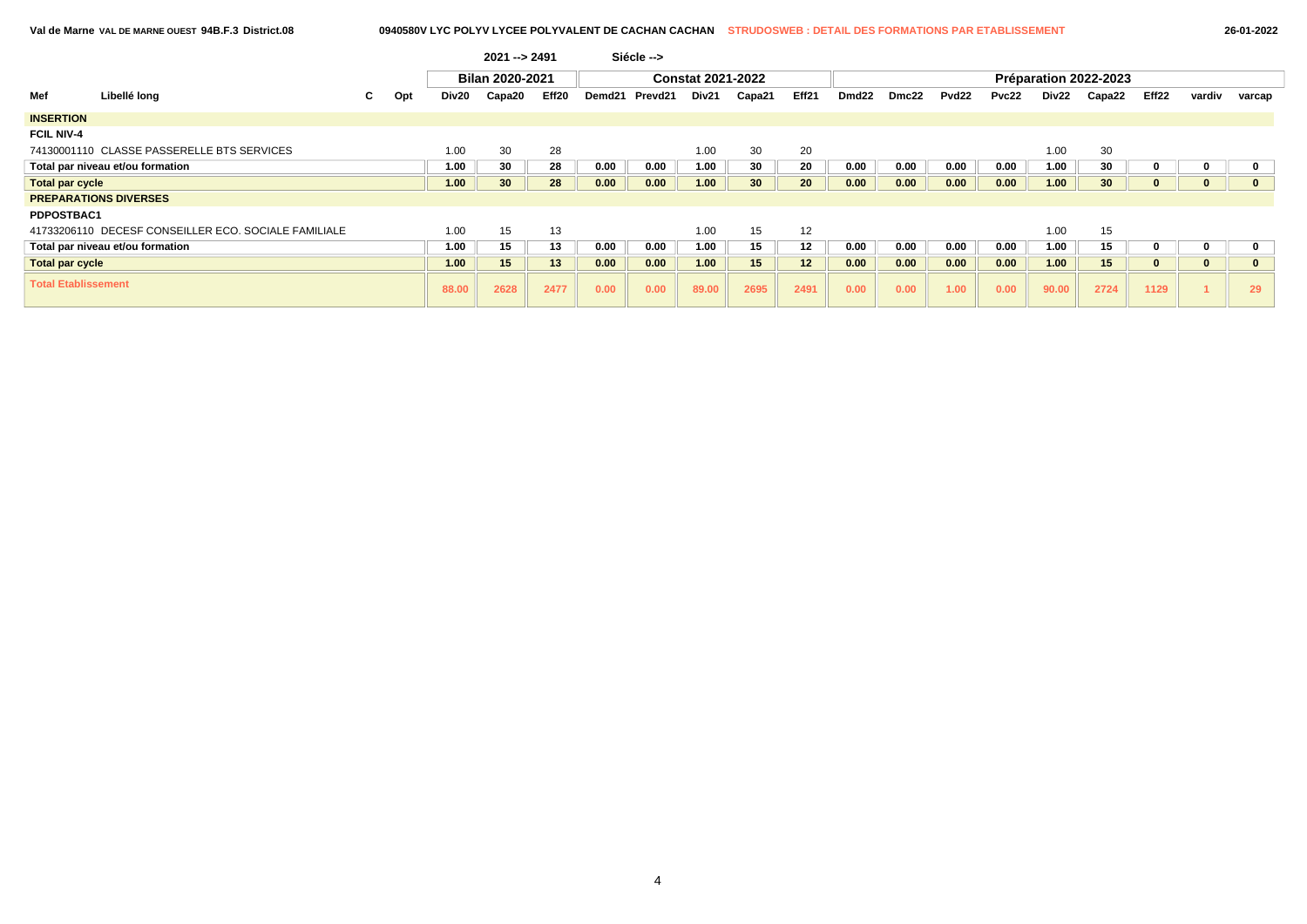**Val de Marne VAL DE MARNE OUEST 94B.F.3 District.08 0940580V LYC POLYV LYCEE POLYVALENT DE CACHAN CACHAN STRUDOSWEB : DETAIL DES FORMATIONS PAR ETABLISSEMENT 26-01-2022**

|                            |                                                      |    |     |       | $2021 - 2491$   |       |        | Siécle --> |                          |                 |       |                   |       |       |       |       |                       |          |              |              |
|----------------------------|------------------------------------------------------|----|-----|-------|-----------------|-------|--------|------------|--------------------------|-----------------|-------|-------------------|-------|-------|-------|-------|-----------------------|----------|--------------|--------------|
|                            |                                                      |    |     |       | Bilan 2020-2021 |       |        |            | <b>Constat 2021-2022</b> |                 |       |                   |       |       |       |       | Préparation 2022-2023 |          |              |              |
| Mef                        | Libellé long                                         | C. | Opt | Div20 | Capa20          | Eff20 | Demd21 | Prevd21    | Div21                    | Capa21          | Eff21 | Dmd <sub>22</sub> | Dmc22 | Pvd22 | Pvc22 | Div22 | Capa22                | Eff22    | vardiv       | varcap       |
| <b>INSERTION</b>           |                                                      |    |     |       |                 |       |        |            |                          |                 |       |                   |       |       |       |       |                       |          |              |              |
| <b>FCIL NIV-4</b>          |                                                      |    |     |       |                 |       |        |            |                          |                 |       |                   |       |       |       |       |                       |          |              |              |
|                            | 74130001110 CLASSE PASSERELLE BTS SERVICES           |    |     | 1.00  | 30              | 28    |        |            | 1.00                     | 30              | 20    |                   |       |       |       | 1.00  | 30                    |          |              |              |
|                            | Total par niveau et/ou formation                     |    |     | 1.00  | 30              | 28    | 0.00   | 0.00       | 1.00                     | 30              | 20    | 0.00              | 0.00  | 0.00  | 0.00  | 1.00  | 30                    | o        | 0            | 0            |
| <b>Total par cycle</b>     |                                                      |    |     | 1.00  | 30 <sup>°</sup> | 28    | 0.00   | 0.00       | 1.00                     | 30 <sup>°</sup> | 20    | 0.00              | 0.00  | 0.00  | 0.00  | 1.00  | 30 <sub>o</sub>       | $\bf{0}$ | $\bf{0}$     | $\mathbf{0}$ |
|                            | <b>PREPARATIONS DIVERSES</b>                         |    |     |       |                 |       |        |            |                          |                 |       |                   |       |       |       |       |                       |          |              |              |
| PDPOSTBAC1                 |                                                      |    |     |       |                 |       |        |            |                          |                 |       |                   |       |       |       |       |                       |          |              |              |
|                            | 41733206110 DECESF CONSEILLER ECO, SOCIALE FAMILIALE |    |     | 1.00  | 15              | 13    |        |            | 1.00                     | 15              | 12    |                   |       |       |       | 1.00  | 15                    |          |              |              |
|                            | Total par niveau et/ou formation                     |    |     | 1.00  | 15              | 13    | 0.00   | 0.00       | 1.00                     | 15              | 12    | 0.00              | 0.00  | 0.00  | 0.00  | 1.00  | 15                    | 0        | 0            | $\mathbf 0$  |
| <b>Total par cycle</b>     |                                                      |    |     | 1.00  | 15              | 13    | 0.00   | 0.00       | 1.00                     | 15              | 12    | 0.00              | 0.00  | 0.00  | 0.00  | 1.00  | 15                    | $\bf{0}$ | $\mathbf{0}$ | $\mathbf{0}$ |
| <b>Total Etablissement</b> |                                                      |    |     | 88.00 | 2628            | 2477  | 0.00   | 0.00       | 89.00                    | 2695            | 2491  | 0.00              | 0.00  | 1.00  | 0.00  | 90.00 | 2724                  | 1129     |              | 29           |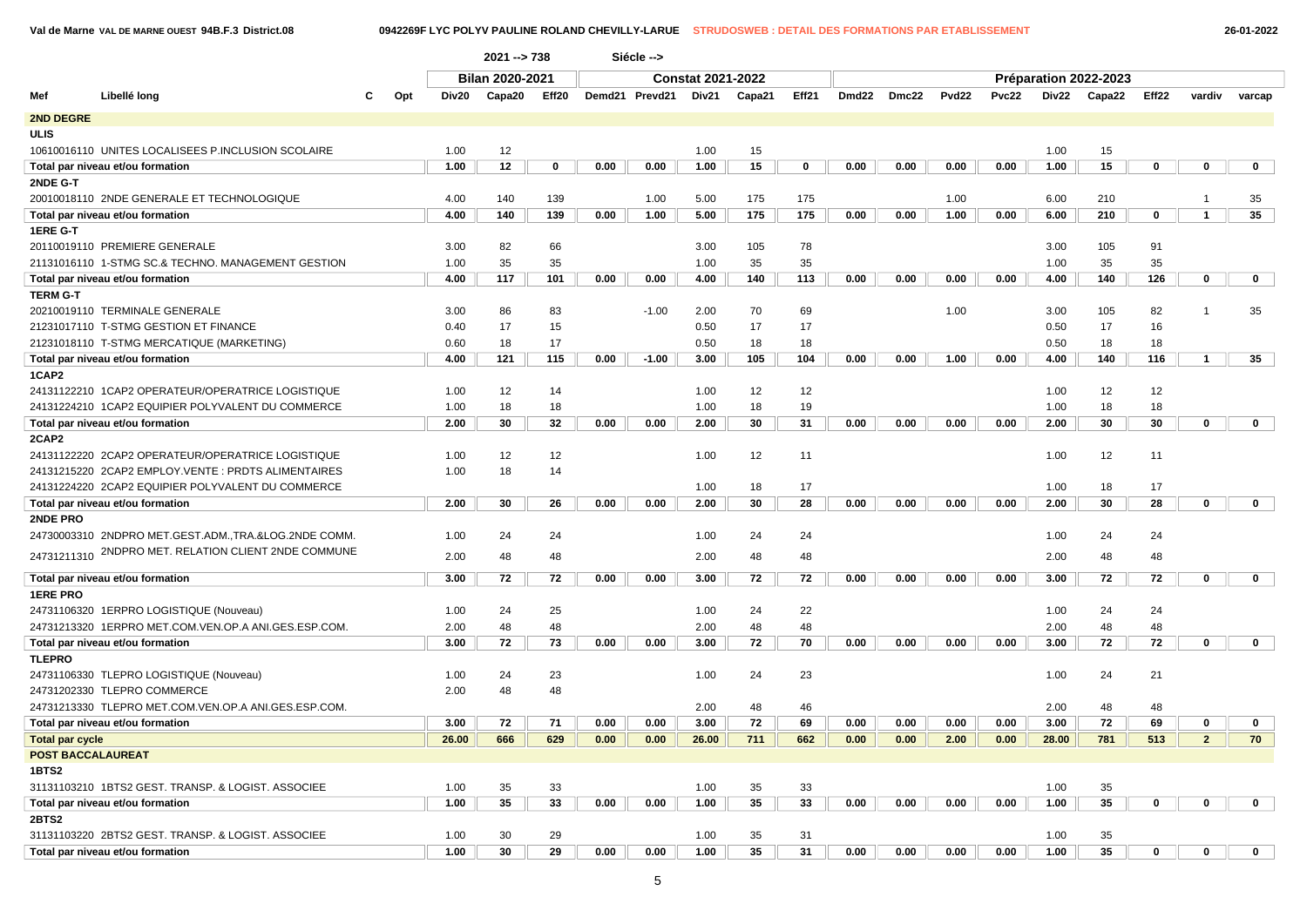**Val de Marne VAL DE MARNE OUEST 94B.F.3 District.08 0942269F LYC POLYV PAULINE ROLAND CHEVILLY-LARUE STRUDOSWEB : DETAIL DES FORMATIONS PAR ETABLISSEMENT 26-01-2022**

|                          |                                                      |   |     |       | $2021 - 738$           |             |      | Siécle -->     |                          |        |       |       |       |       |       |       |                       |             |                |              |
|--------------------------|------------------------------------------------------|---|-----|-------|------------------------|-------------|------|----------------|--------------------------|--------|-------|-------|-------|-------|-------|-------|-----------------------|-------------|----------------|--------------|
|                          |                                                      |   |     |       | <b>Bilan 2020-2021</b> |             |      |                | <b>Constat 2021-2022</b> |        |       |       |       |       |       |       | Préparation 2022-2023 |             |                |              |
| Mef                      | Libellé long                                         | C | Opt | Div20 | Capa20                 | Eff20       |      | Demd21 Prevd21 | Div21                    | Capa21 | Eff21 | Dmd22 | Dmc22 | Pvd22 | Pvc22 | Div22 | Capa22                | Eff22       | vardiv         | varcap       |
| <b>2ND DEGRE</b>         |                                                      |   |     |       |                        |             |      |                |                          |        |       |       |       |       |       |       |                       |             |                |              |
| <b>ULIS</b>              |                                                      |   |     |       |                        |             |      |                |                          |        |       |       |       |       |       |       |                       |             |                |              |
|                          | 10610016110 UNITES LOCALISEES P.INCLUSION SCOLAIRE   |   |     | 1.00  | 12                     |             |      |                | 1.00                     | 15     |       |       |       |       |       | 1.00  | 15                    |             |                |              |
|                          | Total par niveau et/ou formation                     |   |     | 1.00  | 12                     | $\mathbf 0$ | 0.00 | 0.00           | 1.00                     | 15     | 0     | 0.00  | 0.00  | 0.00  | 0.00  | 1.00  | 15                    | 0           | 0              | $\mathbf 0$  |
| 2NDE G-T                 |                                                      |   |     |       |                        |             |      |                |                          |        |       |       |       |       |       |       |                       |             |                |              |
|                          | 20010018110 2NDE GENERALE ET TECHNOLOGIQUE           |   |     | 4.00  | 140                    | 139         |      | 1.00           | 5.00                     | 175    | 175   |       |       | 1.00  |       | 6.00  | 210                   |             | $\overline{1}$ | 35           |
|                          | Total par niveau et/ou formation                     |   |     | 4.00  | 140                    | 139         | 0.00 | 1.00           | 5.00                     | 175    | 175   | 0.00  | 0.00  | 1.00  | 0.00  | 6.00  | 210                   | 0           | $\mathbf{1}$   | 35           |
| 1ERE G-T                 |                                                      |   |     |       |                        |             |      |                |                          |        |       |       |       |       |       |       |                       |             |                |              |
|                          | 20110019110 PREMIERE GENERALE                        |   |     | 3.00  | 82                     | 66          |      |                | 3.00                     | 105    | 78    |       |       |       |       | 3.00  | 105                   | 91          |                |              |
|                          | 21131016110 1-STMG SC.& TECHNO. MANAGEMENT GESTION   |   |     | 1.00  | 35                     | 35          |      |                | 1.00                     | 35     | 35    |       |       |       |       | 1.00  | 35                    | 35          |                |              |
|                          | Total par niveau et/ou formation                     |   |     | 4.00  | 117                    | 101         | 0.00 | 0.00           | 4.00                     | 140    | 113   | 0.00  | 0.00  | 0.00  | 0.00  | 4.00  | 140                   | 126         | $\mathbf 0$    | $\mathbf 0$  |
| <b>TERM G-T</b>          |                                                      |   |     |       |                        |             |      |                |                          |        |       |       |       |       |       |       |                       |             |                |              |
|                          | 20210019110 TERMINALE GENERALE                       |   |     | 3.00  | 86                     | 83          |      | $-1.00$        | 2.00                     | 70     | 69    |       |       | 1.00  |       | 3.00  | 105                   | 82          | $\overline{1}$ | 35           |
|                          | 21231017110 T-STMG GESTION ET FINANCE                |   |     | 0.40  | 17                     | 15          |      |                | 0.50                     | 17     | 17    |       |       |       |       | 0.50  | 17                    | 16          |                |              |
|                          | 21231018110 T-STMG MERCATIQUE (MARKETING)            |   |     | 0.60  | 18                     | 17          |      |                | 0.50                     | 18     | 18    |       |       |       |       | 0.50  | 18                    | 18          |                |              |
|                          | Total par niveau et/ou formation                     |   |     | 4.00  | 121                    | 115         | 0.00 | $-1.00$        | 3.00                     | 105    | 104   | 0.00  | 0.00  | 1.00  | 0.00  | 4.00  | 140                   | 116         | 1              | 35           |
| 1CAP2                    |                                                      |   |     |       |                        |             |      |                |                          |        |       |       |       |       |       |       |                       |             |                |              |
|                          | 24131122210 1CAP2 OPERATEUR/OPERATRICE LOGISTIQUE    |   |     | 1.00  | 12                     | 14          |      |                | 1.00                     | 12     | 12    |       |       |       |       | 1.00  | 12                    | 12          |                |              |
|                          | 24131224210 1CAP2 EQUIPIER POLYVALENT DU COMMERCE    |   |     | 1.00  | 18                     | 18          |      |                | 1.00                     | 18     | 19    |       |       |       |       | 1.00  | 18                    | 18          |                |              |
|                          | Total par niveau et/ou formation                     |   |     | 2.00  | 30                     | 32          | 0.00 | 0.00           | 2.00                     | 30     | 31    | 0.00  | 0.00  | 0.00  | 0.00  | 2.00  | 30                    | 30          | $\mathbf 0$    | $\mathbf{0}$ |
| 2CAP2                    |                                                      |   |     |       |                        |             |      |                |                          |        |       |       |       |       |       |       |                       |             |                |              |
|                          | 24131122220 2CAP2 OPERATEUR/OPERATRICE LOGISTIQUE    |   |     | 1.00  | 12                     | 12          |      |                | 1.00                     | 12     | 11    |       |       |       |       | 1.00  | 12                    | 11          |                |              |
|                          | 24131215220 2CAP2 EMPLOY.VENTE : PRDTS ALIMENTAIRES  |   |     | 1.00  | 18                     | 14          |      |                |                          |        |       |       |       |       |       |       |                       |             |                |              |
|                          | 24131224220 2CAP2 EQUIPIER POLYVALENT DU COMMERCE    |   |     |       |                        |             |      |                | 1.00                     | 18     | 17    |       |       |       |       | 1.00  | 18                    | 17          |                |              |
|                          | Total par niveau et/ou formation                     |   |     | 2.00  | 30                     | 26          | 0.00 | 0.00           | 2.00                     | 30     | 28    | 0.00  | 0.00  | 0.00  | 0.00  | 2.00  | 30                    | 28          | $\mathbf 0$    | $\mathbf 0$  |
| <b>2NDE PRO</b>          |                                                      |   |     |       |                        |             |      |                |                          |        |       |       |       |       |       |       |                       |             |                |              |
|                          | 24730003310 2NDPRO MET.GEST.ADM.,TRA.&LOG.2NDE COMM. |   |     | 1.00  | 24                     | 24          |      |                | 1.00                     | 24     | 24    |       |       |       |       | 1.00  | 24                    | 24          |                |              |
| 24731211310              | 2NDPRO MET. RELATION CLIENT 2NDE COMMUNE             |   |     | 2.00  | 48                     | 48          |      |                | 2.00                     | 48     | 48    |       |       |       |       | 2.00  | 48                    | 48          |                |              |
|                          |                                                      |   |     | 3.00  | 72                     | 72          | 0.00 | 0.00           | 3.00                     | 72     | 72    | 0.00  | 0.00  | 0.00  | 0.00  | 3.00  | 72                    | 72          | 0              | $\mathbf{0}$ |
| <b>1ERE PRO</b>          | Total par niveau et/ou formation                     |   |     |       |                        |             |      |                |                          |        |       |       |       |       |       |       |                       |             |                |              |
|                          | 24731106320 1ERPRO LOGISTIQUE (Nouveau)              |   |     | 1.00  | 24                     | 25          |      |                | 1.00                     | 24     | 22    |       |       |       |       | 1.00  | 24                    | 24          |                |              |
|                          | 24731213320 1ERPRO MET.COM.VEN.OP.A ANI.GES.ESP.COM  |   |     | 2.00  | 48                     | 48          |      |                | 2.00                     | 48     | 48    |       |       |       |       | 2.00  | 48                    | 48          |                |              |
|                          | Total par niveau et/ou formation                     |   |     | 3.00  | 72                     | 73          | 0.00 | 0.00           | 3.00                     | 72     | 70    | 0.00  | 0.00  | 0.00  | 0.00  | 3.00  | 72                    | 72          | $\mathbf 0$    | $\mathbf 0$  |
| <b>TLEPRO</b>            |                                                      |   |     |       |                        |             |      |                |                          |        |       |       |       |       |       |       |                       |             |                |              |
|                          | 24731106330 TLEPRO LOGISTIQUE (Nouveau)              |   |     | 1.00  | 24                     | 23          |      |                | 1.00                     | 24     | 23    |       |       |       |       | 1.00  | 24                    | 21          |                |              |
|                          | 24731202330 TLEPRO COMMERCE                          |   |     | 2.00  | 48                     | 48          |      |                |                          |        |       |       |       |       |       |       |                       |             |                |              |
|                          | 24731213330 TLEPRO MET.COM.VEN.OP.A ANI.GES.ESP.COM. |   |     |       |                        |             |      |                | 2.00                     | 48     | 46    |       |       |       |       | 2.00  | 48                    | 48          |                |              |
|                          | Total par niveau et/ou formation                     |   |     | 3.00  | 72                     | 71          | 0.00 | 0.00           | 3.00                     | 72     | 69    | 0.00  | 0.00  | 0.00  | 0.00  | 3.00  | 72                    | 69          | $\mathbf 0$    | $\mathbf 0$  |
| <b>Total par cycle</b>   |                                                      |   |     | 26.00 | 666                    | 629         | 0.00 | 0.00           | 26.00                    | 711    | 662   | 0.00  | 0.00  | 2.00  | 0.00  | 28.00 | 781                   | 513         | $\overline{2}$ | 70           |
| <b>POST BACCALAUREAT</b> |                                                      |   |     |       |                        |             |      |                |                          |        |       |       |       |       |       |       |                       |             |                |              |
| 1BTS2                    |                                                      |   |     |       |                        |             |      |                |                          |        |       |       |       |       |       |       |                       |             |                |              |
|                          | 31131103210 1BTS2 GEST. TRANSP. & LOGIST. ASSOCIEE   |   |     | 1.00  | 35                     | 33          |      |                | 1.00                     | 35     | 33    |       |       |       |       | 1.00  | 35                    |             |                |              |
|                          | Total par niveau et/ou formation                     |   |     | 1.00  | 35                     | 33          | 0.00 | 0.00           | 1.00                     | 35     | 33    | 0.00  | 0.00  | 0.00  | 0.00  | 1.00  | 35                    | $\mathbf 0$ | $\mathbf 0$    | $\mathbf 0$  |
| <b>2BTS2</b>             |                                                      |   |     |       |                        |             |      |                |                          |        |       |       |       |       |       |       |                       |             |                |              |
|                          | 31131103220 2BTS2 GEST. TRANSP. & LOGIST. ASSOCIEE   |   |     | 1.00  | 30                     | 29          |      |                | 1.00                     | 35     | 31    |       |       |       |       | 1.00  | 35                    |             |                |              |
|                          | Total par niveau et/ou formation                     |   |     | 1.00  | 30                     | 29          | 0.00 | 0.00           | 1.00                     | 35     | 31    | 0.00  | 0.00  | 0.00  | 0.00  | 1.00  | 35                    | 0           | $\bf{0}$       | $\bf{0}$     |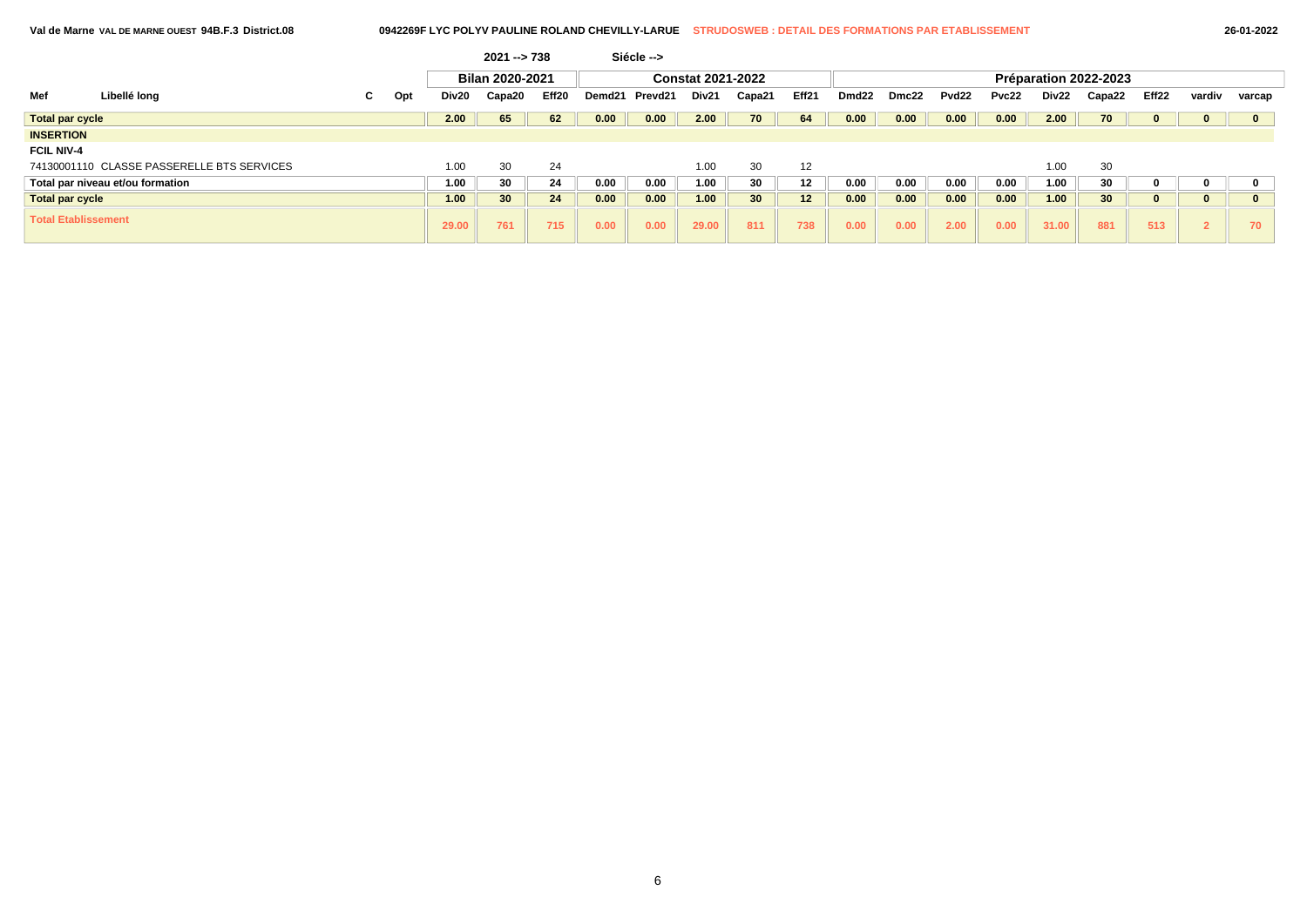|                            |                                            |    |     |       | $2021 - 738$           |       |        | Siécle --> |                          |                 |       |       |       |                   |       |       |                       |       |        |        |
|----------------------------|--------------------------------------------|----|-----|-------|------------------------|-------|--------|------------|--------------------------|-----------------|-------|-------|-------|-------------------|-------|-------|-----------------------|-------|--------|--------|
|                            |                                            |    |     |       | <b>Bilan 2020-2021</b> |       |        |            | <b>Constat 2021-2022</b> |                 |       |       |       |                   |       |       | Préparation 2022-2023 |       |        |        |
| Mef                        | Libellé long                               | C. | Opt | Div20 | Capa20                 | Eff20 | Demd21 | Prevd21    | Div21                    | Capa21          | Eff21 | Dmd22 | Dmc22 | Pvd <sub>22</sub> | Pvc22 | Div22 | Capa22                | Eff22 | vardiv | varcap |
| Total par cycle            |                                            |    |     | 2.00  | 65                     | 62    | 0.00   | 0.00       | 2.00                     | 70              | 64    | 0.00  | 0.00  | 0.00              | 0.00  | 2.00  | 70                    |       |        |        |
| <b>INSERTION</b>           |                                            |    |     |       |                        |       |        |            |                          |                 |       |       |       |                   |       |       |                       |       |        |        |
| <b>FCIL NIV-4</b>          |                                            |    |     |       |                        |       |        |            |                          |                 |       |       |       |                   |       |       |                       |       |        |        |
|                            | 74130001110 CLASSE PASSERELLE BTS SERVICES |    |     | 1.00  | 30                     | 24    |        |            | 1.00                     | 30              | 12    |       |       |                   |       | 0.00  | 30                    |       |        |        |
|                            | Total par niveau et/ou formation           |    |     | 1.00  | 30                     | 24    | 0.00   | 0.00       | 1.00                     | 30              | 12    | 0.00  | 0.00  | 0.00              | 0.00  | 1.00  | 30                    |       |        |        |
| <b>Total par cycle</b>     |                                            |    |     | 1.00  | 30 <sub>o</sub>        | 24    | 0.00   | 0.00       | 1.00                     | 30 <sub>2</sub> | 12    | 0.00  | 0.00  | 0.00              | 0.00  | 1.00  | 30 <sub>1</sub>       |       |        |        |
| <b>Total Etablissement</b> |                                            |    |     | 29.00 | 761                    | 715   | 0.00   | 0.00       | 29.00                    | 811             | 738   | 0.00  | 0.00  | 2.00              | 0.00  | 31.00 | 881                   | 513   |        | 70     |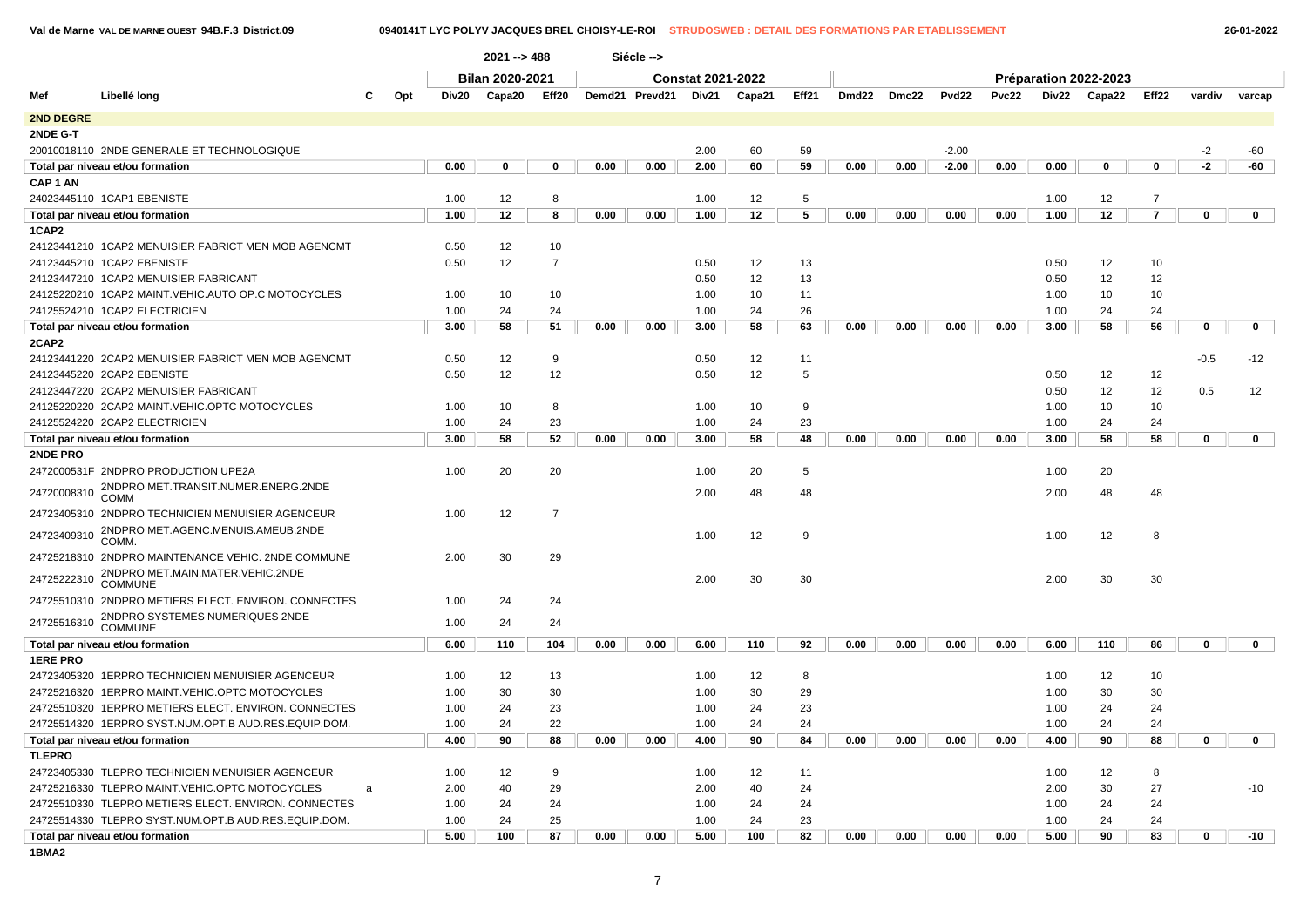### **Val de Marne VAL DE MARNE OUEST 94B.F.3 District.09 0940141T LYC POLYV JACQUES BREL CHOISY-LE-ROI STRUDOSWEB : DETAIL DES FORMATIONS PAR ETABLISSEMENT 26-01-2022**

| Bilan 2020-2021<br><b>Constat 2021-2022</b><br>Préparation 2022-2023                                                                                                                           |                   |
|------------------------------------------------------------------------------------------------------------------------------------------------------------------------------------------------|-------------------|
|                                                                                                                                                                                                |                   |
| Demd21 Prevd21<br>Eff21<br>Dmd <sub>22</sub><br><b>Pvd22</b><br><b>Pvc22</b><br>Div22<br>Eff22<br>Mef<br>Libellé long<br>Capa20<br>Eff20<br>Div21<br>Dmc22<br>Capa22<br>Opt<br>Div20<br>Capa21 | vardiv<br>varcap  |
| 2ND DEGRE                                                                                                                                                                                      |                   |
| 2NDE G-T                                                                                                                                                                                       |                   |
| 20010018110 2NDE GENERALE ET TECHNOLOGIQUE<br>2.00<br>60<br>59<br>$-2.00$                                                                                                                      | $-2$<br>$-60$     |
| 0.00<br>$\mathbf 0$<br>0<br>0.00<br>0.00<br>2.00<br>60<br>59<br>0.00<br>0.00<br>$-2.00$<br>0.00<br>0.00<br>0<br>$\mathbf 0$<br>Total par niveau et/ou formation                                | $-2$<br>$-60$     |
| CAP <sub>1</sub> AN                                                                                                                                                                            |                   |
| 24023445110 1CAP1 EBENISTE<br>1.00<br>12<br>8<br>1.00<br>12<br>5<br>1.00<br>12<br>$\overline{7}$                                                                                               |                   |
| $\overline{7}$<br>12<br>8<br>0.00<br>12<br>5<br>0.00<br>12<br>Total par niveau et/ou formation<br>1.00<br>0.00<br>1.00<br>0.00<br>0.00<br>0.00<br>1.00                                         | 0<br>$\mathbf 0$  |
| 1CAP2                                                                                                                                                                                          |                   |
| 12<br>10<br>24123441210 1CAP2 MENUISIER FABRICT MEN MOB AGENCMT<br>0.50                                                                                                                        |                   |
| 12<br>$\overline{7}$<br>0.50<br>0.50<br>12<br>13<br>0.50<br>12<br>10<br>24123445210 1CAP2 EBENISTE                                                                                             |                   |
| 12<br>13<br>12<br>12<br>24123447210 1CAP2 MENUISIER FABRICANT<br>0.50<br>0.50                                                                                                                  |                   |
| 24125220210 1CAP2 MAINT.VEHIC.AUTO OP.C MOTOCYCLES<br>10<br>10<br>10<br>10<br>10<br>1.00<br>1.00<br>11<br>1.00                                                                                 |                   |
| 24125524210 1CAP2 ELECTRICIEN<br>24<br>24<br>1.00<br>26<br>1.00<br>24<br>24<br>1.00<br>24                                                                                                      |                   |
| 58<br>51<br>58<br>63<br>58<br>56<br>3.00<br>0.00<br>Total par niveau et/ou formation<br>0.00<br>0.00<br>3.00<br>0.00<br>0.00<br>0.00<br>3.00                                                   | 0<br>$\mathbf 0$  |
| 2CAP2                                                                                                                                                                                          |                   |
| 24123441220 2CAP2 MENUISIER FABRICT MEN MOB AGENCMT<br>12<br>9<br>12<br>0.50<br>0.50<br>11                                                                                                     | $-0.5$<br>$-12$   |
| 12<br>12<br>5<br>24123445220 2CAP2 EBENISTE<br>0.50<br>12<br>0.50<br>0.50<br>12<br>12                                                                                                          |                   |
| 12<br>12<br>24123447220 2CAP2 MENUISIER FABRICANT<br>0.50                                                                                                                                      | 0.5<br>12         |
| 24125220220 2CAP2 MAINT.VEHIC.OPTC MOTOCYCLES<br>10<br>8<br>1.00<br>10<br>9<br>10<br>10<br>1.00<br>1.00                                                                                        |                   |
| 23<br>23<br>24125524220 2CAP2 ELECTRICIEN<br>1.00<br>24<br>1.00<br>24<br>24<br>24<br>1.00                                                                                                      |                   |
| 58<br>52<br>58<br>48<br>58<br>58<br>3.00<br>0.00<br>0.00<br>3.00<br>0.00<br>0.00<br>0.00<br>3.00<br>Total par niveau et/ou formation<br>0.00                                                   | 0<br>$\mathbf 0$  |
| 2NDE PRO                                                                                                                                                                                       |                   |
| 20<br>20<br>5<br>20<br>2472000531F 2NDPRO PRODUCTION UPE2A<br>1.00<br>1.00<br>20<br>1.00                                                                                                       |                   |
| 2NDPRO MET.TRANSIT.NUMER.ENERG.2NDE<br>24720008310<br>2.00<br>48<br>48<br>2.00<br>48<br>48<br><b>COMM</b>                                                                                      |                   |
| 24723405310 2NDPRO TECHNICIEN MENUISIER AGENCEUR<br>12<br>$\overline{7}$<br>1.00                                                                                                               |                   |
| 2NDPRO MET.AGENC.MENUIS.AMEUB.2NDE<br>24723409310<br>12<br>8<br>1.00<br>12<br>9<br>1.00<br>COMM.                                                                                               |                   |
| 24725218310 2NDPRO MAINTENANCE VEHIC. 2NDE COMMUNE<br>2.00<br>30<br>29                                                                                                                         |                   |
| 2NDPRO MET.MAIN.MATER.VEHIC.2NDE<br>24725222310<br>2.00<br>30<br>30<br>2.00<br>30<br>30<br><b>COMMUNE</b>                                                                                      |                   |
| 24725510310 2NDPRO METIERS ELECT. ENVIRON. CONNECTES<br>24<br>24<br>1.00                                                                                                                       |                   |
| 2NDPRO SYSTEMES NUMERIQUES 2NDE<br>COMMUNE<br>24725516310<br>1.00<br>24<br>24                                                                                                                  |                   |
| 92<br>110<br>86<br>Total par niveau et/ou formation<br>6.00<br>110<br>104<br>0.00<br>0.00<br>6.00<br>110<br>0.00<br>0.00<br>0.00<br>0.00<br>6.00                                               | 0<br>$\mathbf 0$  |
| <b>1ERE PRO</b>                                                                                                                                                                                |                   |
| 24723405320 1ERPRO TECHNICIEN MENUISIER AGENCEUR<br>12<br>1.00<br>13<br>1.00<br>12<br>8<br>1.00<br>12<br>10                                                                                    |                   |
| 30<br>24725216320 1ERPRO MAINT.VEHIC.OPTC MOTOCYCLES<br>1.00<br>30<br>30<br>1.00<br>30<br>29<br>1.00<br>30                                                                                     |                   |
| 24<br>23<br>23<br>24<br>24725510320 1ERPRO METIERS ELECT. ENVIRON. CONNECTES<br>1.00<br>1.00<br>24<br>1.00<br>24                                                                               |                   |
| 24725514320 1ERPRO SYST.NUM.OPT.B AUD.RES.EQUIP.DOM.<br>1.00<br>24<br>22<br>1.00<br>24<br>24<br>1.00<br>24<br>24                                                                               |                   |
| 90<br>90<br>Total par niveau et/ou formation<br>4.00<br>88<br>0.00<br>0.00<br>4.00<br>90<br>84<br>0.00<br>0.00<br>0.00<br>0.00<br>4.00<br>88                                                   | 0<br>$\mathbf 0$  |
| <b>TLEPRO</b>                                                                                                                                                                                  |                   |
| 24723405330 TLEPRO TECHNICIEN MENUISIER AGENCEUR<br>1.00<br>12<br>9<br>1.00<br>12<br>11<br>1.00<br>12<br>8                                                                                     |                   |
| 24725216330 TLEPRO MAINT.VEHIC.OPTC MOTOCYCLES<br>2.00<br>40<br>29<br>2.00<br>40<br>24<br>2.00<br>30<br>27<br>a                                                                                | $-10$             |
| 24725510330 TLEPRO METIERS ELECT. ENVIRON. CONNECTES<br>1.00<br>24<br>24<br>1.00<br>24<br>24<br>1.00<br>24<br>24                                                                               |                   |
| 24725514330 TLEPRO SYST.NUM.OPT.B AUD.RES.EQUIP.DOM.<br>24<br>25<br>1.00<br>24<br>23<br>1.00<br>24<br>24<br>1.00                                                                               |                   |
| 5.00<br>100<br>87<br>0.00<br>5.00<br>100<br>82<br>0.00<br>0.00<br>0.00<br>0.00<br>5.00<br>90<br>83<br>Total par niveau et/ou formation<br>0.00                                                 | $\bf{0}$<br>$-10$ |

**1BMA2**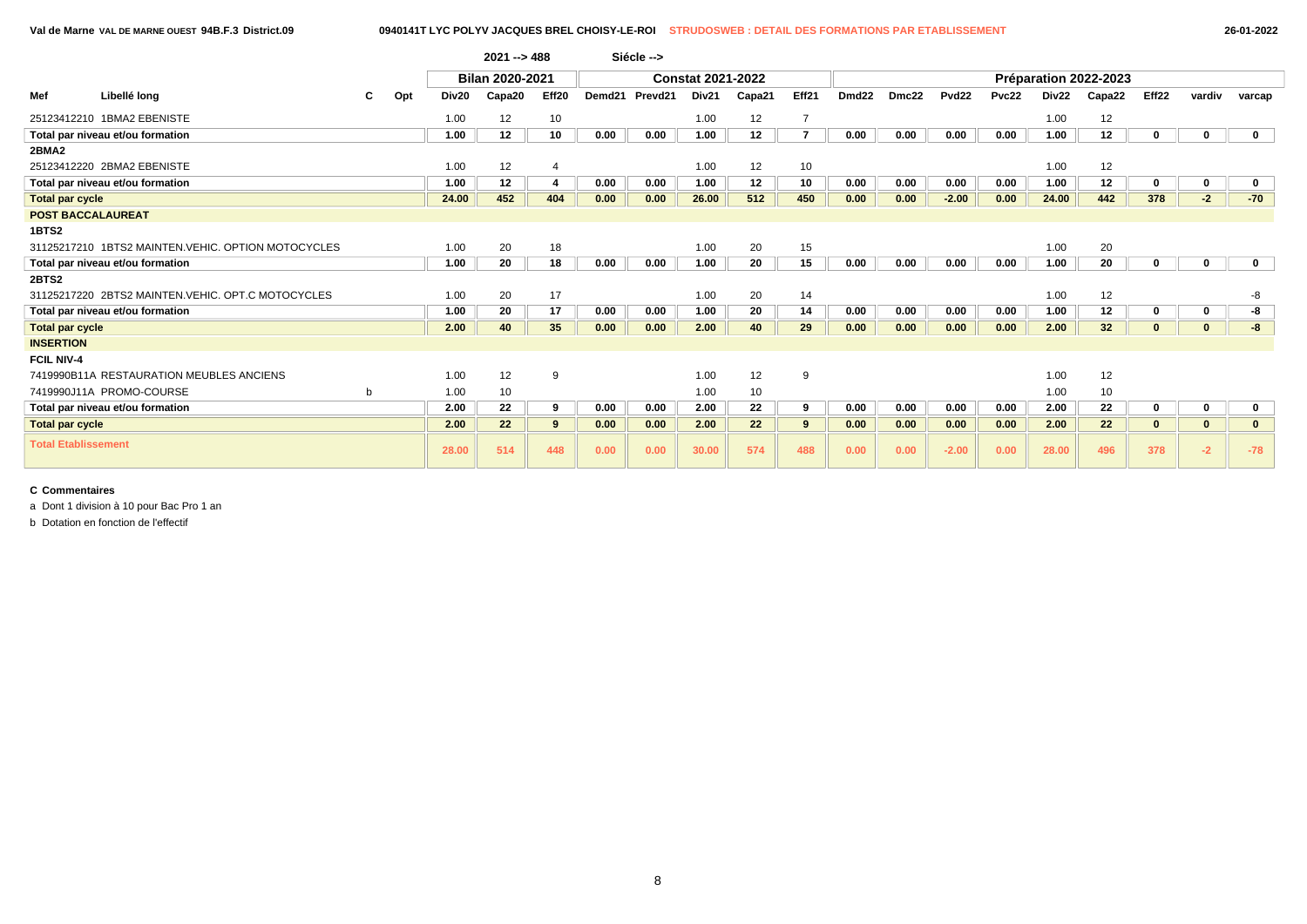|                            |                                                    |   |     |       | $2021 - 488$    |       |        | Siécle --> |                          |                   |                |                   |       |                   |       |       |                       |       |          |              |
|----------------------------|----------------------------------------------------|---|-----|-------|-----------------|-------|--------|------------|--------------------------|-------------------|----------------|-------------------|-------|-------------------|-------|-------|-----------------------|-------|----------|--------------|
|                            |                                                    |   |     |       | Bilan 2020-2021 |       |        |            | <b>Constat 2021-2022</b> |                   |                |                   |       |                   |       |       | Préparation 2022-2023 |       |          |              |
| Mef                        | Libellé long                                       | С | Opt | Div20 | Capa20          | Eff20 | Demd21 | Prevd21    | Div21                    | Capa21            | Eff21          | Dmd <sub>22</sub> | Dmc22 | Pvd <sub>22</sub> | Pvc22 | Div22 | Capa22                | Eff22 | vardiv   | varcap       |
|                            | 25123412210 1BMA2 EBENISTE                         |   |     | 1.00  | 12              | 10    |        |            | 1.00                     | 12                |                |                   |       |                   |       | 1.00  | 12                    |       |          |              |
|                            | Total par niveau et/ou formation                   |   |     | 1.00  | 12              | 10    | 0.00   | 0.00       | 1.00                     | 12 <sup>12</sup>  | $\overline{7}$ | 0.00              | 0.00  | 0.00              | 0.00  | 1.00  | 12                    |       |          | $\mathbf 0$  |
| 2BMA2                      |                                                    |   |     |       |                 |       |        |            |                          |                   |                |                   |       |                   |       |       |                       |       |          |              |
|                            | 25123412220 2BMA2 EBENISTE                         |   |     | 1.00  | 12              |       |        |            | 1.00                     | 12                | 10             |                   |       |                   |       | 1.00  | 12                    |       |          |              |
|                            | Total par niveau et/ou formation                   |   |     | 1.00  | $12 \,$         |       | 0.00   | 0.00       | 1.00                     | $12 \,$           | 10             | 0.00              | 0.00  | 0.00              | 0.00  | 1.00  | 12                    |       |          |              |
| <b>Total par cycle</b>     |                                                    |   |     | 24.00 | 452             | 404   | 0.00   | 0.00       | 26.00                    | 512               | 450            | 0.00              | 0.00  | $-2.00$           | 0.00  | 24.00 | 442                   | 378   | $-2$     | $-70$        |
| <b>POST BACCALAUREAT</b>   |                                                    |   |     |       |                 |       |        |            |                          |                   |                |                   |       |                   |       |       |                       |       |          |              |
| 1BTS2                      |                                                    |   |     |       |                 |       |        |            |                          |                   |                |                   |       |                   |       |       |                       |       |          |              |
|                            | 31125217210 1BTS2 MAINTEN.VEHIC. OPTION MOTOCYCLES |   |     | 1.00  | 20              | 18    |        |            | 1.00                     | 20                | 15             |                   |       |                   |       | 1.00  | 20                    |       |          |              |
|                            | Total par niveau et/ou formation                   |   |     | 1.00  | 20              | 18    | 0.00   | 0.00       | 1.00                     | 20                | 15             | 0.00              | 0.00  | 0.00              | 0.00  | 1.00  | 20                    |       |          | $\mathbf{0}$ |
| 2BTS2                      |                                                    |   |     |       |                 |       |        |            |                          |                   |                |                   |       |                   |       |       |                       |       |          |              |
|                            | 31125217220 2BTS2 MAINTEN.VEHIC. OPT.C MOTOCYCLES  |   |     | 1.00  | 20              | 17    |        |            | 1.00                     | 20                | 14             |                   |       |                   |       | 1.00  | 12                    |       |          | -8           |
|                            | Total par niveau et/ou formation                   |   |     | 1.00  | 20              | 17    | 0.00   | 0.00       | 1.00                     | 20                | 14             | 0.00              | 0.00  | 0.00              | 0.00  | 1.00  | 12                    |       |          | -8           |
| <b>Total par cycle</b>     |                                                    |   |     | 2.00  | 40              | 35    | 0.00   | 0.00       | 2.00                     | 40                | 29             | 0.00              | 0.00  | 0.00              | 0.00  | 2.00  | 32 <sub>2</sub>       |       | $\bf{0}$ | -8           |
| <b>INSERTION</b>           |                                                    |   |     |       |                 |       |        |            |                          |                   |                |                   |       |                   |       |       |                       |       |          |              |
| <b>FCIL NIV-4</b>          |                                                    |   |     |       |                 |       |        |            |                          |                   |                |                   |       |                   |       |       |                       |       |          |              |
|                            | 7419990B11A RESTAURATION MEUBLES ANCIENS           |   |     | 1.00  | 12              | -9    |        |            | 1.00                     | 12                | 9              |                   |       |                   |       | 1.00  | 12                    |       |          |              |
|                            | 7419990J11A PROMO-COURSE                           | b |     | 1.00  | 10              |       |        |            | 1.00                     | 10                |                |                   |       |                   |       | 1.00  | 10                    |       |          |              |
|                            | Total par niveau et/ou formation                   |   |     | 2.00  | 22              | 9     | 0.00   | 0.00       | 2.00                     | 22                | 9              | 0.00              | 0.00  | 0.00              | 0.00  | 2.00  | 22                    |       |          |              |
| <b>Total par cycle</b>     |                                                    |   |     | 2.00  | 22              | 9     | 0.00   | 0.00       | 2.00                     | $22 \overline{ }$ | 9              | 0.00              | 0.00  | 0.00              | 0.00  | 2.00  | 22                    |       |          |              |
| <b>Total Etablissement</b> |                                                    |   |     | 28.00 | 514             | 448   | 0.00   | 0.00       | 30.00                    | 574               | 488            | 0.00              | 0.00  | $-2.00$           | 0.00  | 28.00 | 496                   | 378   | $-2$     | $-78$        |

a Dont 1 division à 10 pour Bac Pro 1 an

b Dotation en fonction de l'effectif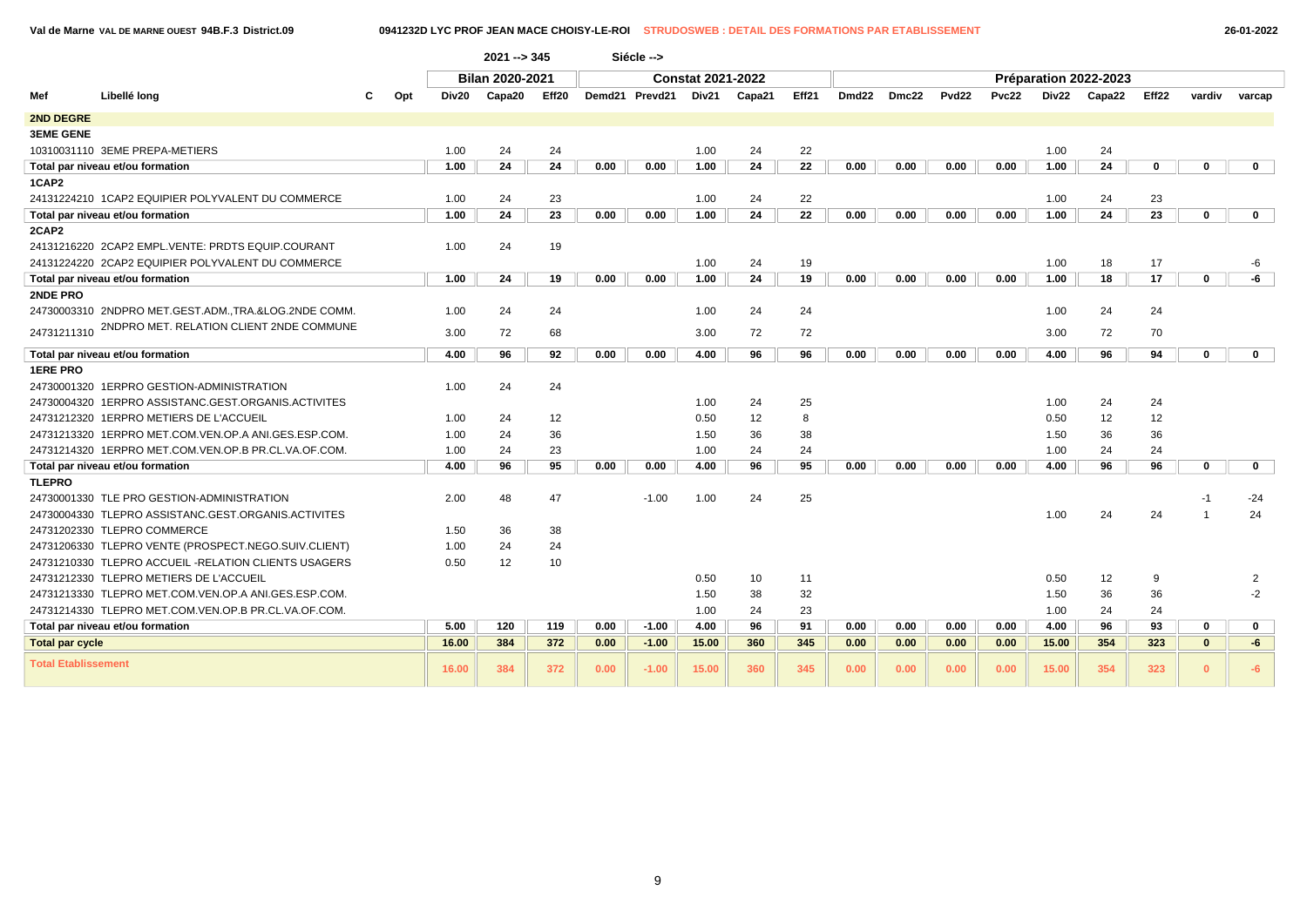**Val de Marne VAL DE MARNE OUEST 94B.F.3 District.09 0941232D LYC PROF JEAN MACE CHOISY-LE-ROI STRUDOSWEB : DETAIL DES FORMATIONS PAR ETABLISSEMENT 26-01-2022**

|                            |                                                       |     |       | $2021 - 345$           |       |      | Siécle -->     |                          |        |       |                   |       |                   |              |       |                       |       |              |             |
|----------------------------|-------------------------------------------------------|-----|-------|------------------------|-------|------|----------------|--------------------------|--------|-------|-------------------|-------|-------------------|--------------|-------|-----------------------|-------|--------------|-------------|
|                            |                                                       |     |       | <b>Bilan 2020-2021</b> |       |      |                | <b>Constat 2021-2022</b> |        |       |                   |       |                   |              |       | Préparation 2022-2023 |       |              |             |
| Mef                        | Libellé long                                          | Opt | Div20 | Capa20                 | Eff20 |      | Demd21 Prevd21 | Div21                    | Capa21 | Eff21 | Dmd <sub>22</sub> | Dmc22 | Pvd <sub>22</sub> | <b>Pvc22</b> | Div22 | Capa22                | Eff22 | vardiv       | varcap      |
| <b>2ND DEGRE</b>           |                                                       |     |       |                        |       |      |                |                          |        |       |                   |       |                   |              |       |                       |       |              |             |
| <b>3EME GENE</b>           |                                                       |     |       |                        |       |      |                |                          |        |       |                   |       |                   |              |       |                       |       |              |             |
|                            | 10310031110 3EME PREPA-METIERS                        |     | 1.00  | 24                     | 24    |      |                | 1.00                     | 24     | 22    |                   |       |                   |              | 1.00  | 24                    |       |              |             |
|                            | Total par niveau et/ou formation                      |     | 1.00  | 24                     | 24    | 0.00 | 0.00           | 1.00                     | 24     | 22    | 0.00              | 0.00  | 0.00              | 0.00         | 1.00  | 24                    | 0     | 0            | $\mathbf 0$ |
| 1CAP2                      |                                                       |     |       |                        |       |      |                |                          |        |       |                   |       |                   |              |       |                       |       |              |             |
|                            | 24131224210 1CAP2 EQUIPIER POLYVALENT DU COMMERCE     |     | 1.00  | 24                     | 23    |      |                | 1.00                     | 24     | 22    |                   |       |                   |              | 1.00  | 24                    | 23    |              |             |
|                            | Total par niveau et/ou formation                      |     | 1.00  | 24                     | 23    | 0.00 | 0.00           | 1.00                     | 24     | 22    | 0.00              | 0.00  | 0.00              | 0.00         | 1.00  | 24                    | 23    | 0            | $\mathbf 0$ |
| 2CAP2                      |                                                       |     |       |                        |       |      |                |                          |        |       |                   |       |                   |              |       |                       |       |              |             |
|                            | 24131216220 2CAP2 EMPL.VENTE: PRDTS EQUIP.COURANT     |     | 1.00  | 24                     | 19    |      |                |                          |        |       |                   |       |                   |              |       |                       |       |              |             |
|                            | 24131224220 2CAP2 EQUIPIER POLYVALENT DU COMMERCE     |     |       |                        |       |      |                | 1.00                     | 24     | 19    |                   |       |                   |              | 1.00  | 18                    | 17    |              | -6          |
|                            | Total par niveau et/ou formation                      |     | 1.00  | 24                     | 19    | 0.00 | 0.00           | 1.00                     | 24     | 19    | 0.00              | 0.00  | 0.00              | 0.00         | 1.00  | 18                    | 17    | 0            | -6          |
| 2NDE PRO                   |                                                       |     |       |                        |       |      |                |                          |        |       |                   |       |                   |              |       |                       |       |              |             |
|                            | 24730003310 2NDPRO MET.GEST.ADM., TRA.&LOG.2NDE COMM. |     | 1.00  | 24                     | 24    |      |                | 1.00                     | 24     | 24    |                   |       |                   |              | 1.00  | 24                    | 24    |              |             |
| 24731211310                | 2NDPRO MET. RELATION CLIENT 2NDE COMMUNE              |     | 3.00  | 72                     | 68    |      |                | 3.00                     | 72     | 72    |                   |       |                   |              | 3.00  | 72                    | 70    |              |             |
|                            | Total par niveau et/ou formation                      |     | 4.00  | 96                     | 92    | 0.00 | 0.00           | 4.00                     | 96     | 96    | 0.00              | 0.00  | 0.00              | 0.00         | 4.00  | 96                    | 94    | 0            | $\mathbf 0$ |
| <b>1ERE PRO</b>            |                                                       |     |       |                        |       |      |                |                          |        |       |                   |       |                   |              |       |                       |       |              |             |
|                            | 24730001320 1ERPRO GESTION-ADMINISTRATION             |     | 1.00  | 24                     | 24    |      |                |                          |        |       |                   |       |                   |              |       |                       |       |              |             |
|                            | 24730004320 1ERPRO ASSISTANC.GEST.ORGANIS.ACTIVITES   |     |       |                        |       |      |                | 1.00                     | 24     | 25    |                   |       |                   |              | 1.00  | 24                    | 24    |              |             |
|                            | 24731212320 1ERPRO METIERS DE L'ACCUEIL               |     | 1.00  | 24                     | 12    |      |                | 0.50                     | 12     | 8     |                   |       |                   |              | 0.50  | 12                    | 12    |              |             |
|                            | 24731213320 1ERPRO MET.COM.VEN.OP.A ANI.GES.ESP.COM.  |     | 1.00  | 24                     | 36    |      |                | 1.50                     | 36     | 38    |                   |       |                   |              | 1.50  | 36                    | 36    |              |             |
|                            | 24731214320 1ERPRO MET.COM.VEN.OP.B PR.CL.VA.OF.COM.  |     | 1.00  | 24                     | 23    |      |                | 1.00                     | 24     | 24    |                   |       |                   |              | 1.00  | 24                    | 24    |              |             |
|                            | Total par niveau et/ou formation                      |     | 4.00  | 96                     | 95    | 0.00 | 0.00           | 4.00                     | 96     | 95    | 0.00              | 0.00  | 0.00              | 0.00         | 4.00  | 96                    | 96    | $\Omega$     | $\mathbf 0$ |
| <b>TLEPRO</b>              |                                                       |     |       |                        |       |      |                |                          |        |       |                   |       |                   |              |       |                       |       |              |             |
|                            | 24730001330 TLE PRO GESTION-ADMINISTRATION            |     | 2.00  | 48                     | 47    |      | $-1.00$        | 1.00                     | 24     | 25    |                   |       |                   |              |       |                       |       | -1           | $-24$       |
|                            | 24730004330 TLEPRO ASSISTANC.GEST.ORGANIS.ACTIVITES   |     |       |                        |       |      |                |                          |        |       |                   |       |                   |              | 1.00  | 24                    | 24    |              | 24          |
|                            | 24731202330 TLEPRO COMMERCE                           |     | 1.50  | 36                     | 38    |      |                |                          |        |       |                   |       |                   |              |       |                       |       |              |             |
|                            | 24731206330 TLEPRO VENTE (PROSPECT.NEGO.SUIV.CLIENT)  |     | 1.00  | 24                     | 24    |      |                |                          |        |       |                   |       |                   |              |       |                       |       |              |             |
|                            | 24731210330 TLEPRO ACCUEIL -RELATION CLIENTS USAGERS  |     | 0.50  | 12                     | 10    |      |                |                          |        |       |                   |       |                   |              |       |                       |       |              |             |
|                            | 24731212330 TLEPRO METIERS DE L'ACCUEIL               |     |       |                        |       |      |                | 0.50                     | 10     | 11    |                   |       |                   |              | 0.50  | 12                    | 9     |              | 2           |
|                            | 24731213330 TLEPRO MET.COM.VEN.OP.A ANI.GES.ESP.COM.  |     |       |                        |       |      |                | 1.50                     | 38     | 32    |                   |       |                   |              | 1.50  | 36                    | 36    |              | $-2$        |
|                            | 24731214330 TLEPRO MET.COM.VEN.OP.B PR.CL.VA.OF.COM.  |     |       |                        |       |      |                | 1.00                     | 24     | 23    |                   |       |                   |              | 1.00  | 24                    | 24    |              |             |
|                            | Total par niveau et/ou formation                      |     | 5.00  | 120                    | 119   | 0.00 | $-1.00$        | 4.00                     | 96     | 91    | 0.00              | 0.00  | 0.00              | 0.00         | 4.00  | 96                    | 93    | 0            | $\mathbf 0$ |
| <b>Total par cycle</b>     |                                                       |     | 16.00 | 384                    | 372   | 0.00 | $-1.00$        | 15.00                    | 360    | 345   | 0.00              | 0.00  | 0.00              | 0.00         | 15.00 | 354                   | 323   | $\mathbf{0}$ | -6          |
| <b>Total Etablissement</b> |                                                       |     | 16.00 | 384                    | 372   | 0.00 | $-1.00$        | 15.00                    | 360    | 345   | 0.00              | 0.00  | 0.00              | 0.00         | 15.00 | 354                   | 323   | $\Omega$     | $-6$        |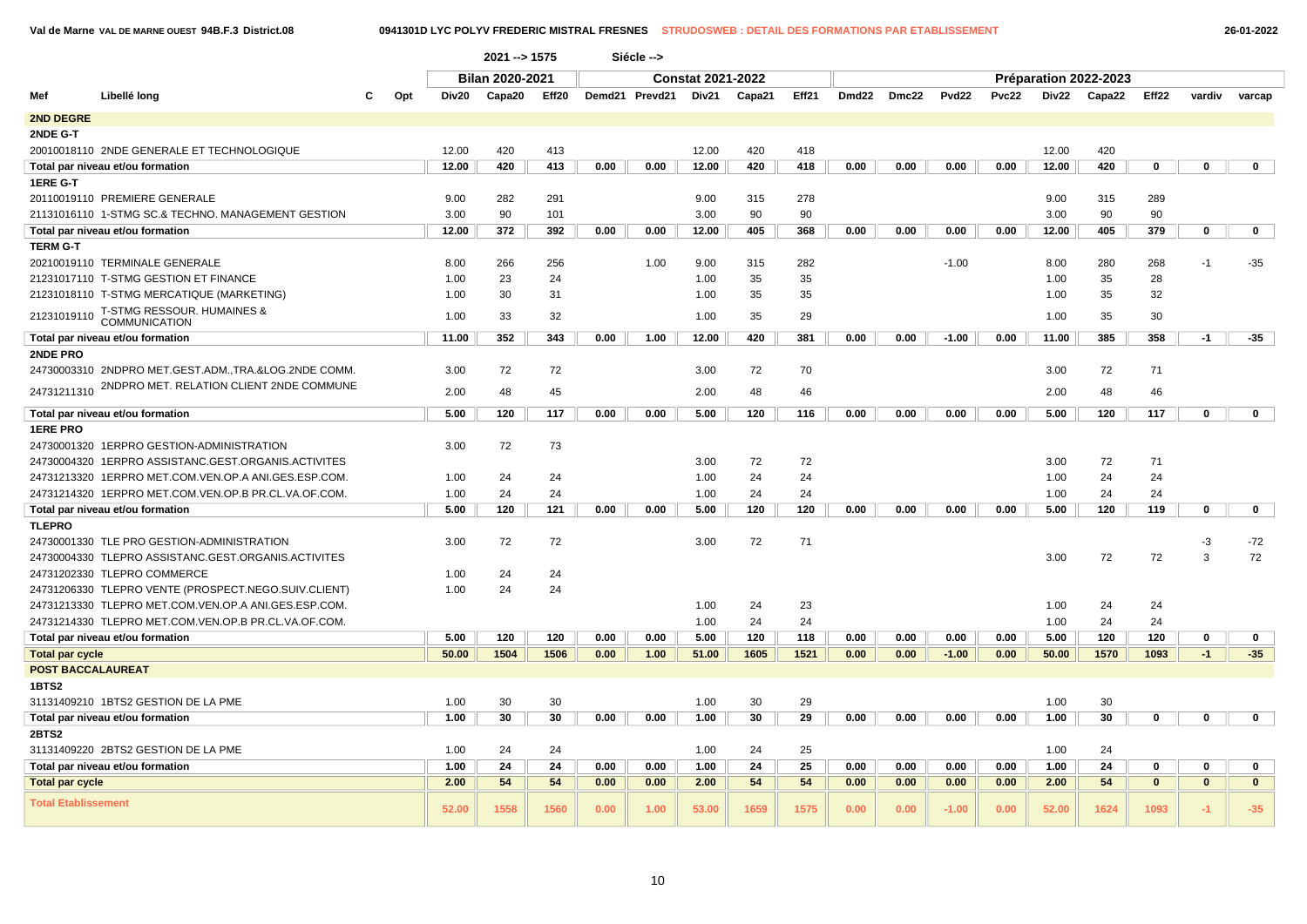|  | 26-01-2022 |
|--|------------|
|--|------------|

|                            |                                                      |     |       | $2021 - 1575$   |       |      | Siécle -->     |                          |        |       |       |       |         |              |       |                       |              |              |              |
|----------------------------|------------------------------------------------------|-----|-------|-----------------|-------|------|----------------|--------------------------|--------|-------|-------|-------|---------|--------------|-------|-----------------------|--------------|--------------|--------------|
|                            |                                                      |     |       | Bilan 2020-2021 |       |      |                | <b>Constat 2021-2022</b> |        |       |       |       |         |              |       | Préparation 2022-2023 |              |              |              |
| Mef                        | Libellé long                                         | Opt | Div20 | Capa20          | Eff20 |      | Demd21 Prevd21 | Div <sub>21</sub>        | Capa21 | Eff21 | Dmd22 | Dmc22 | Pvd22   | <b>Pvc22</b> | Div22 | Capa22                | Eff22        | vardiv       | varcap       |
| <b>2ND DEGRE</b>           |                                                      |     |       |                 |       |      |                |                          |        |       |       |       |         |              |       |                       |              |              |              |
| 2NDE G-T                   |                                                      |     |       |                 |       |      |                |                          |        |       |       |       |         |              |       |                       |              |              |              |
|                            | 20010018110 2NDE GENERALE ET TECHNOLOGIQUE           |     | 12.00 | 420             | 413   |      |                | 12.00                    | 420    | 418   |       |       |         |              | 12.00 | 420                   |              |              |              |
|                            | Total par niveau et/ou formation                     |     | 12.00 | 420             | 413   | 0.00 | 0.00           | 12.00                    | 420    | 418   | 0.00  | 0.00  | 0.00    | 0.00         | 12.00 | 420                   | 0            | $\mathbf 0$  | $\mathbf{0}$ |
| 1ERE G-T                   |                                                      |     |       |                 |       |      |                |                          |        |       |       |       |         |              |       |                       |              |              |              |
|                            | 20110019110 PREMIERE GENERALE                        |     | 9.00  | 282             | 291   |      |                | 9.00                     | 315    | 278   |       |       |         |              | 9.00  | 315                   | 289          |              |              |
|                            | 21131016110 1-STMG SC.& TECHNO. MANAGEMENT GESTION   |     | 3.00  | 90              | 101   |      |                | 3.00                     | 90     | 90    |       |       |         |              | 3.00  | 90                    | 90           |              |              |
|                            | Total par niveau et/ou formation                     |     | 12.00 | 372             | 392   | 0.00 | 0.00           | 12.00                    | 405    | 368   | 0.00  | 0.00  | 0.00    | 0.00         | 12.00 | 405                   | 379          | 0            | $\mathbf 0$  |
| <b>TERM G-T</b>            |                                                      |     |       |                 |       |      |                |                          |        |       |       |       |         |              |       |                       |              |              |              |
|                            | 20210019110 TERMINALE GENERALE                       |     | 8.00  | 266             | 256   |      | 1.00           | 9.00                     | 315    | 282   |       |       | $-1.00$ |              | 8.00  | 280                   | 268          | $-1$         | $-35$        |
|                            | 21231017110 T-STMG GESTION ET FINANCE                |     | 1.00  | 23              | 24    |      |                | 1.00                     | 35     | 35    |       |       |         |              | 1.00  | 35                    | 28           |              |              |
|                            | 21231018110 T-STMG MERCATIQUE (MARKETING)            |     | 1.00  | 30              | 31    |      |                | 1.00                     | 35     | 35    |       |       |         |              | 1.00  | 35                    | 32           |              |              |
| 21231019110                | T-STMG RESSOUR. HUMAINES &                           |     | 1.00  | 33              | 32    |      |                | 1.00                     | 35     | 29    |       |       |         |              | 1.00  | 35                    | 30           |              |              |
|                            | <b>COMMUNICATION</b>                                 |     |       |                 |       |      |                |                          |        |       |       |       |         |              |       |                       |              |              |              |
|                            | Total par niveau et/ou formation                     |     | 11.00 | 352             | 343   | 0.00 | 1.00           | 12.00                    | 420    | 381   | 0.00  | 0.00  | $-1.00$ | 0.00         | 11.00 | 385                   | 358          | $-1$         | $-35$        |
| 2NDE PRO                   | 24730003310 2NDPRO MET.GEST.ADM.,TRA.&LOG.2NDE COMM. |     | 3.00  | 72              | 72    |      |                | 3.00                     | 72     | 70    |       |       |         |              | 3.00  | 72                    | 71           |              |              |
| 24731211310                | 2NDPRO MET. RELATION CLIENT 2NDE COMMUNE             |     | 2.00  | 48              | 45    |      |                | 2.00                     | 48     | 46    |       |       |         |              | 2.00  | 48                    | 46           |              |              |
|                            | Total par niveau et/ou formation                     |     | 5.00  | 120             | 117   | 0.00 | 0.00           | 5.00                     | 120    | 116   | 0.00  | 0.00  | 0.00    | 0.00         | 5.00  | 120                   | 117          | $\mathbf 0$  | $\mathbf 0$  |
| <b>1ERE PRO</b>            |                                                      |     |       |                 |       |      |                |                          |        |       |       |       |         |              |       |                       |              |              |              |
|                            | 24730001320 1ERPRO GESTION-ADMINISTRATION            |     | 3.00  | 72              | 73    |      |                |                          |        |       |       |       |         |              |       |                       |              |              |              |
|                            | 24730004320 1ERPRO ASSISTANC.GEST.ORGANIS.ACTIVITES  |     |       |                 |       |      |                | 3.00                     | 72     | 72    |       |       |         |              | 3.00  | 72                    | 71           |              |              |
|                            | 24731213320 1ERPRO MET.COM.VEN.OP.A ANI.GES.ESP.COM. |     | 1.00  | 24              | 24    |      |                | 1.00                     | 24     | 24    |       |       |         |              | 1.00  | 24                    | 24           |              |              |
|                            | 24731214320 1ERPRO MET.COM.VEN.OP.B PR.CL.VA.OF.COM. |     | 1.00  | 24              | 24    |      |                | 1.00                     | 24     | 24    |       |       |         |              | 1.00  | 24                    | 24           |              |              |
|                            | Total par niveau et/ou formation                     |     | 5.00  | 120             | 121   | 0.00 | 0.00           | 5.00                     | 120    | 120   | 0.00  | 0.00  | 0.00    | 0.00         | 5.00  | 120                   | 119          | $\mathbf 0$  | $\mathbf{0}$ |
| <b>TLEPRO</b>              |                                                      |     |       |                 |       |      |                |                          |        |       |       |       |         |              |       |                       |              |              |              |
|                            | 24730001330 TLE PRO GESTION-ADMINISTRATION           |     | 3.00  | 72              | 72    |      |                | 3.00                     | 72     | 71    |       |       |         |              |       |                       |              | -3           | $-72$        |
|                            | 24730004330 TLEPRO ASSISTANC.GEST.ORGANIS.ACTIVITES  |     |       |                 |       |      |                |                          |        |       |       |       |         |              | 3.00  | 72                    | 72           | 3            | 72           |
|                            | 24731202330 TLEPRO COMMERCE                          |     | 1.00  | 24              | 24    |      |                |                          |        |       |       |       |         |              |       |                       |              |              |              |
|                            | 24731206330 TLEPRO VENTE (PROSPECT.NEGO.SUIV.CLIENT) |     | 1.00  | 24              | 24    |      |                |                          |        |       |       |       |         |              |       |                       |              |              |              |
|                            | 24731213330 TLEPRO MET.COM.VEN.OP.A ANI.GES.ESP.COM. |     |       |                 |       |      |                | 1.00                     | 24     | 23    |       |       |         |              | 1.00  | 24                    | 24           |              |              |
|                            | 24731214330 TLEPRO MET.COM.VEN.OP.B PR.CL.VA.OF.COM. |     |       |                 |       |      |                | 1.00                     | 24     | 24    |       |       |         |              | 1.00  | 24                    | 24           |              |              |
|                            | Total par niveau et/ou formation                     |     | 5.00  | 120             | 120   | 0.00 | 0.00           | 5.00                     | 120    | 118   | 0.00  | 0.00  | 0.00    | 0.00         | 5.00  | 120                   | 120          | 0            | 0            |
| <b>Total par cycle</b>     |                                                      |     | 50.00 | 1504            | 1506  | 0.00 | 1.00           | 51.00                    | 1605   | 1521  | 0.00  | 0.00  | $-1.00$ | 0.00         | 50.00 | 1570                  | 1093         | $-1$         | $-35$        |
| <b>POST BACCALAUREAT</b>   |                                                      |     |       |                 |       |      |                |                          |        |       |       |       |         |              |       |                       |              |              |              |
| 1BTS2                      |                                                      |     |       |                 |       |      |                |                          |        |       |       |       |         |              |       |                       |              |              |              |
|                            | 31131409210 1BTS2 GESTION DE LA PME                  |     | 1.00  | 30              | 30    |      |                | 1.00                     | 30     | 29    |       |       |         |              | 1.00  | 30                    |              |              |              |
|                            | Total par niveau et/ou formation                     |     | 1.00  | 30              | 30    | 0.00 | 0.00           | 1.00                     | 30     | 29    | 0.00  | 0.00  | 0.00    | 0.00         | 1.00  | 30                    | 0            | 0            | $\mathbf{0}$ |
| 2BTS2                      |                                                      |     |       |                 |       |      |                |                          |        |       |       |       |         |              |       |                       |              |              |              |
|                            | 31131409220 2BTS2 GESTION DE LA PME                  |     | 1.00  | 24              | 24    |      |                | 1.00                     | 24     | 25    |       |       |         |              | 1.00  | 24                    |              |              |              |
|                            | Total par niveau et/ou formation                     |     | 1.00  | 24              | 24    | 0.00 | 0.00           | 1.00                     | 24     | 25    | 0.00  | 0.00  | 0.00    | 0.00         | 1.00  | 24                    | 0            | 0            | 0            |
| <b>Total par cycle</b>     |                                                      |     | 2.00  | 54              | 54    | 0.00 | 0.00           | 2.00                     | 54     | 54    | 0.00  | 0.00  | 0.00    | 0.00         | 2.00  | 54                    | $\mathbf{0}$ | $\mathbf{0}$ | $\mathbf{0}$ |
| <b>Total Etablissement</b> |                                                      |     | 52.00 | 1558            | 1560  | 0.00 | 1.00           | 53.00                    | 1659   | 1575  | 0.00  | 0.00  | $-1.00$ | 0.00         | 52.00 | 1624                  | 1093         | -1.          | $-35$        |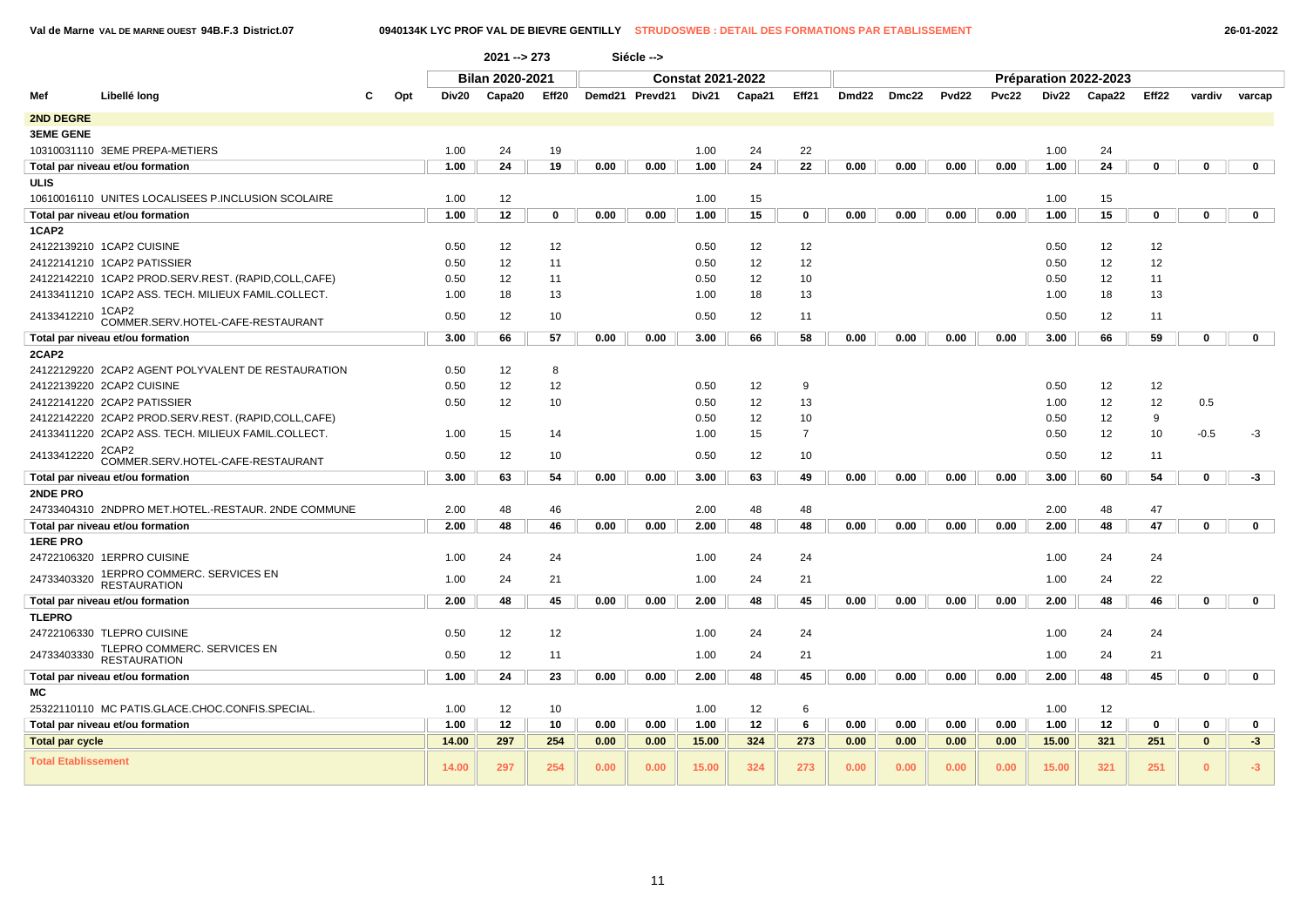# **Val de Marne VAL DE MARNE OUEST 94B.F.3 District.07 0940134K LYC PROF VAL DE BIEVRE GENTILLY STRUDOSWEB : DETAIL DES FORMATIONS PAR ETABLISSEMENT 26-01-2022**

|                            |                                                     |     |       | $2021 - 273$    |       |      | Siécle -->               |       |        |                |                   |       |              |       |                       |        |       |             |              |
|----------------------------|-----------------------------------------------------|-----|-------|-----------------|-------|------|--------------------------|-------|--------|----------------|-------------------|-------|--------------|-------|-----------------------|--------|-------|-------------|--------------|
|                            |                                                     |     |       | Bilan 2020-2021 |       |      | <b>Constat 2021-2022</b> |       |        |                |                   |       |              |       | Préparation 2022-2023 |        |       |             |              |
| Mef                        | Libellé long                                        | Opt | Div20 | Capa20          | Eff20 |      | Demd21 Prevd21           | Div21 | Capa21 | Eff21          | Dmd <sub>22</sub> | Dmc22 | <b>Pvd22</b> | Pvc22 | Div22                 | Capa22 | Eff22 | vardiv      | varcap       |
| 2ND DEGRE                  |                                                     |     |       |                 |       |      |                          |       |        |                |                   |       |              |       |                       |        |       |             |              |
| <b>3EME GENE</b>           |                                                     |     |       |                 |       |      |                          |       |        |                |                   |       |              |       |                       |        |       |             |              |
|                            | 10310031110 3EME PREPA-METIERS                      |     | 1.00  | 24              | 19    |      |                          | 1.00  | 24     | 22             |                   |       |              |       | 1.00                  | 24     |       |             |              |
|                            | Total par niveau et/ou formation                    |     | 1.00  | 24              | 19    | 0.00 | 0.00                     | 1.00  | 24     | 22             | 0.00              | 0.00  | 0.00         | 0.00  | 1.00                  | 24     | 0     | 0           | $\mathbf 0$  |
| ULIS                       |                                                     |     |       |                 |       |      |                          |       |        |                |                   |       |              |       |                       |        |       |             |              |
|                            | 10610016110 UNITES LOCALISEES P.INCLUSION SCOLAIRE  |     | 1.00  | 12              |       |      |                          | 1.00  | 15     |                |                   |       |              |       | 1.00                  | 15     |       |             |              |
|                            | Total par niveau et/ou formation                    |     | 1.00  | 12              | 0     | 0.00 | 0.00                     | 1.00  | 15     | 0              | 0.00              | 0.00  | 0.00         | 0.00  | 1.00                  | 15     | 0     | $\mathbf 0$ | $\mathbf{0}$ |
| 1CAP2                      |                                                     |     |       |                 |       |      |                          |       |        |                |                   |       |              |       |                       |        |       |             |              |
|                            | 24122139210 1CAP2 CUISINE                           |     | 0.50  | 12              | 12    |      |                          | 0.50  | 12     | 12             |                   |       |              |       | 0.50                  | 12     | 12    |             |              |
|                            | 24122141210 1CAP2 PATISSIER                         |     | 0.50  | 12              | 11    |      |                          | 0.50  | 12     | 12             |                   |       |              |       | 0.50                  | 12     | 12    |             |              |
|                            | 24122142210 1CAP2 PROD.SERV.REST. (RAPID,COLL,CAFE) |     | 0.50  | 12              | 11    |      |                          | 0.50  | 12     | 10             |                   |       |              |       | 0.50                  | 12     | 11    |             |              |
|                            | 24133411210 1CAP2 ASS. TECH. MILIEUX FAMIL.COLLECT. |     | 1.00  | 18              | 13    |      |                          | 1.00  | 18     | 13             |                   |       |              |       | 1.00                  | 18     | 13    |             |              |
| 24133412210                | 1CAP2                                               |     |       |                 |       |      |                          |       |        |                |                   |       |              |       |                       |        |       |             |              |
|                            | COMMER.SERV.HOTEL-CAFE-RESTAURANT                   |     | 0.50  | 12              | 10    |      |                          | 0.50  | 12     | 11             |                   |       |              |       | 0.50                  | 12     | 11    |             |              |
|                            | Total par niveau et/ou formation                    |     | 3.00  | 66              | 57    | 0.00 | 0.00                     | 3.00  | 66     | 58             | 0.00              | 0.00  | 0.00         | 0.00  | 3.00                  | 66     | 59    | 0           | $\mathbf{0}$ |
| 2CAP2                      |                                                     |     |       |                 |       |      |                          |       |        |                |                   |       |              |       |                       |        |       |             |              |
|                            | 24122129220 2CAP2 AGENT POLYVALENT DE RESTAURATION  |     | 0.50  | 12              | 8     |      |                          |       |        |                |                   |       |              |       |                       |        |       |             |              |
|                            | 24122139220 2CAP2 CUISINE                           |     | 0.50  | 12              | 12    |      |                          | 0.50  | 12     | 9              |                   |       |              |       | 0.50                  | 12     | 12    |             |              |
|                            | 24122141220 2CAP2 PATISSIER                         |     | 0.50  | 12              | 10    |      |                          | 0.50  | 12     | 13             |                   |       |              |       | 1.00                  | 12     | 12    | 0.5         |              |
|                            | 24122142220 2CAP2 PROD.SERV.REST. (RAPID,COLL,CAFE) |     |       |                 |       |      |                          | 0.50  | 12     | 10             |                   |       |              |       | 0.50                  | 12     | 9     |             |              |
|                            | 24133411220 2CAP2 ASS. TECH. MILIEUX FAMIL.COLLECT. |     | 1.00  | 15              | 14    |      |                          | 1.00  | 15     | $\overline{7}$ |                   |       |              |       | 0.50                  | 12     | 10    | $-0.5$      | $-3$         |
| 24133412220                | 2CAP2<br>COMMER.SERV.HOTEL-CAFE-RESTAURANT          |     | 0.50  | 12              | 10    |      |                          | 0.50  | 12     | 10             |                   |       |              |       | 0.50                  | 12     | 11    |             |              |
|                            | Total par niveau et/ou formation                    |     | 3.00  | 63              | 54    | 0.00 | 0.00                     | 3.00  | 63     | 49             | 0.00              | 0.00  | 0.00         | 0.00  | 3.00                  | 60     | 54    | $\mathbf 0$ | $-3$         |
| 2NDE PRO                   |                                                     |     |       |                 |       |      |                          |       |        |                |                   |       |              |       |                       |        |       |             |              |
|                            | 24733404310 2NDPRO MET.HOTEL.-RESTAUR. 2NDE COMMUNE |     | 2.00  | 48              | 46    |      |                          | 2.00  | 48     | 48             |                   |       |              |       | 2.00                  | 48     | 47    |             |              |
|                            | Total par niveau et/ou formation                    |     | 2.00  | 48              | 46    | 0.00 | 0.00                     | 2.00  | 48     | 48             | 0.00              | 0.00  | 0.00         | 0.00  | 2.00                  | 48     | 47    | 0           | $\mathbf 0$  |
| <b>1ERE PRO</b>            |                                                     |     |       |                 |       |      |                          |       |        |                |                   |       |              |       |                       |        |       |             |              |
|                            | 24722106320 1ERPRO CUISINE                          |     | 1.00  | 24              | 24    |      |                          | 1.00  | 24     | 24             |                   |       |              |       | 1.00                  | 24     | 24    |             |              |
| 24733403320                | 1ERPRO COMMERC. SERVICES EN<br><b>RESTAURATION</b>  |     | 1.00  | 24              | 21    |      |                          | 1.00  | 24     | 21             |                   |       |              |       | 1.00                  | 24     | 22    |             |              |
|                            | Total par niveau et/ou formation                    |     | 2.00  | 48              | 45    | 0.00 | 0.00                     | 2.00  | 48     | 45             | 0.00              | 0.00  | 0.00         | 0.00  | 2.00                  | 48     | 46    | $\mathbf 0$ | $\mathbf{0}$ |
| <b>TLEPRO</b>              |                                                     |     |       |                 |       |      |                          |       |        |                |                   |       |              |       |                       |        |       |             |              |
|                            | 24722106330 TLEPRO CUISINE                          |     | 0.50  | 12              | 12    |      |                          | 1.00  | 24     | 24             |                   |       |              |       | 1.00                  | 24     | 24    |             |              |
| 24733403330                | TLEPRO COMMERC. SERVICES EN<br><b>RESTAURATION</b>  |     | 0.50  | 12              | 11    |      |                          | 1.00  | 24     | 21             |                   |       |              |       | 1.00                  | 24     | 21    |             |              |
|                            | Total par niveau et/ou formation                    |     | 1.00  | 24              | 23    | 0.00 | 0.00                     | 2.00  | 48     | 45             | 0.00              | 0.00  | 0.00         | 0.00  | 2.00                  | 48     | 45    | $\mathbf 0$ | $\mathbf{0}$ |
| МC                         |                                                     |     |       |                 |       |      |                          |       |        |                |                   |       |              |       |                       |        |       |             |              |
|                            | 25322110110 MC PATIS.GLACE.CHOC.CONFIS.SPECIAL.     |     | 1.00  | 12              | 10    |      |                          | 1.00  | 12     | 6              |                   |       |              |       | 1.00                  | 12     |       |             |              |
|                            | Total par niveau et/ou formation                    |     | 1.00  | 12              | 10    | 0.00 | 0.00                     | 1.00  | 12     | 6              | 0.00              | 0.00  | 0.00         | 0.00  | 1.00                  | 12     | 0     | 0           | $\mathbf 0$  |
| <b>Total par cycle</b>     |                                                     |     | 14.00 | 297             | 254   | 0.00 | 0.00                     | 15.00 | 324    | 273            | 0.00              | 0.00  | 0.00         | 0.00  | 15.00                 | 321    | 251   | $\bf{0}$    | $-3$         |
| <b>Total Etablissement</b> |                                                     |     | 14.00 | 297             | 254   | 0.00 | 0.00                     | 15.00 | 324    | 273            | 0.00              | 0.00  | 0.00         | 0.00  | 15.00                 | 321    | 251   | $\bf{0}$    | $-3$         |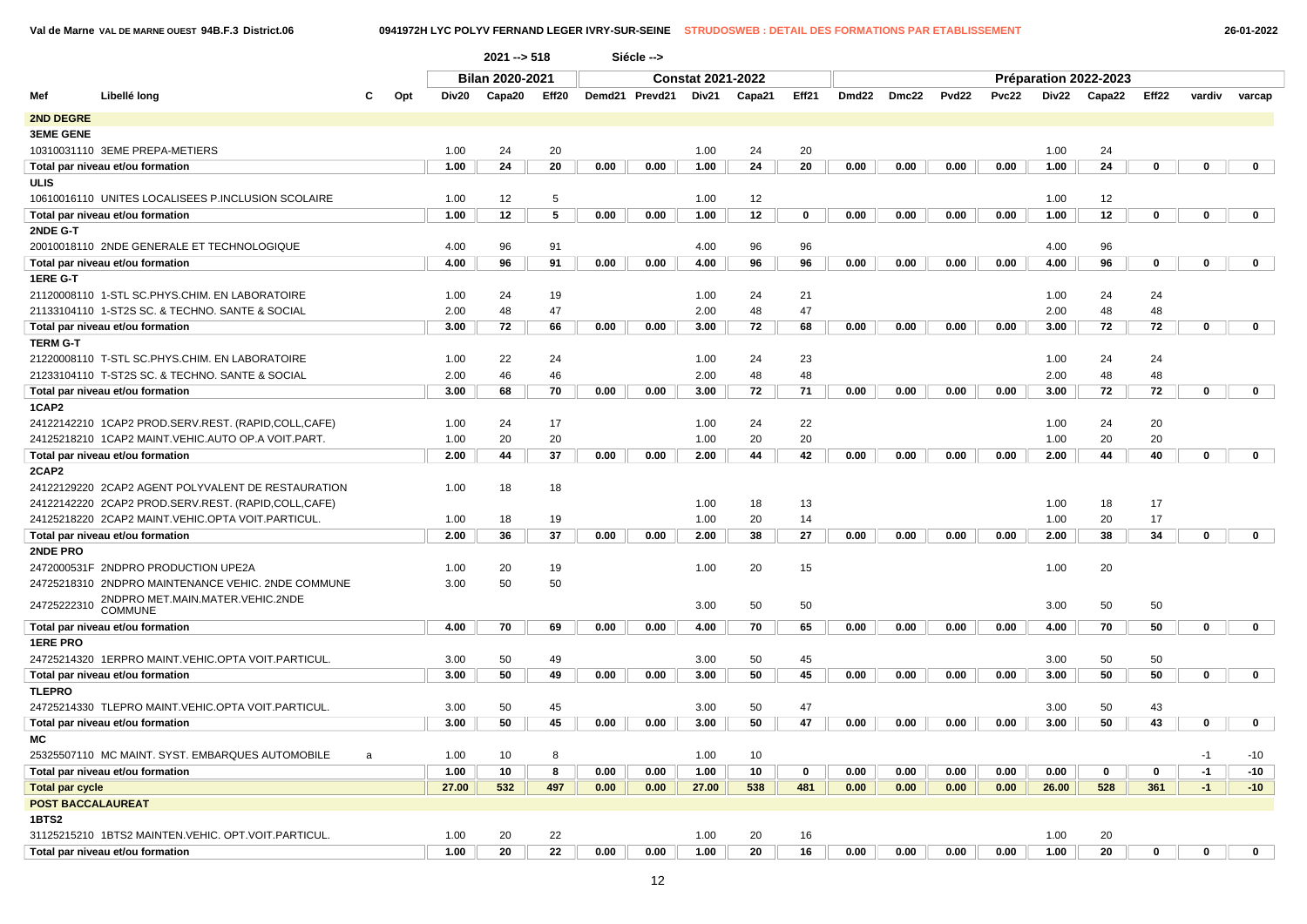**Val de Marne VAL DE MARNE OUEST 94B.F.3 District.06 0941972H LYC POLYV FERNAND LEGER IVRY-SUR-SEINE STRUDOSWEB : DETAIL DES FORMATIONS PAR ETABLISSEMENT 26-01-2022**

|                        |                                                       |     |       | 2021 -- > 518          |       |      | Siécle -->     |                          |        |             |       |              |       |       |       |                       |          |              |              |
|------------------------|-------------------------------------------------------|-----|-------|------------------------|-------|------|----------------|--------------------------|--------|-------------|-------|--------------|-------|-------|-------|-----------------------|----------|--------------|--------------|
|                        |                                                       |     |       | <b>Bilan 2020-2021</b> |       |      |                | <b>Constat 2021-2022</b> |        |             |       |              |       |       |       | Préparation 2022-2023 |          |              |              |
| Mef                    | Libellé long<br>C                                     | Opt | Div20 | Capa20                 | Eff20 |      | Demd21 Prevd21 | Div21                    | Capa21 | Eff21       | Dmd22 | <b>Dmc22</b> | Pvd22 | Pvc22 | Div22 | Capa22                | Eff22    | vardiv       | varcap       |
| 2ND DEGRE              |                                                       |     |       |                        |       |      |                |                          |        |             |       |              |       |       |       |                       |          |              |              |
| <b>3EME GENE</b>       |                                                       |     |       |                        |       |      |                |                          |        |             |       |              |       |       |       |                       |          |              |              |
|                        | 10310031110 3EME PREPA-METIERS                        |     | 1.00  | 24                     | 20    |      |                | 1.00                     | 24     | 20          |       |              |       |       | 1.00  | 24                    |          |              |              |
|                        | Total par niveau et/ou formation                      |     | 1.00  | 24                     | 20    | 0.00 | 0.00           | 1.00                     | 24     | 20          | 0.00  | 0.00         | 0.00  | 0.00  | 1.00  | 24                    | 0        | 0            | $\mathbf 0$  |
| ULIS                   |                                                       |     |       |                        |       |      |                |                          |        |             |       |              |       |       |       |                       |          |              |              |
|                        | 10610016110 UNITES LOCALISEES P.INCLUSION SCOLAIRE    |     | 1.00  | 12                     | 5     |      |                | 1.00                     | 12     |             |       |              |       |       | 1.00  | 12                    |          |              |              |
|                        | Total par niveau et/ou formation                      |     | 1.00  | 12                     | 5     | 0.00 | 0.00           | 1.00                     | 12     | $\mathbf 0$ | 0.00  | 0.00         | 0.00  | 0.00  | 1.00  | 12                    | 0        | $\mathbf 0$  | $\mathbf 0$  |
| 2NDE G-T               |                                                       |     |       |                        |       |      |                |                          |        |             |       |              |       |       |       |                       |          |              |              |
|                        | 20010018110 2NDE GENERALE ET TECHNOLOGIQUE            |     | 4.00  | 96                     | 91    |      |                | 4.00                     | 96     | 96          |       |              |       |       | 4.00  | 96                    |          |              |              |
|                        | Total par niveau et/ou formation                      |     | 4.00  | 96                     | 91    | 0.00 | 0.00           | 4.00                     | 96     | 96          | 0.00  | 0.00         | 0.00  | 0.00  | 4.00  | 96                    | 0        | $\mathbf 0$  | $\mathbf{0}$ |
| 1ERE G-T               |                                                       |     |       |                        |       |      |                |                          |        |             |       |              |       |       |       |                       |          |              |              |
|                        | 21120008110 1-STL SC.PHYS.CHIM. EN LABORATOIRE        |     | 1.00  | 24                     | 19    |      |                | 1.00                     | 24     | 21          |       |              |       |       | 1.00  | 24                    | 24       |              |              |
|                        | 21133104110 1-ST2S SC. & TECHNO. SANTE & SOCIAL       |     | 2.00  | 48                     | 47    |      |                | 2.00                     | 48     | 47          |       |              |       |       | 2.00  | 48                    | 48       |              |              |
|                        | Total par niveau et/ou formation                      |     | 3.00  | 72                     | 66    | 0.00 | 0.00           | 3.00                     | 72     | 68          | 0.00  | 0.00         | 0.00  | 0.00  | 3.00  | 72                    | 72       | $\mathbf 0$  | $\mathbf{0}$ |
| <b>TERM G-T</b>        |                                                       |     |       |                        |       |      |                |                          |        |             |       |              |       |       |       |                       |          |              |              |
|                        | 21220008110 T-STL SC.PHYS.CHIM. EN LABORATOIRE        |     | 1.00  | 22                     | 24    |      |                | 1.00                     | 24     | 23          |       |              |       |       | 1.00  | 24                    | 24       |              |              |
|                        | 21233104110 T-ST2S SC. & TECHNO. SANTE & SOCIAL       |     | 2.00  | 46                     | 46    |      |                | 2.00                     | 48     | 48          |       |              |       |       | 2.00  | 48                    | 48       |              |              |
|                        | Total par niveau et/ou formation                      |     | 3.00  | 68                     | 70    | 0.00 | 0.00           | 3.00                     | 72     | 71          | 0.00  | 0.00         | 0.00  | 0.00  | 3.00  | 72                    | 72       | $\mathbf 0$  | $\mathbf 0$  |
| 1CAP2                  |                                                       |     |       |                        |       |      |                |                          |        |             |       |              |       |       |       |                       |          |              |              |
|                        | 24122142210 1CAP2 PROD.SERV.REST. (RAPID,COLL,CAFE)   |     | 1.00  | 24                     | 17    |      |                | 1.00                     | 24     | 22          |       |              |       |       | 1.00  | 24                    | 20       |              |              |
|                        | 24125218210 1CAP2 MAINT.VEHIC.AUTO OP.A VOIT.PART.    |     | 1.00  | 20                     | 20    |      |                | 1.00                     | 20     | 20          |       |              |       |       | 1.00  | 20                    | 20       |              |              |
|                        | Total par niveau et/ou formation                      |     | 2.00  | 44                     | 37    | 0.00 | 0.00           | 2.00                     | 44     | 42          | 0.00  | 0.00         | 0.00  | 0.00  | 2.00  | 44                    | 40       | $\mathbf 0$  | $\mathbf 0$  |
| 2CAP2                  |                                                       |     |       |                        |       |      |                |                          |        |             |       |              |       |       |       |                       |          |              |              |
|                        | 24122129220 2CAP2 AGENT POLYVALENT DE RESTAURATION    |     | 1.00  | 18                     | 18    |      |                |                          |        |             |       |              |       |       |       |                       |          |              |              |
|                        | 24122142220 2CAP2 PROD.SERV.REST. (RAPID,COLL,CAFE)   |     |       |                        |       |      |                | 1.00                     | 18     | 13          |       |              |       |       | 1.00  | 18                    | 17       |              |              |
|                        | 24125218220 2CAP2 MAINT.VEHIC.OPTA VOIT.PARTICUL.     |     | 1.00  | 18                     | 19    |      |                | 1.00                     | 20     | 14          |       |              |       |       | 1.00  | 20                    | 17       |              |              |
|                        | Total par niveau et/ou formation                      |     | 2.00  | 36                     | 37    | 0.00 | 0.00           | 2.00                     | 38     | 27          | 0.00  | 0.00         | 0.00  | 0.00  | 2.00  | 38                    | 34       | $\mathbf 0$  | $\mathbf 0$  |
| 2NDE PRO               |                                                       |     |       |                        |       |      |                |                          |        |             |       |              |       |       |       |                       |          |              |              |
|                        | 2472000531F 2NDPRO PRODUCTION UPE2A                   |     | 1.00  | 20                     | 19    |      |                | 1.00                     | 20     | 15          |       |              |       |       | 1.00  | 20                    |          |              |              |
|                        | 24725218310 2NDPRO MAINTENANCE VEHIC. 2NDE COMMUNE    |     | 3.00  | 50                     | 50    |      |                |                          |        |             |       |              |       |       |       |                       |          |              |              |
| 24725222310            | 2NDPRO MET.MAIN.MATER.VEHIC.2NDE                      |     |       |                        |       |      |                | 3.00                     | 50     | 50          |       |              |       |       | 3.00  | 50                    | 50       |              |              |
|                        | <b>COMMUNE</b>                                        |     |       |                        |       |      |                |                          |        |             |       |              |       |       |       |                       |          |              |              |
|                        | Total par niveau et/ou formation                      |     | 4.00  | 70                     | 69    | 0.00 | 0.00           | 4.00                     | 70     | 65          | 0.00  | 0.00         | 0.00  | 0.00  | 4.00  | 70                    | 50       | 0            | $\mathbf 0$  |
| <b>1ERE PRO</b>        |                                                       |     |       |                        |       |      |                |                          |        |             |       |              |       |       |       |                       |          |              |              |
|                        | 24725214320 1ERPRO MAINT.VEHIC.OPTA VOIT.PARTICUL.    |     | 3.00  | 50                     | 49    |      |                | 3.00                     | 50     | 45          |       |              |       |       | 3.00  | 50                    | 50       |              |              |
|                        | Total par niveau et/ou formation                      |     | 3.00  | 50                     | 49    | 0.00 | 0.00           | 3.00                     | 50     | 45          | 0.00  | 0.00         | 0.00  | 0.00  | 3.00  | 50                    | 50       | $\mathbf 0$  | $\mathbf 0$  |
| <b>TLEPRO</b>          |                                                       |     |       |                        |       |      |                |                          |        |             |       |              |       |       |       |                       |          |              |              |
|                        | 24725214330 TLEPRO MAINT.VEHIC.OPTA VOIT.PARTICUL.    |     | 3.00  | 50                     | 45    |      |                | 3.00                     | 50     | 47          |       |              |       |       | 3.00  | 50                    | 43       |              |              |
|                        | Total par niveau et/ou formation                      |     | 3.00  | 50                     | 45    | 0.00 | 0.00           | 3.00                     | 50     | 47          | 0.00  | 0.00         | 0.00  | 0.00  | 3.00  | 50                    | 43       | 0            | $\mathbf 0$  |
| МC                     |                                                       |     |       |                        |       |      |                |                          |        |             |       |              |       |       |       |                       |          |              |              |
|                        | 25325507110 MC MAINT. SYST. EMBARQUES AUTOMOBILE<br>a |     | 1.00  | 10                     | 8     |      |                | 1.00                     | 10     |             |       |              |       |       |       |                       |          | $-1$         | $-10$        |
|                        | Total par niveau et/ou formation                      |     | 1.00  | 10                     | 8     | 0.00 | 0.00           | 1.00                     | 10     | $\mathbf 0$ | 0.00  | 0.00         | 0.00  | 0.00  | 0.00  | $\mathbf 0$           | 0        | $-1$         | $-10$        |
| <b>Total par cycle</b> |                                                       |     | 27.00 | 532                    | 497   | 0.00 | 0.00           | 27.00                    | 538    | 481         | 0.00  | 0.00         | 0.00  | 0.00  | 26.00 | 528                   | 361      | $-1$         | $-10$        |
|                        | <b>POST BACCALAUREAT</b>                              |     |       |                        |       |      |                |                          |        |             |       |              |       |       |       |                       |          |              |              |
| <b>1BTS2</b>           |                                                       |     |       |                        |       |      |                |                          |        |             |       |              |       |       |       |                       |          |              |              |
|                        | 31125215210 1BTS2 MAINTEN.VEHIC. OPT.VOIT.PARTICUL.   |     | 1.00  | 20                     | 22    |      |                | 1.00                     | 20     | 16          |       |              |       |       | 1.00  | 20                    |          |              |              |
|                        | Total par niveau et/ou formation                      |     | 1.00  | 20                     | 22    | 0.00 | 0.00           | 1.00                     | 20     | 16          | 0.00  | 0.00         | 0.00  | 0.00  | 1.00  | 20                    | $\Omega$ | $\mathbf{0}$ | $\mathbf 0$  |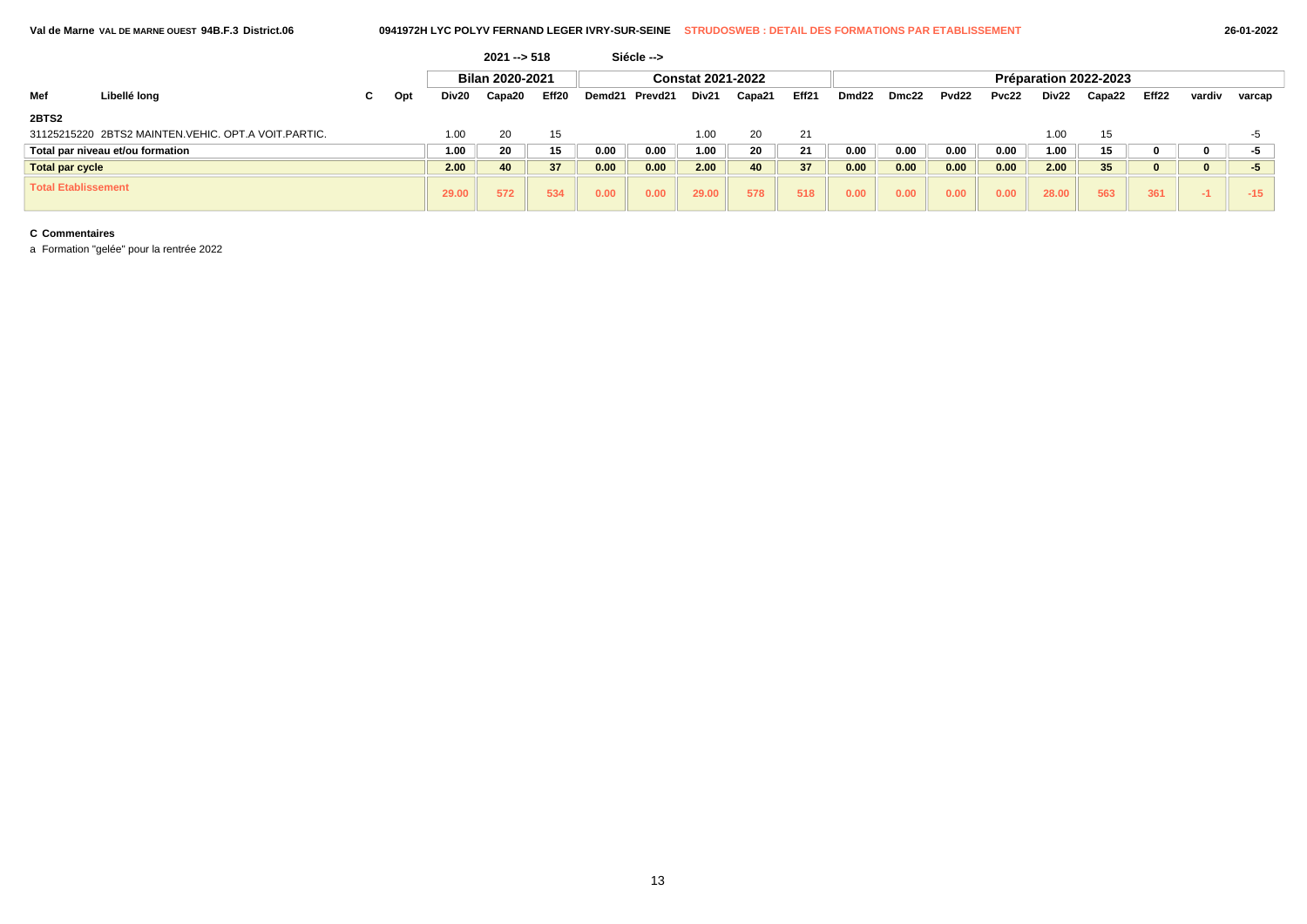|                            |                                                     |    |     |       | $2021 - 518$           |                   |        | Siécle --> |                          |        |                 |                   |       |                   |       |       |                       |       |        |        |
|----------------------------|-----------------------------------------------------|----|-----|-------|------------------------|-------------------|--------|------------|--------------------------|--------|-----------------|-------------------|-------|-------------------|-------|-------|-----------------------|-------|--------|--------|
|                            |                                                     |    |     |       | <b>Bilan 2020-2021</b> |                   |        |            | <b>Constat 2021-2022</b> |        |                 |                   |       |                   |       |       | Préparation 2022-2023 |       |        |        |
| Mef                        | Libellé long                                        | C. | Opt | Div20 | Capa20                 | Eff <sub>20</sub> | Demd21 | Prevd21    | Div21                    | Capa21 | Eff21           | Dmd <sub>22</sub> | Dmc22 | Pvd <sub>22</sub> | Pvc22 | Div22 | Capa22                | Eff22 | vardiv | varcap |
| 2BTS2                      |                                                     |    |     |       |                        |                   |        |            |                          |        |                 |                   |       |                   |       |       |                       |       |        |        |
|                            | 31125215220 2BTS2 MAINTEN.VEHIC. OPT.A VOIT.PARTIC. |    |     | 1.00  | 20                     | 15                |        |            | 1.00                     | 20     | 21              |                   |       |                   |       | 1.00  | 15                    |       |        | ÷h     |
|                            | Total par niveau et/ou formation                    |    |     | 1.00  | 20                     | 15                | 0.00   | 0.00       | 1.00                     | 20     | 21              | 0.00              | 0.00  | 0.00              | 0.00  | 1.00  | 15                    |       |        | -5     |
| <b>Total par cycle</b>     |                                                     |    |     | 2.00  | 40                     | 37                | 0.00   | 0.00       | 2.00                     | 40     | 37 <sup>5</sup> | 0.00              | 0.00  | 0.00              | 0.00  | 2.00  | 35 <sub>5</sub>       |       |        | -5     |
| <b>Total Etablissement</b> |                                                     |    |     | 29.00 | 572                    | 534               | 0.00   | 0.00       | 29.00                    | 578    | 518             | 0.00              | 0.00  | 0.00              | 0.00  | 28.00 | 563                   | 361   | -1.    | $-15$  |

a Formation "gelée" pour la rentrée 2022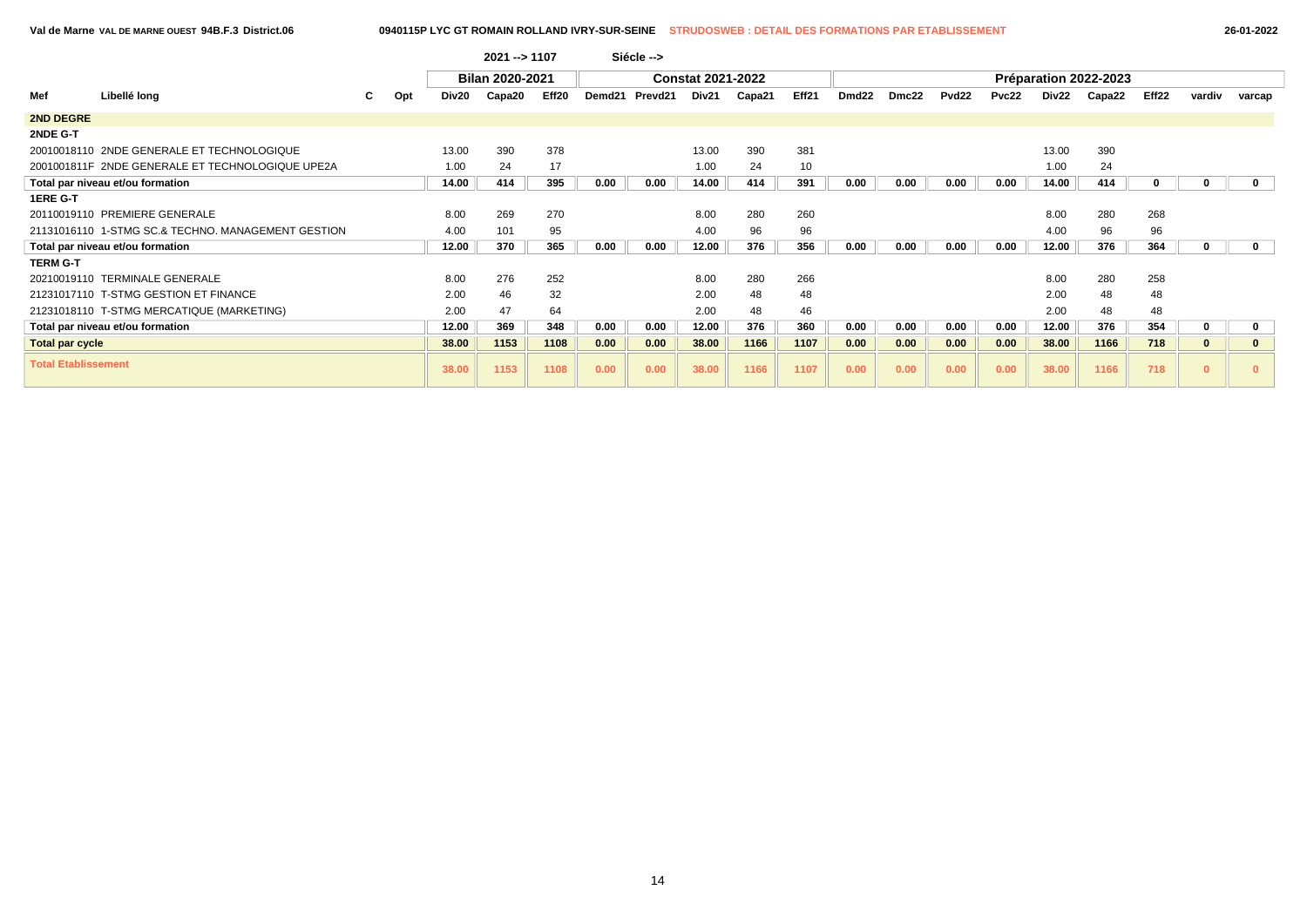|                            |                                                    |    |     |       | 2021 -- > 1107         |                   |        | Siécle --> |                          |        |       |                   |       |                   |       |       |                       |       |          |             |
|----------------------------|----------------------------------------------------|----|-----|-------|------------------------|-------------------|--------|------------|--------------------------|--------|-------|-------------------|-------|-------------------|-------|-------|-----------------------|-------|----------|-------------|
|                            |                                                    |    |     |       | <b>Bilan 2020-2021</b> |                   |        |            | <b>Constat 2021-2022</b> |        |       |                   |       |                   |       |       | Préparation 2022-2023 |       |          |             |
| Mef                        | Libellé long                                       | C. | Opt | Div20 | Capa20                 | Eff <sub>20</sub> | Demd21 | Prevd21    | Div21                    | Capa21 | Eff21 | Dmd <sub>22</sub> | Dmc22 | Pvd <sub>22</sub> | Pvc22 | Div22 | Capa22                | Eff22 | vardiv   | varcap      |
| 2ND DEGRE                  |                                                    |    |     |       |                        |                   |        |            |                          |        |       |                   |       |                   |       |       |                       |       |          |             |
| 2NDE G-T                   |                                                    |    |     |       |                        |                   |        |            |                          |        |       |                   |       |                   |       |       |                       |       |          |             |
|                            | 20010018110 2NDE GENERALE ET TECHNOLOGIQUE         |    |     | 13.00 | 390                    | 378               |        |            | 13.00                    | 390    | 381   |                   |       |                   |       | 13.00 | 390                   |       |          |             |
|                            | 2001001811F 2NDE GENERALE ET TECHNOLOGIQUE UPE2A   |    |     | 1.00  | 24                     | 17                |        |            | 1.00                     | 24     | 10    |                   |       |                   |       | 1.00  | 24                    |       |          |             |
|                            | Total par niveau et/ou formation                   |    |     | 14.00 | 414                    | 395               | 0.00   | 0.00       | 14.00                    | 414    | 391   | 0.00              | 0.00  | 0.00              | 0.00  | 14.00 | 414                   | 0     | 0        | $\mathbf 0$ |
| 1ERE G-T                   |                                                    |    |     |       |                        |                   |        |            |                          |        |       |                   |       |                   |       |       |                       |       |          |             |
|                            | 20110019110 PREMIERE GENERALE                      |    |     | 8.00  | 269                    | 270               |        |            | 8.00                     | 280    | 260   |                   |       |                   |       | 8.00  | 280                   | 268   |          |             |
|                            | 21131016110 1-STMG SC.& TECHNO. MANAGEMENT GESTION |    |     | 4.00  | 101                    | 95                |        |            | 4.00                     | 96     | 96    |                   |       |                   |       | 4.00  | 96                    | 96    |          |             |
|                            | Total par niveau et/ou formation                   |    |     | 12.00 | 370                    | 365               | 0.00   | 0.00       | 12.00                    | 376    | 356   | 0.00              | 0.00  | 0.00              | 0.00  | 12.00 | 376                   | 364   |          | 0           |
| <b>TERM G-T</b>            |                                                    |    |     |       |                        |                   |        |            |                          |        |       |                   |       |                   |       |       |                       |       |          |             |
|                            | 20210019110 TERMINALE GENERALE                     |    |     | 8.00  | 276                    | 252               |        |            | 8.00                     | 280    | 266   |                   |       |                   |       | 8.00  | 280                   | 258   |          |             |
|                            | 21231017110 T-STMG GESTION ET FINANCE              |    |     | 2.00  | 46                     | 32                |        |            | 2.00                     | 48     | 48    |                   |       |                   |       | 2.00  | 48                    | 48    |          |             |
|                            | 21231018110 T-STMG MERCATIQUE (MARKETING)          |    |     | 2.00  | 47                     | 64                |        |            | 2.00                     | 48     | 46    |                   |       |                   |       | 2.00  | 48                    | 48    |          |             |
|                            | Total par niveau et/ou formation                   |    |     | 12.00 | 369                    | 348               | 0.00   | 0.00       | 12.00                    | 376    | 360   | 0.00              | 0.00  | 0.00              | 0.00  | 12.00 | 376                   | 354   | 0        | 0           |
| <b>Total par cycle</b>     |                                                    |    |     | 38.00 | 1153                   | 1108              | 0.00   | 0.00       | 38.00                    | 1166   | 1107  | 0.00              | 0.00  | 0.00              | 0.00  | 38.00 | 1166                  | 718   | $\bf{0}$ | $\mathbf 0$ |
| <b>Total Etablissement</b> |                                                    |    |     | 38.00 | 1153                   | 1108              | 0.00   | 0.00       | 38.00                    | 1166   | 1107  | 0.00              | 0.00  | 0.00              | 0.00  | 38.00 | 1166                  | 718   | $\bf{0}$ |             |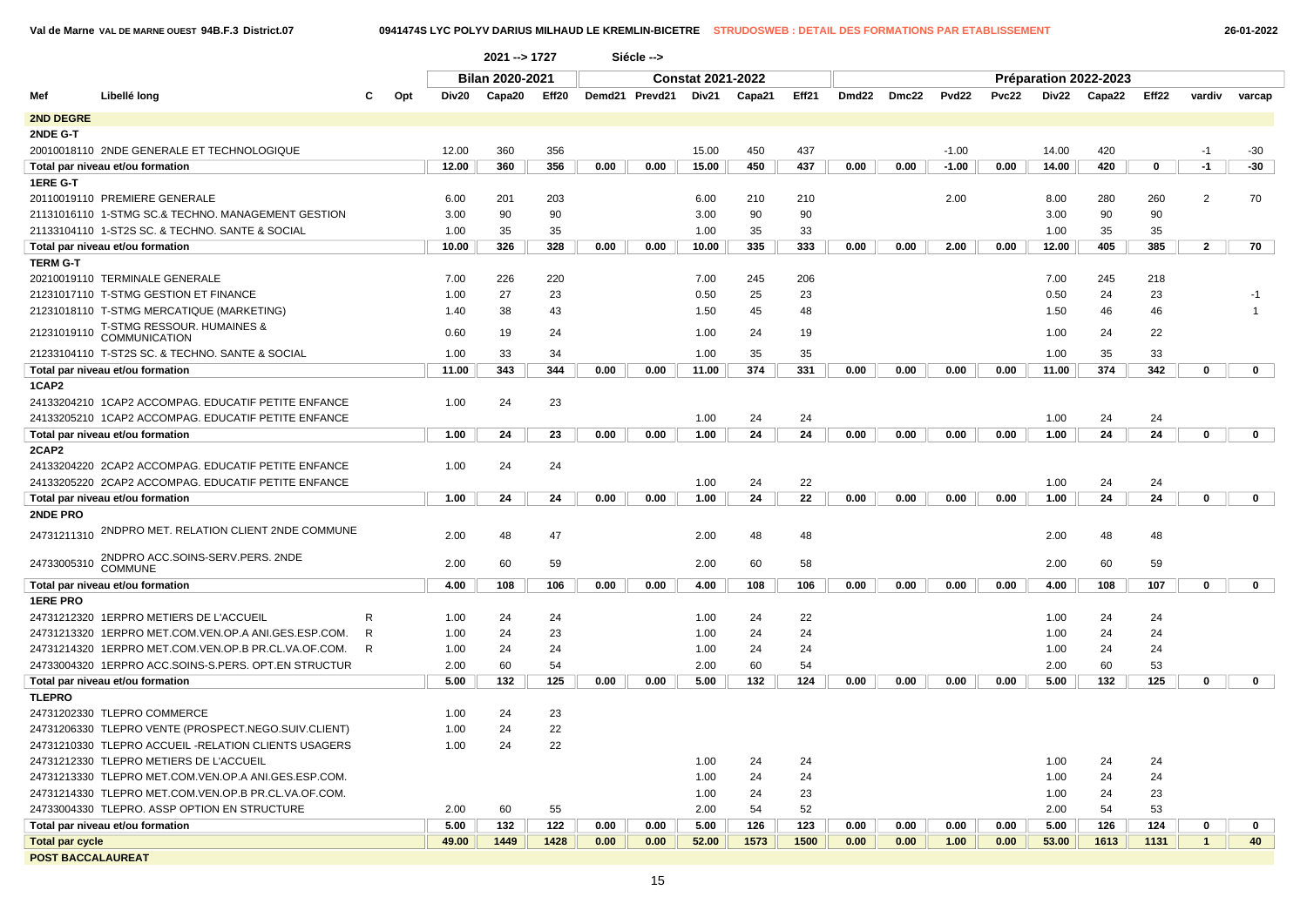**Val de Marne VAL DE MARNE OUEST 94B.F.3 District.07 0941474S LYC POLYV DARIUS MILHAUD LE KREMLIN-BICETRE STRUDOSWEB : DETAIL DES FORMATIONS PAR ETABLISSEMENT 26-01-2022**

| <b>Bilan 2020-2021</b><br><b>Constat 2021-2022</b><br>Préparation 2022-2023<br>Libellé long<br>Eff21<br>Dmd22<br>Pvd22<br>Pvc22<br>Div22<br>Capa22<br>Eff22<br>Mef<br>Opt<br>Div20<br>Capa20<br>Eff20<br>Demd21 Prevd21<br>Div21<br>Capa21<br>Dmc22<br>vardiv<br>varcap<br><b>2ND DEGRE</b><br>12.00<br>356<br>15.00<br>450<br>437<br>$-1.00$<br>14.00<br>420<br>20010018110 2NDE GENERALE ET TECHNOLOGIQUE<br>360<br>$-30$<br>$-1$<br>450<br>420<br>$-30$<br>12.00<br>360<br>356<br>0.00<br>0.00<br>437<br>0.00<br>0.00<br>0.00<br>$\mathbf 0$<br>$-1$<br>Total par niveau et/ou formation<br>15.00<br>$-1.00$<br>14.00<br>20110019110 PREMIERE GENERALE<br>6.00<br>201<br>203<br>6.00<br>210<br>210<br>2.00<br>8.00<br>280<br>260<br>2<br>70<br>21131016110 1-STMG SC.& TECHNO. MANAGEMENT GESTION<br>3.00<br>90<br>90<br>3.00<br>90<br>90<br>3.00<br>90<br>90<br>21133104110 1-ST2S SC. & TECHNO. SANTE & SOCIAL<br>35<br>35<br>33<br>35<br>35<br>1.00<br>1.00<br>35<br>1.00<br>10.00<br>326<br>328<br>335<br>333<br>12.00<br>405<br>385<br>$\overline{2}$<br>Total par niveau et/ou formation<br>0.00<br>0.00<br>10.00<br>0.00<br>0.00<br>2.00<br>0.00<br>70<br>20210019110 TERMINALE GENERALE<br>7.00<br>226<br>220<br>7.00<br>245<br>206<br>7.00<br>245<br>218<br>27<br>23<br>25<br>23<br>0.50<br>24<br>23<br>21231017110 T-STMG GESTION ET FINANCE<br>1.00<br>0.50<br>-1<br>21231018110 T-STMG MERCATIQUE (MARKETING)<br>38<br>43<br>1.50<br>45<br>48<br>1.50<br>46<br>46<br>1.40<br>T-STMG RESSOUR. HUMAINES &<br>21231019110<br>0.60<br>19<br>24<br>1.00<br>1.00<br>24<br>22<br>24<br>19<br><b>COMMUNICATION</b><br>1.00<br>33<br>1.00<br>35<br>35<br>1.00<br>35<br>33<br>21233104110 T-ST2S SC. & TECHNO. SANTE & SOCIAL<br>34<br>342<br>343<br>344<br>11.00<br>374<br>331<br>0.00<br>11.00<br>374<br>$\mathbf 0$<br>$\mathbf 0$<br>Total par niveau et/ou formation<br>11.00<br>0.00<br>0.00<br>0.00<br>0.00<br>0.00<br>1CAP2<br>24133204210 1CAP2 ACCOMPAG. EDUCATIF PETITE ENFANCE<br>1.00<br>24<br>23<br>24133205210 1CAP2 ACCOMPAG. EDUCATIF PETITE ENFANCE<br>1.00<br>24<br>24<br>1.00<br>24<br>24<br>24<br>24<br>24<br>24<br>Total par niveau et/ou formation<br>1.00<br>24<br>23<br>0.00<br>0.00<br>1.00<br>0.00<br>0.00<br>0.00<br>0.00<br>1.00<br>0<br>$\mathbf 0$<br>24133204220 2CAP2 ACCOMPAG. EDUCATIF PETITE ENFANCE<br>1.00<br>24<br>24<br>24133205220 2CAP2 ACCOMPAG. EDUCATIF PETITE ENFANCE<br>1.00<br>24<br>22<br>1.00<br>24<br>24<br>24<br>24<br>22<br>24<br>24<br>0<br>Total par niveau et/ou formation<br>1.00<br>24<br>0.00<br>0.00<br>1.00<br>0.00<br>0.00<br>0.00<br>0.00<br>1.00<br>$\mathbf 0$<br>2NDPRO MET. RELATION CLIENT 2NDE COMMUNE<br>24731211310<br>2.00<br>48<br>47<br>2.00<br>48<br>48<br>48<br>48<br>2.00<br>2NDPRO ACC.SOINS-SERV.PERS. 2NDE<br>24733005310<br>60<br>2.00<br>60<br>58<br>60<br>59<br>2.00<br>59<br>2.00<br><b>COMMUNE</b><br>Total par niveau et/ou formation<br>4.00<br>108<br>106<br>0.00<br>0.00<br>4.00<br>108<br>106<br>0.00<br>0.00<br>0.00<br>0.00<br>4.00<br>108<br>107<br>0<br>$\mathbf 0$<br><b>1ERE PRO</b><br>22<br>24731212320 1ERPRO METIERS DE L'ACCUEIL<br>1.00<br>24<br>24<br>24<br>1.00<br>24<br>24<br>R<br>1.00<br>23<br>24731213320 1ERPRO MET.COM.VEN.OP.A ANI.GES.ESP.COM.<br>R<br>1.00<br>24<br>1.00<br>24<br>24<br>1.00<br>24<br>24<br>24731214320 1ERPRO MET.COM.VEN.OP.B PR.CL.VA.OF.COM.<br>R<br>1.00<br>24<br>1.00<br>24<br>1.00<br>24<br>24<br>24<br>24<br>24733004320 1ERPRO ACC.SOINS-S.PERS. OPT.EN STRUCTUR<br>2.00<br>60<br>54<br>2.00<br>60<br>54<br>2.00<br>60<br>53<br>125<br>5.00<br>132<br>125<br>0.00<br>0.00<br>5.00<br>132<br>124<br>0.00<br>0.00<br>0.00<br>0.00<br>5.00<br>132<br>$\mathbf 0$<br>$\mathbf 0$<br>Total par niveau et/ou formation<br><b>TLEPRO</b><br>24731202330 TLEPRO COMMERCE<br>24<br>23<br>1.00<br>24<br>22<br>24731206330 TLEPRO VENTE (PROSPECT.NEGO.SUIV.CLIENT)<br>1.00<br>22<br>24731210330 TLEPRO ACCUEIL -RELATION CLIENTS USAGERS<br>1.00<br>24<br>24731212330 TLEPRO METIERS DE L'ACCUEIL<br>1.00<br>24<br>24<br>24<br>24<br>1.00<br>24731213330 TLEPRO MET.COM.VEN.OP.A ANI.GES.ESP.COM.<br>1.00<br>24<br>1.00<br>24<br>24<br>24<br>1.00<br>23<br>23<br>24731214330 TLEPRO MET.COM.VEN.OP.B PR.CL.VA.OF.COM.<br>1.00<br>24<br>24<br>24733004330 TLEPRO. ASSP OPTION EN STRUCTURE<br>2.00<br>52<br>53<br>2.00<br>60<br>55<br>54<br>2.00<br>54<br>5.00<br>132<br>122<br>0.00<br>0.00<br>5.00<br>126<br>123<br>0.00<br>0.00<br>0.00<br>0.00<br>5.00<br>126<br>124<br>Total par niveau et/ou formation<br>0<br>$\mathbf 0$<br>49.00<br>1449<br>1428<br>0.00<br>0.00<br>52.00<br>1573<br>1500<br>0.00<br>0.00<br>1.00<br>0.00<br>53.00<br>1613<br>1131<br>$\mathbf{1}$<br>40<br><b>Total par cycle</b><br><b>POST BACCALAUREAT</b> |                 |  | 2021 -- > 1727 |  | Siécle --> |  |  |  |  |  |  |  |
|-----------------------------------------------------------------------------------------------------------------------------------------------------------------------------------------------------------------------------------------------------------------------------------------------------------------------------------------------------------------------------------------------------------------------------------------------------------------------------------------------------------------------------------------------------------------------------------------------------------------------------------------------------------------------------------------------------------------------------------------------------------------------------------------------------------------------------------------------------------------------------------------------------------------------------------------------------------------------------------------------------------------------------------------------------------------------------------------------------------------------------------------------------------------------------------------------------------------------------------------------------------------------------------------------------------------------------------------------------------------------------------------------------------------------------------------------------------------------------------------------------------------------------------------------------------------------------------------------------------------------------------------------------------------------------------------------------------------------------------------------------------------------------------------------------------------------------------------------------------------------------------------------------------------------------------------------------------------------------------------------------------------------------------------------------------------------------------------------------------------------------------------------------------------------------------------------------------------------------------------------------------------------------------------------------------------------------------------------------------------------------------------------------------------------------------------------------------------------------------------------------------------------------------------------------------------------------------------------------------------------------------------------------------------------------------------------------------------------------------------------------------------------------------------------------------------------------------------------------------------------------------------------------------------------------------------------------------------------------------------------------------------------------------------------------------------------------------------------------------------------------------------------------------------------------------------------------------------------------------------------------------------------------------------------------------------------------------------------------------------------------------------------------------------------------------------------------------------------------------------------------------------------------------------------------------------------------------------------------------------------------------------------------------------------------------------------------------------------------------------------------------------------------------------------------------------------------------------------------------------------------------------------------------------------------------------------------------------------------------------------------------------------------------------------------------------------------------------------------------------------------------------------------------------------------------------------------------------------------------------------------------------------------------------------------------------------------------------------------------------------------------------------------------------------------------------------------------------------------------------------------------------------------------------------------------------------------------------------------------------------------------------------------------------------------------------------------------------------------------------------------------------------------|-----------------|--|----------------|--|------------|--|--|--|--|--|--|--|
|                                                                                                                                                                                                                                                                                                                                                                                                                                                                                                                                                                                                                                                                                                                                                                                                                                                                                                                                                                                                                                                                                                                                                                                                                                                                                                                                                                                                                                                                                                                                                                                                                                                                                                                                                                                                                                                                                                                                                                                                                                                                                                                                                                                                                                                                                                                                                                                                                                                                                                                                                                                                                                                                                                                                                                                                                                                                                                                                                                                                                                                                                                                                                                                                                                                                                                                                                                                                                                                                                                                                                                                                                                                                                                                                                                                                                                                                                                                                                                                                                                                                                                                                                                                                                                                                                                                                                                                                                                                                                                                                                                                                                                                                                                                                                                             |                 |  |                |  |            |  |  |  |  |  |  |  |
|                                                                                                                                                                                                                                                                                                                                                                                                                                                                                                                                                                                                                                                                                                                                                                                                                                                                                                                                                                                                                                                                                                                                                                                                                                                                                                                                                                                                                                                                                                                                                                                                                                                                                                                                                                                                                                                                                                                                                                                                                                                                                                                                                                                                                                                                                                                                                                                                                                                                                                                                                                                                                                                                                                                                                                                                                                                                                                                                                                                                                                                                                                                                                                                                                                                                                                                                                                                                                                                                                                                                                                                                                                                                                                                                                                                                                                                                                                                                                                                                                                                                                                                                                                                                                                                                                                                                                                                                                                                                                                                                                                                                                                                                                                                                                                             |                 |  |                |  |            |  |  |  |  |  |  |  |
|                                                                                                                                                                                                                                                                                                                                                                                                                                                                                                                                                                                                                                                                                                                                                                                                                                                                                                                                                                                                                                                                                                                                                                                                                                                                                                                                                                                                                                                                                                                                                                                                                                                                                                                                                                                                                                                                                                                                                                                                                                                                                                                                                                                                                                                                                                                                                                                                                                                                                                                                                                                                                                                                                                                                                                                                                                                                                                                                                                                                                                                                                                                                                                                                                                                                                                                                                                                                                                                                                                                                                                                                                                                                                                                                                                                                                                                                                                                                                                                                                                                                                                                                                                                                                                                                                                                                                                                                                                                                                                                                                                                                                                                                                                                                                                             |                 |  |                |  |            |  |  |  |  |  |  |  |
|                                                                                                                                                                                                                                                                                                                                                                                                                                                                                                                                                                                                                                                                                                                                                                                                                                                                                                                                                                                                                                                                                                                                                                                                                                                                                                                                                                                                                                                                                                                                                                                                                                                                                                                                                                                                                                                                                                                                                                                                                                                                                                                                                                                                                                                                                                                                                                                                                                                                                                                                                                                                                                                                                                                                                                                                                                                                                                                                                                                                                                                                                                                                                                                                                                                                                                                                                                                                                                                                                                                                                                                                                                                                                                                                                                                                                                                                                                                                                                                                                                                                                                                                                                                                                                                                                                                                                                                                                                                                                                                                                                                                                                                                                                                                                                             | 2NDE G-T        |  |                |  |            |  |  |  |  |  |  |  |
|                                                                                                                                                                                                                                                                                                                                                                                                                                                                                                                                                                                                                                                                                                                                                                                                                                                                                                                                                                                                                                                                                                                                                                                                                                                                                                                                                                                                                                                                                                                                                                                                                                                                                                                                                                                                                                                                                                                                                                                                                                                                                                                                                                                                                                                                                                                                                                                                                                                                                                                                                                                                                                                                                                                                                                                                                                                                                                                                                                                                                                                                                                                                                                                                                                                                                                                                                                                                                                                                                                                                                                                                                                                                                                                                                                                                                                                                                                                                                                                                                                                                                                                                                                                                                                                                                                                                                                                                                                                                                                                                                                                                                                                                                                                                                                             |                 |  |                |  |            |  |  |  |  |  |  |  |
|                                                                                                                                                                                                                                                                                                                                                                                                                                                                                                                                                                                                                                                                                                                                                                                                                                                                                                                                                                                                                                                                                                                                                                                                                                                                                                                                                                                                                                                                                                                                                                                                                                                                                                                                                                                                                                                                                                                                                                                                                                                                                                                                                                                                                                                                                                                                                                                                                                                                                                                                                                                                                                                                                                                                                                                                                                                                                                                                                                                                                                                                                                                                                                                                                                                                                                                                                                                                                                                                                                                                                                                                                                                                                                                                                                                                                                                                                                                                                                                                                                                                                                                                                                                                                                                                                                                                                                                                                                                                                                                                                                                                                                                                                                                                                                             |                 |  |                |  |            |  |  |  |  |  |  |  |
|                                                                                                                                                                                                                                                                                                                                                                                                                                                                                                                                                                                                                                                                                                                                                                                                                                                                                                                                                                                                                                                                                                                                                                                                                                                                                                                                                                                                                                                                                                                                                                                                                                                                                                                                                                                                                                                                                                                                                                                                                                                                                                                                                                                                                                                                                                                                                                                                                                                                                                                                                                                                                                                                                                                                                                                                                                                                                                                                                                                                                                                                                                                                                                                                                                                                                                                                                                                                                                                                                                                                                                                                                                                                                                                                                                                                                                                                                                                                                                                                                                                                                                                                                                                                                                                                                                                                                                                                                                                                                                                                                                                                                                                                                                                                                                             | 1ERE G-T        |  |                |  |            |  |  |  |  |  |  |  |
|                                                                                                                                                                                                                                                                                                                                                                                                                                                                                                                                                                                                                                                                                                                                                                                                                                                                                                                                                                                                                                                                                                                                                                                                                                                                                                                                                                                                                                                                                                                                                                                                                                                                                                                                                                                                                                                                                                                                                                                                                                                                                                                                                                                                                                                                                                                                                                                                                                                                                                                                                                                                                                                                                                                                                                                                                                                                                                                                                                                                                                                                                                                                                                                                                                                                                                                                                                                                                                                                                                                                                                                                                                                                                                                                                                                                                                                                                                                                                                                                                                                                                                                                                                                                                                                                                                                                                                                                                                                                                                                                                                                                                                                                                                                                                                             |                 |  |                |  |            |  |  |  |  |  |  |  |
|                                                                                                                                                                                                                                                                                                                                                                                                                                                                                                                                                                                                                                                                                                                                                                                                                                                                                                                                                                                                                                                                                                                                                                                                                                                                                                                                                                                                                                                                                                                                                                                                                                                                                                                                                                                                                                                                                                                                                                                                                                                                                                                                                                                                                                                                                                                                                                                                                                                                                                                                                                                                                                                                                                                                                                                                                                                                                                                                                                                                                                                                                                                                                                                                                                                                                                                                                                                                                                                                                                                                                                                                                                                                                                                                                                                                                                                                                                                                                                                                                                                                                                                                                                                                                                                                                                                                                                                                                                                                                                                                                                                                                                                                                                                                                                             |                 |  |                |  |            |  |  |  |  |  |  |  |
|                                                                                                                                                                                                                                                                                                                                                                                                                                                                                                                                                                                                                                                                                                                                                                                                                                                                                                                                                                                                                                                                                                                                                                                                                                                                                                                                                                                                                                                                                                                                                                                                                                                                                                                                                                                                                                                                                                                                                                                                                                                                                                                                                                                                                                                                                                                                                                                                                                                                                                                                                                                                                                                                                                                                                                                                                                                                                                                                                                                                                                                                                                                                                                                                                                                                                                                                                                                                                                                                                                                                                                                                                                                                                                                                                                                                                                                                                                                                                                                                                                                                                                                                                                                                                                                                                                                                                                                                                                                                                                                                                                                                                                                                                                                                                                             |                 |  |                |  |            |  |  |  |  |  |  |  |
|                                                                                                                                                                                                                                                                                                                                                                                                                                                                                                                                                                                                                                                                                                                                                                                                                                                                                                                                                                                                                                                                                                                                                                                                                                                                                                                                                                                                                                                                                                                                                                                                                                                                                                                                                                                                                                                                                                                                                                                                                                                                                                                                                                                                                                                                                                                                                                                                                                                                                                                                                                                                                                                                                                                                                                                                                                                                                                                                                                                                                                                                                                                                                                                                                                                                                                                                                                                                                                                                                                                                                                                                                                                                                                                                                                                                                                                                                                                                                                                                                                                                                                                                                                                                                                                                                                                                                                                                                                                                                                                                                                                                                                                                                                                                                                             |                 |  |                |  |            |  |  |  |  |  |  |  |
|                                                                                                                                                                                                                                                                                                                                                                                                                                                                                                                                                                                                                                                                                                                                                                                                                                                                                                                                                                                                                                                                                                                                                                                                                                                                                                                                                                                                                                                                                                                                                                                                                                                                                                                                                                                                                                                                                                                                                                                                                                                                                                                                                                                                                                                                                                                                                                                                                                                                                                                                                                                                                                                                                                                                                                                                                                                                                                                                                                                                                                                                                                                                                                                                                                                                                                                                                                                                                                                                                                                                                                                                                                                                                                                                                                                                                                                                                                                                                                                                                                                                                                                                                                                                                                                                                                                                                                                                                                                                                                                                                                                                                                                                                                                                                                             | <b>TERM G-T</b> |  |                |  |            |  |  |  |  |  |  |  |
|                                                                                                                                                                                                                                                                                                                                                                                                                                                                                                                                                                                                                                                                                                                                                                                                                                                                                                                                                                                                                                                                                                                                                                                                                                                                                                                                                                                                                                                                                                                                                                                                                                                                                                                                                                                                                                                                                                                                                                                                                                                                                                                                                                                                                                                                                                                                                                                                                                                                                                                                                                                                                                                                                                                                                                                                                                                                                                                                                                                                                                                                                                                                                                                                                                                                                                                                                                                                                                                                                                                                                                                                                                                                                                                                                                                                                                                                                                                                                                                                                                                                                                                                                                                                                                                                                                                                                                                                                                                                                                                                                                                                                                                                                                                                                                             |                 |  |                |  |            |  |  |  |  |  |  |  |
|                                                                                                                                                                                                                                                                                                                                                                                                                                                                                                                                                                                                                                                                                                                                                                                                                                                                                                                                                                                                                                                                                                                                                                                                                                                                                                                                                                                                                                                                                                                                                                                                                                                                                                                                                                                                                                                                                                                                                                                                                                                                                                                                                                                                                                                                                                                                                                                                                                                                                                                                                                                                                                                                                                                                                                                                                                                                                                                                                                                                                                                                                                                                                                                                                                                                                                                                                                                                                                                                                                                                                                                                                                                                                                                                                                                                                                                                                                                                                                                                                                                                                                                                                                                                                                                                                                                                                                                                                                                                                                                                                                                                                                                                                                                                                                             |                 |  |                |  |            |  |  |  |  |  |  |  |
|                                                                                                                                                                                                                                                                                                                                                                                                                                                                                                                                                                                                                                                                                                                                                                                                                                                                                                                                                                                                                                                                                                                                                                                                                                                                                                                                                                                                                                                                                                                                                                                                                                                                                                                                                                                                                                                                                                                                                                                                                                                                                                                                                                                                                                                                                                                                                                                                                                                                                                                                                                                                                                                                                                                                                                                                                                                                                                                                                                                                                                                                                                                                                                                                                                                                                                                                                                                                                                                                                                                                                                                                                                                                                                                                                                                                                                                                                                                                                                                                                                                                                                                                                                                                                                                                                                                                                                                                                                                                                                                                                                                                                                                                                                                                                                             |                 |  |                |  |            |  |  |  |  |  |  |  |
|                                                                                                                                                                                                                                                                                                                                                                                                                                                                                                                                                                                                                                                                                                                                                                                                                                                                                                                                                                                                                                                                                                                                                                                                                                                                                                                                                                                                                                                                                                                                                                                                                                                                                                                                                                                                                                                                                                                                                                                                                                                                                                                                                                                                                                                                                                                                                                                                                                                                                                                                                                                                                                                                                                                                                                                                                                                                                                                                                                                                                                                                                                                                                                                                                                                                                                                                                                                                                                                                                                                                                                                                                                                                                                                                                                                                                                                                                                                                                                                                                                                                                                                                                                                                                                                                                                                                                                                                                                                                                                                                                                                                                                                                                                                                                                             |                 |  |                |  |            |  |  |  |  |  |  |  |
|                                                                                                                                                                                                                                                                                                                                                                                                                                                                                                                                                                                                                                                                                                                                                                                                                                                                                                                                                                                                                                                                                                                                                                                                                                                                                                                                                                                                                                                                                                                                                                                                                                                                                                                                                                                                                                                                                                                                                                                                                                                                                                                                                                                                                                                                                                                                                                                                                                                                                                                                                                                                                                                                                                                                                                                                                                                                                                                                                                                                                                                                                                                                                                                                                                                                                                                                                                                                                                                                                                                                                                                                                                                                                                                                                                                                                                                                                                                                                                                                                                                                                                                                                                                                                                                                                                                                                                                                                                                                                                                                                                                                                                                                                                                                                                             |                 |  |                |  |            |  |  |  |  |  |  |  |
|                                                                                                                                                                                                                                                                                                                                                                                                                                                                                                                                                                                                                                                                                                                                                                                                                                                                                                                                                                                                                                                                                                                                                                                                                                                                                                                                                                                                                                                                                                                                                                                                                                                                                                                                                                                                                                                                                                                                                                                                                                                                                                                                                                                                                                                                                                                                                                                                                                                                                                                                                                                                                                                                                                                                                                                                                                                                                                                                                                                                                                                                                                                                                                                                                                                                                                                                                                                                                                                                                                                                                                                                                                                                                                                                                                                                                                                                                                                                                                                                                                                                                                                                                                                                                                                                                                                                                                                                                                                                                                                                                                                                                                                                                                                                                                             |                 |  |                |  |            |  |  |  |  |  |  |  |
|                                                                                                                                                                                                                                                                                                                                                                                                                                                                                                                                                                                                                                                                                                                                                                                                                                                                                                                                                                                                                                                                                                                                                                                                                                                                                                                                                                                                                                                                                                                                                                                                                                                                                                                                                                                                                                                                                                                                                                                                                                                                                                                                                                                                                                                                                                                                                                                                                                                                                                                                                                                                                                                                                                                                                                                                                                                                                                                                                                                                                                                                                                                                                                                                                                                                                                                                                                                                                                                                                                                                                                                                                                                                                                                                                                                                                                                                                                                                                                                                                                                                                                                                                                                                                                                                                                                                                                                                                                                                                                                                                                                                                                                                                                                                                                             |                 |  |                |  |            |  |  |  |  |  |  |  |
|                                                                                                                                                                                                                                                                                                                                                                                                                                                                                                                                                                                                                                                                                                                                                                                                                                                                                                                                                                                                                                                                                                                                                                                                                                                                                                                                                                                                                                                                                                                                                                                                                                                                                                                                                                                                                                                                                                                                                                                                                                                                                                                                                                                                                                                                                                                                                                                                                                                                                                                                                                                                                                                                                                                                                                                                                                                                                                                                                                                                                                                                                                                                                                                                                                                                                                                                                                                                                                                                                                                                                                                                                                                                                                                                                                                                                                                                                                                                                                                                                                                                                                                                                                                                                                                                                                                                                                                                                                                                                                                                                                                                                                                                                                                                                                             |                 |  |                |  |            |  |  |  |  |  |  |  |
|                                                                                                                                                                                                                                                                                                                                                                                                                                                                                                                                                                                                                                                                                                                                                                                                                                                                                                                                                                                                                                                                                                                                                                                                                                                                                                                                                                                                                                                                                                                                                                                                                                                                                                                                                                                                                                                                                                                                                                                                                                                                                                                                                                                                                                                                                                                                                                                                                                                                                                                                                                                                                                                                                                                                                                                                                                                                                                                                                                                                                                                                                                                                                                                                                                                                                                                                                                                                                                                                                                                                                                                                                                                                                                                                                                                                                                                                                                                                                                                                                                                                                                                                                                                                                                                                                                                                                                                                                                                                                                                                                                                                                                                                                                                                                                             |                 |  |                |  |            |  |  |  |  |  |  |  |
|                                                                                                                                                                                                                                                                                                                                                                                                                                                                                                                                                                                                                                                                                                                                                                                                                                                                                                                                                                                                                                                                                                                                                                                                                                                                                                                                                                                                                                                                                                                                                                                                                                                                                                                                                                                                                                                                                                                                                                                                                                                                                                                                                                                                                                                                                                                                                                                                                                                                                                                                                                                                                                                                                                                                                                                                                                                                                                                                                                                                                                                                                                                                                                                                                                                                                                                                                                                                                                                                                                                                                                                                                                                                                                                                                                                                                                                                                                                                                                                                                                                                                                                                                                                                                                                                                                                                                                                                                                                                                                                                                                                                                                                                                                                                                                             |                 |  |                |  |            |  |  |  |  |  |  |  |
|                                                                                                                                                                                                                                                                                                                                                                                                                                                                                                                                                                                                                                                                                                                                                                                                                                                                                                                                                                                                                                                                                                                                                                                                                                                                                                                                                                                                                                                                                                                                                                                                                                                                                                                                                                                                                                                                                                                                                                                                                                                                                                                                                                                                                                                                                                                                                                                                                                                                                                                                                                                                                                                                                                                                                                                                                                                                                                                                                                                                                                                                                                                                                                                                                                                                                                                                                                                                                                                                                                                                                                                                                                                                                                                                                                                                                                                                                                                                                                                                                                                                                                                                                                                                                                                                                                                                                                                                                                                                                                                                                                                                                                                                                                                                                                             | 2CAP2           |  |                |  |            |  |  |  |  |  |  |  |
|                                                                                                                                                                                                                                                                                                                                                                                                                                                                                                                                                                                                                                                                                                                                                                                                                                                                                                                                                                                                                                                                                                                                                                                                                                                                                                                                                                                                                                                                                                                                                                                                                                                                                                                                                                                                                                                                                                                                                                                                                                                                                                                                                                                                                                                                                                                                                                                                                                                                                                                                                                                                                                                                                                                                                                                                                                                                                                                                                                                                                                                                                                                                                                                                                                                                                                                                                                                                                                                                                                                                                                                                                                                                                                                                                                                                                                                                                                                                                                                                                                                                                                                                                                                                                                                                                                                                                                                                                                                                                                                                                                                                                                                                                                                                                                             |                 |  |                |  |            |  |  |  |  |  |  |  |
|                                                                                                                                                                                                                                                                                                                                                                                                                                                                                                                                                                                                                                                                                                                                                                                                                                                                                                                                                                                                                                                                                                                                                                                                                                                                                                                                                                                                                                                                                                                                                                                                                                                                                                                                                                                                                                                                                                                                                                                                                                                                                                                                                                                                                                                                                                                                                                                                                                                                                                                                                                                                                                                                                                                                                                                                                                                                                                                                                                                                                                                                                                                                                                                                                                                                                                                                                                                                                                                                                                                                                                                                                                                                                                                                                                                                                                                                                                                                                                                                                                                                                                                                                                                                                                                                                                                                                                                                                                                                                                                                                                                                                                                                                                                                                                             |                 |  |                |  |            |  |  |  |  |  |  |  |
|                                                                                                                                                                                                                                                                                                                                                                                                                                                                                                                                                                                                                                                                                                                                                                                                                                                                                                                                                                                                                                                                                                                                                                                                                                                                                                                                                                                                                                                                                                                                                                                                                                                                                                                                                                                                                                                                                                                                                                                                                                                                                                                                                                                                                                                                                                                                                                                                                                                                                                                                                                                                                                                                                                                                                                                                                                                                                                                                                                                                                                                                                                                                                                                                                                                                                                                                                                                                                                                                                                                                                                                                                                                                                                                                                                                                                                                                                                                                                                                                                                                                                                                                                                                                                                                                                                                                                                                                                                                                                                                                                                                                                                                                                                                                                                             |                 |  |                |  |            |  |  |  |  |  |  |  |
|                                                                                                                                                                                                                                                                                                                                                                                                                                                                                                                                                                                                                                                                                                                                                                                                                                                                                                                                                                                                                                                                                                                                                                                                                                                                                                                                                                                                                                                                                                                                                                                                                                                                                                                                                                                                                                                                                                                                                                                                                                                                                                                                                                                                                                                                                                                                                                                                                                                                                                                                                                                                                                                                                                                                                                                                                                                                                                                                                                                                                                                                                                                                                                                                                                                                                                                                                                                                                                                                                                                                                                                                                                                                                                                                                                                                                                                                                                                                                                                                                                                                                                                                                                                                                                                                                                                                                                                                                                                                                                                                                                                                                                                                                                                                                                             | <b>2NDE PRO</b> |  |                |  |            |  |  |  |  |  |  |  |
|                                                                                                                                                                                                                                                                                                                                                                                                                                                                                                                                                                                                                                                                                                                                                                                                                                                                                                                                                                                                                                                                                                                                                                                                                                                                                                                                                                                                                                                                                                                                                                                                                                                                                                                                                                                                                                                                                                                                                                                                                                                                                                                                                                                                                                                                                                                                                                                                                                                                                                                                                                                                                                                                                                                                                                                                                                                                                                                                                                                                                                                                                                                                                                                                                                                                                                                                                                                                                                                                                                                                                                                                                                                                                                                                                                                                                                                                                                                                                                                                                                                                                                                                                                                                                                                                                                                                                                                                                                                                                                                                                                                                                                                                                                                                                                             |                 |  |                |  |            |  |  |  |  |  |  |  |
|                                                                                                                                                                                                                                                                                                                                                                                                                                                                                                                                                                                                                                                                                                                                                                                                                                                                                                                                                                                                                                                                                                                                                                                                                                                                                                                                                                                                                                                                                                                                                                                                                                                                                                                                                                                                                                                                                                                                                                                                                                                                                                                                                                                                                                                                                                                                                                                                                                                                                                                                                                                                                                                                                                                                                                                                                                                                                                                                                                                                                                                                                                                                                                                                                                                                                                                                                                                                                                                                                                                                                                                                                                                                                                                                                                                                                                                                                                                                                                                                                                                                                                                                                                                                                                                                                                                                                                                                                                                                                                                                                                                                                                                                                                                                                                             |                 |  |                |  |            |  |  |  |  |  |  |  |
|                                                                                                                                                                                                                                                                                                                                                                                                                                                                                                                                                                                                                                                                                                                                                                                                                                                                                                                                                                                                                                                                                                                                                                                                                                                                                                                                                                                                                                                                                                                                                                                                                                                                                                                                                                                                                                                                                                                                                                                                                                                                                                                                                                                                                                                                                                                                                                                                                                                                                                                                                                                                                                                                                                                                                                                                                                                                                                                                                                                                                                                                                                                                                                                                                                                                                                                                                                                                                                                                                                                                                                                                                                                                                                                                                                                                                                                                                                                                                                                                                                                                                                                                                                                                                                                                                                                                                                                                                                                                                                                                                                                                                                                                                                                                                                             |                 |  |                |  |            |  |  |  |  |  |  |  |
|                                                                                                                                                                                                                                                                                                                                                                                                                                                                                                                                                                                                                                                                                                                                                                                                                                                                                                                                                                                                                                                                                                                                                                                                                                                                                                                                                                                                                                                                                                                                                                                                                                                                                                                                                                                                                                                                                                                                                                                                                                                                                                                                                                                                                                                                                                                                                                                                                                                                                                                                                                                                                                                                                                                                                                                                                                                                                                                                                                                                                                                                                                                                                                                                                                                                                                                                                                                                                                                                                                                                                                                                                                                                                                                                                                                                                                                                                                                                                                                                                                                                                                                                                                                                                                                                                                                                                                                                                                                                                                                                                                                                                                                                                                                                                                             |                 |  |                |  |            |  |  |  |  |  |  |  |
|                                                                                                                                                                                                                                                                                                                                                                                                                                                                                                                                                                                                                                                                                                                                                                                                                                                                                                                                                                                                                                                                                                                                                                                                                                                                                                                                                                                                                                                                                                                                                                                                                                                                                                                                                                                                                                                                                                                                                                                                                                                                                                                                                                                                                                                                                                                                                                                                                                                                                                                                                                                                                                                                                                                                                                                                                                                                                                                                                                                                                                                                                                                                                                                                                                                                                                                                                                                                                                                                                                                                                                                                                                                                                                                                                                                                                                                                                                                                                                                                                                                                                                                                                                                                                                                                                                                                                                                                                                                                                                                                                                                                                                                                                                                                                                             |                 |  |                |  |            |  |  |  |  |  |  |  |
|                                                                                                                                                                                                                                                                                                                                                                                                                                                                                                                                                                                                                                                                                                                                                                                                                                                                                                                                                                                                                                                                                                                                                                                                                                                                                                                                                                                                                                                                                                                                                                                                                                                                                                                                                                                                                                                                                                                                                                                                                                                                                                                                                                                                                                                                                                                                                                                                                                                                                                                                                                                                                                                                                                                                                                                                                                                                                                                                                                                                                                                                                                                                                                                                                                                                                                                                                                                                                                                                                                                                                                                                                                                                                                                                                                                                                                                                                                                                                                                                                                                                                                                                                                                                                                                                                                                                                                                                                                                                                                                                                                                                                                                                                                                                                                             |                 |  |                |  |            |  |  |  |  |  |  |  |
|                                                                                                                                                                                                                                                                                                                                                                                                                                                                                                                                                                                                                                                                                                                                                                                                                                                                                                                                                                                                                                                                                                                                                                                                                                                                                                                                                                                                                                                                                                                                                                                                                                                                                                                                                                                                                                                                                                                                                                                                                                                                                                                                                                                                                                                                                                                                                                                                                                                                                                                                                                                                                                                                                                                                                                                                                                                                                                                                                                                                                                                                                                                                                                                                                                                                                                                                                                                                                                                                                                                                                                                                                                                                                                                                                                                                                                                                                                                                                                                                                                                                                                                                                                                                                                                                                                                                                                                                                                                                                                                                                                                                                                                                                                                                                                             |                 |  |                |  |            |  |  |  |  |  |  |  |
|                                                                                                                                                                                                                                                                                                                                                                                                                                                                                                                                                                                                                                                                                                                                                                                                                                                                                                                                                                                                                                                                                                                                                                                                                                                                                                                                                                                                                                                                                                                                                                                                                                                                                                                                                                                                                                                                                                                                                                                                                                                                                                                                                                                                                                                                                                                                                                                                                                                                                                                                                                                                                                                                                                                                                                                                                                                                                                                                                                                                                                                                                                                                                                                                                                                                                                                                                                                                                                                                                                                                                                                                                                                                                                                                                                                                                                                                                                                                                                                                                                                                                                                                                                                                                                                                                                                                                                                                                                                                                                                                                                                                                                                                                                                                                                             |                 |  |                |  |            |  |  |  |  |  |  |  |
|                                                                                                                                                                                                                                                                                                                                                                                                                                                                                                                                                                                                                                                                                                                                                                                                                                                                                                                                                                                                                                                                                                                                                                                                                                                                                                                                                                                                                                                                                                                                                                                                                                                                                                                                                                                                                                                                                                                                                                                                                                                                                                                                                                                                                                                                                                                                                                                                                                                                                                                                                                                                                                                                                                                                                                                                                                                                                                                                                                                                                                                                                                                                                                                                                                                                                                                                                                                                                                                                                                                                                                                                                                                                                                                                                                                                                                                                                                                                                                                                                                                                                                                                                                                                                                                                                                                                                                                                                                                                                                                                                                                                                                                                                                                                                                             |                 |  |                |  |            |  |  |  |  |  |  |  |
|                                                                                                                                                                                                                                                                                                                                                                                                                                                                                                                                                                                                                                                                                                                                                                                                                                                                                                                                                                                                                                                                                                                                                                                                                                                                                                                                                                                                                                                                                                                                                                                                                                                                                                                                                                                                                                                                                                                                                                                                                                                                                                                                                                                                                                                                                                                                                                                                                                                                                                                                                                                                                                                                                                                                                                                                                                                                                                                                                                                                                                                                                                                                                                                                                                                                                                                                                                                                                                                                                                                                                                                                                                                                                                                                                                                                                                                                                                                                                                                                                                                                                                                                                                                                                                                                                                                                                                                                                                                                                                                                                                                                                                                                                                                                                                             |                 |  |                |  |            |  |  |  |  |  |  |  |
|                                                                                                                                                                                                                                                                                                                                                                                                                                                                                                                                                                                                                                                                                                                                                                                                                                                                                                                                                                                                                                                                                                                                                                                                                                                                                                                                                                                                                                                                                                                                                                                                                                                                                                                                                                                                                                                                                                                                                                                                                                                                                                                                                                                                                                                                                                                                                                                                                                                                                                                                                                                                                                                                                                                                                                                                                                                                                                                                                                                                                                                                                                                                                                                                                                                                                                                                                                                                                                                                                                                                                                                                                                                                                                                                                                                                                                                                                                                                                                                                                                                                                                                                                                                                                                                                                                                                                                                                                                                                                                                                                                                                                                                                                                                                                                             |                 |  |                |  |            |  |  |  |  |  |  |  |
|                                                                                                                                                                                                                                                                                                                                                                                                                                                                                                                                                                                                                                                                                                                                                                                                                                                                                                                                                                                                                                                                                                                                                                                                                                                                                                                                                                                                                                                                                                                                                                                                                                                                                                                                                                                                                                                                                                                                                                                                                                                                                                                                                                                                                                                                                                                                                                                                                                                                                                                                                                                                                                                                                                                                                                                                                                                                                                                                                                                                                                                                                                                                                                                                                                                                                                                                                                                                                                                                                                                                                                                                                                                                                                                                                                                                                                                                                                                                                                                                                                                                                                                                                                                                                                                                                                                                                                                                                                                                                                                                                                                                                                                                                                                                                                             |                 |  |                |  |            |  |  |  |  |  |  |  |
|                                                                                                                                                                                                                                                                                                                                                                                                                                                                                                                                                                                                                                                                                                                                                                                                                                                                                                                                                                                                                                                                                                                                                                                                                                                                                                                                                                                                                                                                                                                                                                                                                                                                                                                                                                                                                                                                                                                                                                                                                                                                                                                                                                                                                                                                                                                                                                                                                                                                                                                                                                                                                                                                                                                                                                                                                                                                                                                                                                                                                                                                                                                                                                                                                                                                                                                                                                                                                                                                                                                                                                                                                                                                                                                                                                                                                                                                                                                                                                                                                                                                                                                                                                                                                                                                                                                                                                                                                                                                                                                                                                                                                                                                                                                                                                             |                 |  |                |  |            |  |  |  |  |  |  |  |
|                                                                                                                                                                                                                                                                                                                                                                                                                                                                                                                                                                                                                                                                                                                                                                                                                                                                                                                                                                                                                                                                                                                                                                                                                                                                                                                                                                                                                                                                                                                                                                                                                                                                                                                                                                                                                                                                                                                                                                                                                                                                                                                                                                                                                                                                                                                                                                                                                                                                                                                                                                                                                                                                                                                                                                                                                                                                                                                                                                                                                                                                                                                                                                                                                                                                                                                                                                                                                                                                                                                                                                                                                                                                                                                                                                                                                                                                                                                                                                                                                                                                                                                                                                                                                                                                                                                                                                                                                                                                                                                                                                                                                                                                                                                                                                             |                 |  |                |  |            |  |  |  |  |  |  |  |
|                                                                                                                                                                                                                                                                                                                                                                                                                                                                                                                                                                                                                                                                                                                                                                                                                                                                                                                                                                                                                                                                                                                                                                                                                                                                                                                                                                                                                                                                                                                                                                                                                                                                                                                                                                                                                                                                                                                                                                                                                                                                                                                                                                                                                                                                                                                                                                                                                                                                                                                                                                                                                                                                                                                                                                                                                                                                                                                                                                                                                                                                                                                                                                                                                                                                                                                                                                                                                                                                                                                                                                                                                                                                                                                                                                                                                                                                                                                                                                                                                                                                                                                                                                                                                                                                                                                                                                                                                                                                                                                                                                                                                                                                                                                                                                             |                 |  |                |  |            |  |  |  |  |  |  |  |
|                                                                                                                                                                                                                                                                                                                                                                                                                                                                                                                                                                                                                                                                                                                                                                                                                                                                                                                                                                                                                                                                                                                                                                                                                                                                                                                                                                                                                                                                                                                                                                                                                                                                                                                                                                                                                                                                                                                                                                                                                                                                                                                                                                                                                                                                                                                                                                                                                                                                                                                                                                                                                                                                                                                                                                                                                                                                                                                                                                                                                                                                                                                                                                                                                                                                                                                                                                                                                                                                                                                                                                                                                                                                                                                                                                                                                                                                                                                                                                                                                                                                                                                                                                                                                                                                                                                                                                                                                                                                                                                                                                                                                                                                                                                                                                             |                 |  |                |  |            |  |  |  |  |  |  |  |
|                                                                                                                                                                                                                                                                                                                                                                                                                                                                                                                                                                                                                                                                                                                                                                                                                                                                                                                                                                                                                                                                                                                                                                                                                                                                                                                                                                                                                                                                                                                                                                                                                                                                                                                                                                                                                                                                                                                                                                                                                                                                                                                                                                                                                                                                                                                                                                                                                                                                                                                                                                                                                                                                                                                                                                                                                                                                                                                                                                                                                                                                                                                                                                                                                                                                                                                                                                                                                                                                                                                                                                                                                                                                                                                                                                                                                                                                                                                                                                                                                                                                                                                                                                                                                                                                                                                                                                                                                                                                                                                                                                                                                                                                                                                                                                             |                 |  |                |  |            |  |  |  |  |  |  |  |
|                                                                                                                                                                                                                                                                                                                                                                                                                                                                                                                                                                                                                                                                                                                                                                                                                                                                                                                                                                                                                                                                                                                                                                                                                                                                                                                                                                                                                                                                                                                                                                                                                                                                                                                                                                                                                                                                                                                                                                                                                                                                                                                                                                                                                                                                                                                                                                                                                                                                                                                                                                                                                                                                                                                                                                                                                                                                                                                                                                                                                                                                                                                                                                                                                                                                                                                                                                                                                                                                                                                                                                                                                                                                                                                                                                                                                                                                                                                                                                                                                                                                                                                                                                                                                                                                                                                                                                                                                                                                                                                                                                                                                                                                                                                                                                             |                 |  |                |  |            |  |  |  |  |  |  |  |
|                                                                                                                                                                                                                                                                                                                                                                                                                                                                                                                                                                                                                                                                                                                                                                                                                                                                                                                                                                                                                                                                                                                                                                                                                                                                                                                                                                                                                                                                                                                                                                                                                                                                                                                                                                                                                                                                                                                                                                                                                                                                                                                                                                                                                                                                                                                                                                                                                                                                                                                                                                                                                                                                                                                                                                                                                                                                                                                                                                                                                                                                                                                                                                                                                                                                                                                                                                                                                                                                                                                                                                                                                                                                                                                                                                                                                                                                                                                                                                                                                                                                                                                                                                                                                                                                                                                                                                                                                                                                                                                                                                                                                                                                                                                                                                             |                 |  |                |  |            |  |  |  |  |  |  |  |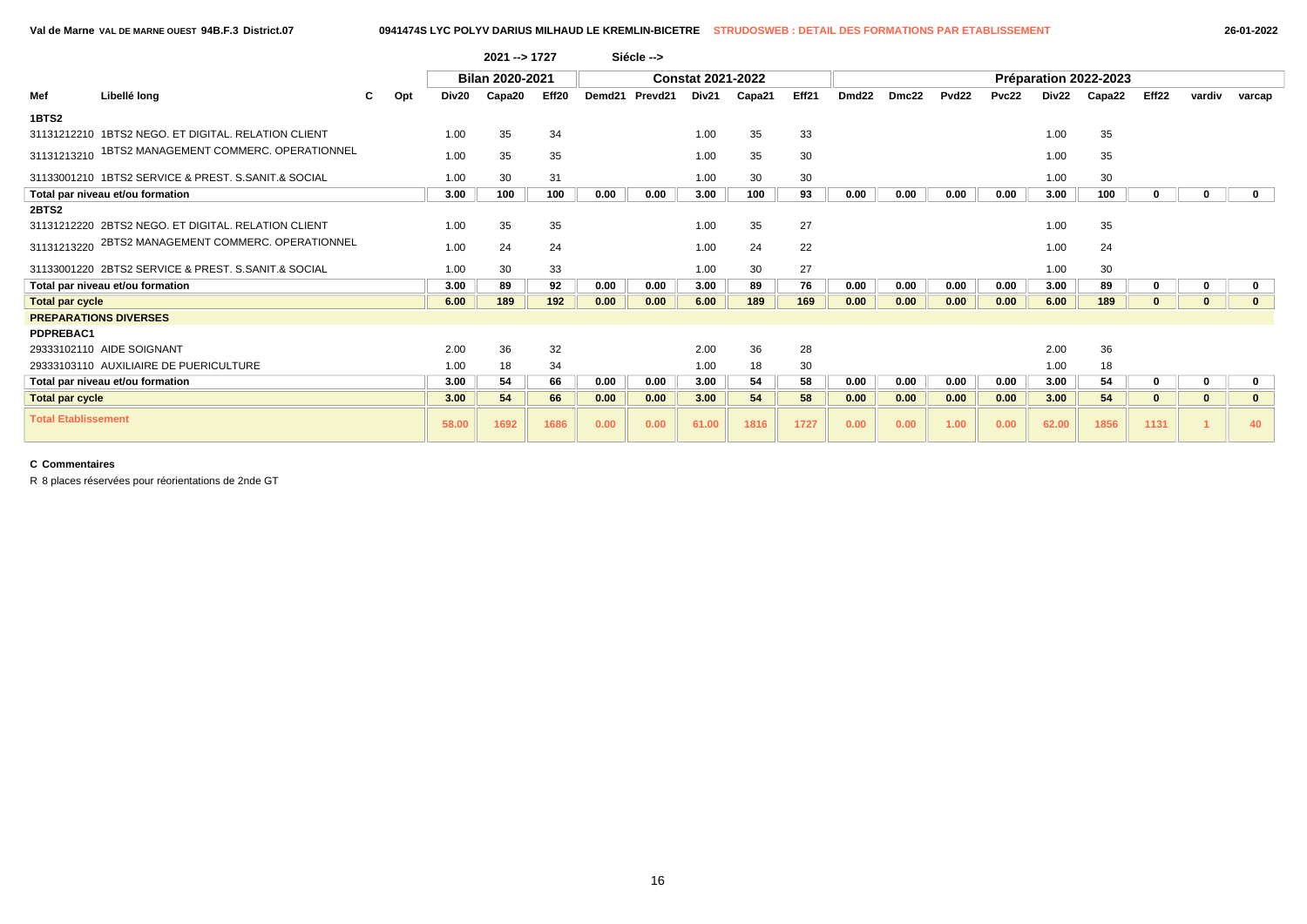|                            |                                                     |    |     |       | 2021 -- > 1727  |       |        | Siécle --> |                          |        |       |                   |       |                   |       |       |                       |              |          |              |
|----------------------------|-----------------------------------------------------|----|-----|-------|-----------------|-------|--------|------------|--------------------------|--------|-------|-------------------|-------|-------------------|-------|-------|-----------------------|--------------|----------|--------------|
|                            |                                                     |    |     |       | Bilan 2020-2021 |       |        |            | <b>Constat 2021-2022</b> |        |       |                   |       |                   |       |       | Préparation 2022-2023 |              |          |              |
| Mef                        | Libellé long                                        | C. | Opt | Div20 | Capa20          | Eff20 | Demd21 | Prevd21    | Div21                    | Capa21 | Eff21 | Dmd <sub>22</sub> | Dmc22 | Pvd <sub>22</sub> | Pvc22 | Div22 | Capa22                | Eff22        | vardiv   | varcap       |
| 1BTS2                      |                                                     |    |     |       |                 |       |        |            |                          |        |       |                   |       |                   |       |       |                       |              |          |              |
|                            | 31131212210 1BTS2 NEGO, ET DIGITAL, RELATION CLIENT |    |     | 1.00  | 35              | 34    |        |            | 1.00                     | 35     | 33    |                   |       |                   |       | 1.00  | 35                    |              |          |              |
| 31131213210                | 1BTS2 MANAGEMENT COMMERC. OPERATIONNEL              |    |     | 1.00  | 35              | 35    |        |            | 1.00                     | 35     | 30    |                   |       |                   |       | 1.00  | 35                    |              |          |              |
|                            | 31133001210 1BTS2 SERVICE & PREST, S.SANIT.& SOCIAL |    |     | 1.00  | 30              | 31    |        |            | 1.00                     | 30     | 30    |                   |       |                   |       | 1.00  | 30                    |              |          |              |
|                            | Total par niveau et/ou formation                    |    |     | 3.00  | 100             | 100   | 0.00   | 0.00       | 3.00                     | 100    | 93    | 0.00              | 0.00  | 0.00              | 0.00  | 3.00  | 100                   | 0            |          | $\mathbf{0}$ |
| <b>2BTS2</b>               |                                                     |    |     |       |                 |       |        |            |                          |        |       |                   |       |                   |       |       |                       |              |          |              |
|                            | 31131212220 2BTS2 NEGO, ET DIGITAL, RELATION CLIENT |    |     | 1.00  | 35              | 35    |        |            | 1.00                     | 35     | 27    |                   |       |                   |       | 1.00  | 35                    |              |          |              |
| 31131213220                | 2BTS2 MANAGEMENT COMMERC. OPERATIONNEL              |    |     | 1.00  | 24              | 24    |        |            | 1.00                     | 24     | 22    |                   |       |                   |       | 1.00  | 24                    |              |          |              |
|                            | 31133001220 2BTS2 SERVICE & PREST, S.SANIT.& SOCIAL |    |     | 1.00  | 30              | 33    |        |            | 1.00                     | 30     | 27    |                   |       |                   |       | 1.00  | 30                    |              |          |              |
|                            | Total par niveau et/ou formation                    |    |     | 3.00  | 89              | 92    | 0.00   | 0.00       | 3.00                     | 89     | 76    | 0.00              | 0.00  | 0.00              | 0.00  | 3.00  | 89                    | 0            | 0        | $\mathbf 0$  |
| <b>Total par cycle</b>     |                                                     |    |     | 6.00  | 189             | 192   | 0.00   | 0.00       | 6.00                     | 189    | 169   | 0.00              | 0.00  | 0.00              | 0.00  | 6.00  | 189                   | 0            | 0        | $\mathbf{0}$ |
|                            | <b>PREPARATIONS DIVERSES</b>                        |    |     |       |                 |       |        |            |                          |        |       |                   |       |                   |       |       |                       |              |          |              |
| PDPREBAC1                  |                                                     |    |     |       |                 |       |        |            |                          |        |       |                   |       |                   |       |       |                       |              |          |              |
|                            | 29333102110 AIDE SOIGNANT                           |    |     | 2.00  | 36              | 32    |        |            | 2.00                     | 36     | 28    |                   |       |                   |       | 2.00  | 36                    |              |          |              |
|                            | 29333103110 AUXILIAIRE DE PUERICULTURE              |    |     | 1.00  | 18              | 34    |        |            | 1.00                     | 18     | 30    |                   |       |                   |       | 1.00  | 18                    |              |          |              |
|                            | Total par niveau et/ou formation                    |    |     | 3.00  | 54              | 66    | 0.00   | 0.00       | 3.00                     | 54     | 58    | 0.00              | 0.00  | 0.00              | 0.00  | 3.00  | 54                    | $\mathbf 0$  | 0        | $\mathbf 0$  |
| <b>Total par cycle</b>     |                                                     |    |     | 3.00  | 54              | 66    | 0.00   | 0.00       | 3.00                     | 54     | 58    | 0.00              | 0.00  | 0.00              | 0.00  | 3.00  | 54                    | $\mathbf{0}$ | $\bf{0}$ | $\mathbf{0}$ |
| <b>Total Etablissement</b> |                                                     |    |     | 58.00 | 1692            | 1686  | 0.00   | 0.00       | 61.00                    | 1816   | 1727  | 0.00              | 0.00  | 1.00              | 0.00  | 62.00 | 1856                  | 1131         |          | 40           |

R 8 places réservées pour réorientations de 2nde GT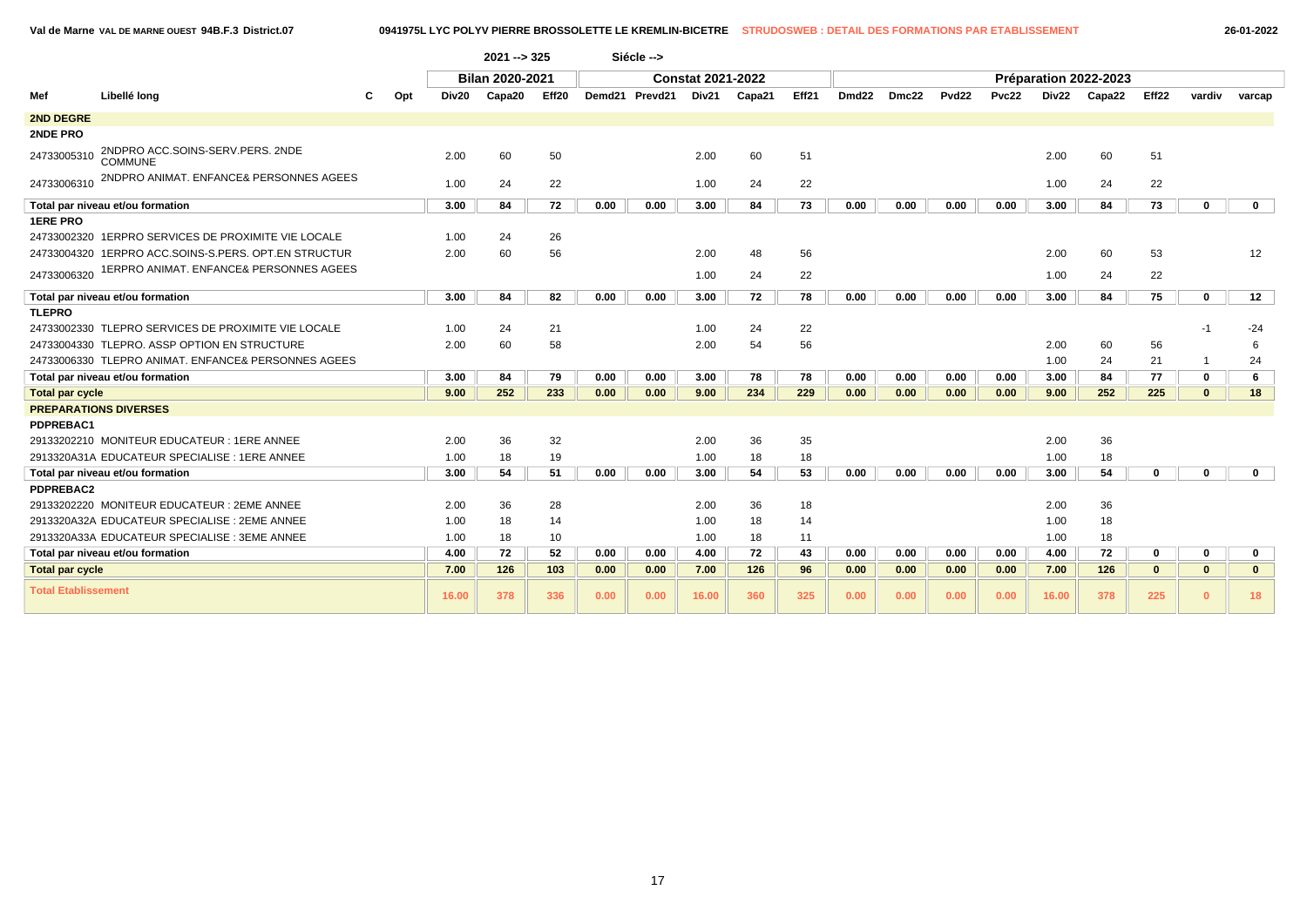**Val de Marne VAL DE MARNE OUEST 94B.F.3 District.07 0941975L LYC POLYV PIERRE BROSSOLETTE LE KREMLIN-BICETRE STRUDOSWEB : DETAIL DES FORMATIONS PAR ETABLISSEMENT 26-01-2022**

|                            |                                                      |     |       | 2021 --> 325           |       |      | Siécle -->     |                          |        |       |                   |       |       |       |       |                       |                   |              |              |
|----------------------------|------------------------------------------------------|-----|-------|------------------------|-------|------|----------------|--------------------------|--------|-------|-------------------|-------|-------|-------|-------|-----------------------|-------------------|--------------|--------------|
|                            |                                                      |     |       | <b>Bilan 2020-2021</b> |       |      |                | <b>Constat 2021-2022</b> |        |       |                   |       |       |       |       | Préparation 2022-2023 |                   |              |              |
| Mef                        | Libellé long                                         | Opt | Div20 | Capa20                 | Eff20 |      | Demd21 Prevd21 | Div21                    | Capa21 | Eff21 | Dmd <sub>22</sub> | Dmc22 | Pvd22 | Pvc22 | Div22 | Capa22                | Eff <sub>22</sub> | vardiv       | varcap       |
| 2ND DEGRE                  |                                                      |     |       |                        |       |      |                |                          |        |       |                   |       |       |       |       |                       |                   |              |              |
| 2NDE PRO                   |                                                      |     |       |                        |       |      |                |                          |        |       |                   |       |       |       |       |                       |                   |              |              |
| 24733005310                | 2NDPRO ACC.SOINS-SERV.PERS. 2NDE<br>COMMUNE          |     | 2.00  | 60                     | 50    |      |                | 2.00                     | 60     | 51    |                   |       |       |       | 2.00  | 60                    | 51                |              |              |
| 24733006310                | 2NDPRO ANIMAT. ENFANCE& PERSONNES AGEES              |     | 1.00  | 24                     | 22    |      |                | 1.00                     | 24     | 22    |                   |       |       |       | 1.00  | 24                    | 22                |              |              |
|                            | Total par niveau et/ou formation                     |     | 3.00  | 84                     | 72    | 0.00 | 0.00           | 3.00                     | 84     | 73    | 0.00              | 0.00  | 0.00  | 0.00  | 3.00  | 84                    | 73                | $\mathbf 0$  | $\mathbf{0}$ |
| <b>1ERE PRO</b>            |                                                      |     |       |                        |       |      |                |                          |        |       |                   |       |       |       |       |                       |                   |              |              |
|                            | 24733002320 1ERPRO SERVICES DE PROXIMITE VIE LOCALE  |     | 1.00  | 24                     | 26    |      |                |                          |        |       |                   |       |       |       |       |                       |                   |              |              |
|                            | 24733004320 1ERPRO ACC.SOINS-S.PERS. OPT.EN STRUCTUR |     | 2.00  | 60                     | 56    |      |                | 2.00                     | 48     | 56    |                   |       |       |       | 2.00  | 60                    | 53                |              | 12           |
| 24733006320                | 1ERPRO ANIMAT. ENFANCE& PERSONNES AGEES              |     |       |                        |       |      |                | 1.00                     | 24     | 22    |                   |       |       |       | 1.00  | 24                    | 22                |              |              |
|                            | Total par niveau et/ou formation                     |     | 3.00  | 84                     | 82    | 0.00 | 0.00           | 3.00                     | 72     | 78    | 0.00              | 0.00  | 0.00  | 0.00  | 3.00  | 84                    | 75                | $\mathbf 0$  | 12           |
| <b>TLEPRO</b>              |                                                      |     |       |                        |       |      |                |                          |        |       |                   |       |       |       |       |                       |                   |              |              |
|                            | 24733002330 TLEPRO SERVICES DE PROXIMITE VIE LOCALE  |     | 1.00  | 24                     | 21    |      |                | 1.00                     | 24     | 22    |                   |       |       |       |       |                       |                   | $-1$         | $-24$        |
|                            | 24733004330 TLEPRO, ASSP OPTION EN STRUCTURE         |     | 2.00  | 60                     | 58    |      |                | 2.00                     | 54     | 56    |                   |       |       |       | 2.00  | 60                    | 56                |              | 6            |
|                            | 24733006330 TLEPRO ANIMAT. ENFANCE& PERSONNES AGEES  |     |       |                        |       |      |                |                          |        |       |                   |       |       |       | 1.00  | 24                    | 21                | -1           | 24           |
|                            | Total par niveau et/ou formation                     |     | 3.00  | 84                     | 79    | 0.00 | 0.00           | 3.00                     | 78     | 78    | 0.00              | 0.00  | 0.00  | 0.00  | 3.00  | 84                    | 77                | $\mathbf 0$  | 6            |
| <b>Total par cycle</b>     |                                                      |     | 9.00  | 252                    | 233   | 0.00 | 0.00           | 9.00                     | 234    | 229   | 0.00              | 0.00  | 0.00  | 0.00  | 9.00  | 252                   | 225               | $\mathbf{0}$ | 18           |
|                            | <b>PREPARATIONS DIVERSES</b>                         |     |       |                        |       |      |                |                          |        |       |                   |       |       |       |       |                       |                   |              |              |
| PDPREBAC1                  |                                                      |     |       |                        |       |      |                |                          |        |       |                   |       |       |       |       |                       |                   |              |              |
|                            | 29133202210 MONITEUR EDUCATEUR : 1ERE ANNEE          |     | 2.00  | 36                     | 32    |      |                | 2.00                     | 36     | 35    |                   |       |       |       | 2.00  | 36                    |                   |              |              |
|                            | 2913320A31A EDUCATEUR SPECIALISE : 1ERE ANNEE        |     | 1.00  | 18                     | 19    |      |                | 1.00                     | 18     | 18    |                   |       |       |       | 1.00  | 18                    |                   |              |              |
|                            | Total par niveau et/ou formation                     |     | 3.00  | 54                     | 51    | 0.00 | 0.00           | 3.00                     | 54     | 53    | 0.00              | 0.00  | 0.00  | 0.00  | 3.00  | 54                    | 0                 | $\bf{0}$     | $\mathbf{0}$ |
| <b>PDPREBAC2</b>           |                                                      |     |       |                        |       |      |                |                          |        |       |                   |       |       |       |       |                       |                   |              |              |
|                            | 29133202220 MONITEUR EDUCATEUR : 2EME ANNEE          |     | 2.00  | 36                     | 28    |      |                | 2.00                     | 36     | 18    |                   |       |       |       | 2.00  | 36                    |                   |              |              |
|                            | 2913320A32A EDUCATEUR SPECIALISE : 2EME ANNEE        |     | 1.00  | 18                     | 14    |      |                | 1.00                     | 18     | 14    |                   |       |       |       | 1.00  | 18                    |                   |              |              |
|                            | 2913320A33A EDUCATEUR SPECIALISE : 3EME ANNEE        |     | 1.00  | 18                     | 10    |      |                | 1.00                     | 18     | 11    |                   |       |       |       | 1.00  | 18                    |                   |              |              |
|                            | Total par niveau et/ou formation                     |     | 4.00  | 72                     | 52    | 0.00 | 0.00           | 4.00                     | 72     | 43    | 0.00              | 0.00  | 0.00  | 0.00  | 4.00  | 72                    | 0                 | $\mathbf 0$  | $\mathbf{0}$ |
| <b>Total par cycle</b>     |                                                      |     | 7.00  | 126                    | 103   | 0.00 | 0.00           | 7.00                     | 126    | 96    | 0.00              | 0.00  | 0.00  | 0.00  | 7.00  | 126                   | $\mathbf{0}$      | $\mathbf{0}$ | $\mathbf{0}$ |
| <b>Total Etablissement</b> |                                                      |     | 16.00 | 378                    | 336   | 0.00 | 0.00           | 16.00                    | 360    | 325   | 0.00              | 0.00  | 0.00  | 0.00  | 16.00 | 378                   | 225               | $\mathbf{0}$ | 18           |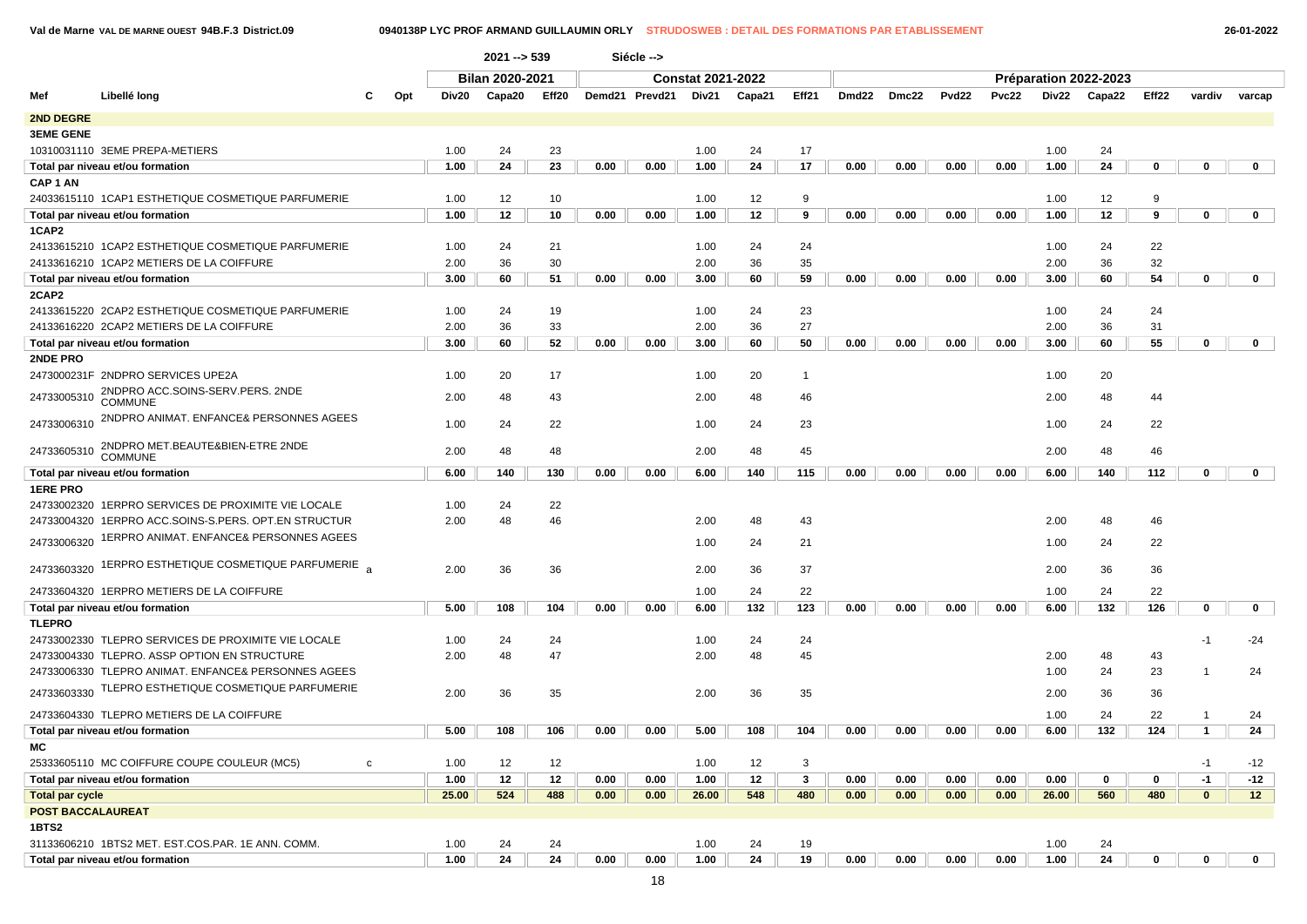**Val de Marne VAL DE MARNE OUEST 94B.F.3 District.09 0940138P LYC PROF ARMAND GUILLAUMIN ORLY STRUDOSWEB : DETAIL DES FORMATIONS PAR ETABLISSEMENT 26-01-2022**

|                        |                                                         |   |     |       | $2021 - 539$           |       |      | Siécle -->     |                          |        |              |       |       |       |              |       |                       |             |              |              |
|------------------------|---------------------------------------------------------|---|-----|-------|------------------------|-------|------|----------------|--------------------------|--------|--------------|-------|-------|-------|--------------|-------|-----------------------|-------------|--------------|--------------|
|                        |                                                         |   |     |       | <b>Bilan 2020-2021</b> |       |      |                | <b>Constat 2021-2022</b> |        |              |       |       |       |              |       | Préparation 2022-2023 |             |              |              |
| Mef                    | Libellé long                                            | С | Opt | Div20 | Capa20                 | Eff20 |      | Demd21 Prevd21 | Div21                    | Capa21 | Eff21        | Dmd22 | Dmc22 | Pvd22 | <b>Pvc22</b> | Div22 | Capa22                | Eff22       | vardiv       | varcap       |
| <b>2ND DEGRE</b>       |                                                         |   |     |       |                        |       |      |                |                          |        |              |       |       |       |              |       |                       |             |              |              |
| <b>3EME GENE</b>       |                                                         |   |     |       |                        |       |      |                |                          |        |              |       |       |       |              |       |                       |             |              |              |
|                        | 10310031110 3EME PREPA-METIERS                          |   |     | 1.00  | 24                     | 23    |      |                | 1.00                     | 24     | 17           |       |       |       |              | 1.00  | 24                    |             |              |              |
|                        | Total par niveau et/ou formation                        |   |     | 1.00  | 24                     | 23    | 0.00 | 0.00           | 1.00                     | 24     | 17           | 0.00  | 0.00  | 0.00  | 0.00         | 1.00  | 24                    | 0           | 0            | $\mathbf{0}$ |
| CAP <sub>1</sub> AN    |                                                         |   |     |       |                        |       |      |                |                          |        |              |       |       |       |              |       |                       |             |              |              |
|                        | 24033615110 1CAP1 ESTHETIQUE COSMETIQUE PARFUMERIE      |   |     | 1.00  | 12                     | 10    |      |                | 1.00                     | 12     | 9            |       |       |       |              | 1.00  | 12                    | 9           |              |              |
|                        | Total par niveau et/ou formation                        |   |     | 1.00  | 12                     | 10    | 0.00 | 0.00           | 1.00                     | 12     | 9            | 0.00  | 0.00  | 0.00  | 0.00         | 1.00  | 12                    | 9           | 0            | $\mathbf{0}$ |
| 1CAP2                  |                                                         |   |     |       |                        |       |      |                |                          |        |              |       |       |       |              |       |                       |             |              |              |
|                        | 24133615210 1CAP2 ESTHETIQUE COSMETIQUE PARFUMERIE      |   |     | 1.00  | 24                     | 21    |      |                | 1.00                     | 24     | 24           |       |       |       |              | 1.00  | 24                    | 22          |              |              |
|                        | 24133616210 1CAP2 METIERS DE LA COIFFURE                |   |     | 2.00  | 36                     | 30    |      |                | 2.00                     | 36     | 35           |       |       |       |              | 2.00  | 36                    | 32          |              |              |
|                        | Total par niveau et/ou formation                        |   |     | 3.00  | 60                     | 51    | 0.00 | 0.00           | 3.00                     | 60     | 59           | 0.00  | 0.00  | 0.00  | 0.00         | 3.00  | 60                    | 54          | 0            | $\mathbf{0}$ |
| 2CAP2                  |                                                         |   |     |       |                        |       |      |                |                          |        |              |       |       |       |              |       |                       |             |              |              |
|                        | 24133615220 2CAP2 ESTHETIQUE COSMETIQUE PARFUMERIE      |   |     | 1.00  | 24                     | 19    |      |                | 1.00                     | 24     | 23           |       |       |       |              | 1.00  | 24                    | 24          |              |              |
|                        | 24133616220 2CAP2 METIERS DE LA COIFFURE                |   |     | 2.00  | 36                     | 33    |      |                | 2.00                     | 36     | 27           |       |       |       |              | 2.00  | 36                    | 31          |              |              |
|                        | Total par niveau et/ou formation                        |   |     | 3.00  | 60                     | 52    | 0.00 | 0.00           | 3.00                     | 60     | 50           | 0.00  | 0.00  | 0.00  | 0.00         | 3.00  | 60                    | 55          | 0            | $\mathbf{0}$ |
| <b>2NDE PRO</b>        |                                                         |   |     |       |                        |       |      |                |                          |        |              |       |       |       |              |       |                       |             |              |              |
|                        | 2473000231F 2NDPRO SERVICES UPE2A                       |   |     | 1.00  | 20                     | 17    |      |                | 1.00                     | 20     | $\mathbf{1}$ |       |       |       |              | 1.00  | 20                    |             |              |              |
| 24733005310            | 2NDPRO ACC.SOINS-SERV.PERS. 2NDE<br><b>COMMUNE</b>      |   |     | 2.00  | 48                     | 43    |      |                | 2.00                     | 48     | 46           |       |       |       |              | 2.00  | 48                    | 44          |              |              |
| 24733006310            | 2NDPRO ANIMAT. ENFANCE& PERSONNES AGEES                 |   |     | 1.00  | 24                     | 22    |      |                | 1.00                     | 24     | 23           |       |       |       |              | 1.00  | 24                    | 22          |              |              |
|                        | 2NDPRO MET.BEAUTE&BIEN-ETRE 2NDE<br>24733605310 COMMUNE |   |     | 2.00  | 48                     | 48    |      |                | 2.00                     | 48     | 45           |       |       |       |              | 2.00  | 48                    | 46          |              |              |
|                        | Total par niveau et/ou formation                        |   |     | 6.00  | 140                    | 130   | 0.00 | 0.00           | 6.00                     | 140    | 115          | 0.00  | 0.00  | 0.00  | 0.00         | 6.00  | 140                   | 112         | 0            | $\mathbf{0}$ |
| <b>1ERE PRO</b>        |                                                         |   |     |       |                        |       |      |                |                          |        |              |       |       |       |              |       |                       |             |              |              |
|                        | 24733002320 1ERPRO SERVICES DE PROXIMITE VIE LOCALE     |   |     | 1.00  | 24                     | 22    |      |                |                          |        |              |       |       |       |              |       |                       |             |              |              |
|                        | 24733004320 1ERPRO ACC.SOINS-S.PERS. OPT.EN STRUCTUR    |   |     | 2.00  | 48                     | 46    |      |                | 2.00                     | 48     | 43           |       |       |       |              | 2.00  | 48                    | 46          |              |              |
| 24733006320            | 1ERPRO ANIMAT. ENFANCE& PERSONNES AGEES                 |   |     |       |                        |       |      |                | 1.00                     | 24     | 21           |       |       |       |              | 1.00  | 24                    | 22          |              |              |
| 24733603320            | 1ERPRO ESTHETIQUE COSMETIQUE PARFUMERIE                 |   |     | 2.00  | 36                     | 36    |      |                | 2.00                     | 36     | 37           |       |       |       |              | 2.00  | 36                    | 36          |              |              |
|                        | 24733604320 1ERPRO METIERS DE LA COIFFURE               |   |     |       |                        |       |      |                | 1.00                     | 24     | 22           |       |       |       |              | 1.00  | 24                    | 22          |              |              |
|                        | Total par niveau et/ou formation                        |   |     | 5.00  | 108                    | 104   | 0.00 | 0.00           | 6.00                     | 132    | 123          | 0.00  | 0.00  | 0.00  | 0.00         | 6.00  | 132                   | 126         | 0            | 0            |
| <b>TLEPRO</b>          |                                                         |   |     |       |                        |       |      |                |                          |        |              |       |       |       |              |       |                       |             |              |              |
|                        | 24733002330 TLEPRO SERVICES DE PROXIMITE VIE LOCALE     |   |     | 1.00  | 24                     | 24    |      |                | 1.00                     | 24     | 24           |       |       |       |              |       |                       |             | -1           | -24          |
|                        | 24733004330 TLEPRO. ASSP OPTION EN STRUCTURE            |   |     | 2.00  | 48                     | 47    |      |                | 2.00                     | 48     | 45           |       |       |       |              | 2.00  | 48                    | 43          |              |              |
|                        | 24733006330 TLEPRO ANIMAT. ENFANCE& PERSONNES AGEES     |   |     |       |                        |       |      |                |                          |        |              |       |       |       |              | 1.00  | 24                    | 23          |              | 24           |
| 24733603330            | TLEPRO ESTHETIQUE COSMETIQUE PARFUMERIE                 |   |     | 2.00  | 36                     | 35    |      |                | 2.00                     | 36     | 35           |       |       |       |              | 2.00  | 36                    | 36          |              |              |
|                        | 24733604330 TLEPRO METIERS DE LA COIFFURE               |   |     |       |                        |       |      |                |                          |        |              |       |       |       |              | 1.00  | 24                    | 22          | -1           | 24           |
|                        | Total par niveau et/ou formation                        |   |     | 5.00  | 108                    | 106   | 0.00 | 0.00           | 5.00                     | 108    | 104          | 0.00  | 0.00  | 0.00  | 0.00         | 6.00  | 132                   | 124         | $\mathbf{1}$ | 24           |
|                        |                                                         |   |     |       |                        |       |      |                |                          |        |              |       |       |       |              |       |                       |             |              |              |
|                        | 25333605110 MC COIFFURE COUPE COULEUR (MC5)             | c |     | 1.00  | 12                     | 12    |      |                | 1.00                     | 12     | 3            |       |       |       |              |       |                       |             | $-1$         | $-12$        |
|                        | Total par niveau et/ou formation                        |   |     | 1.00  | 12                     | 12    | 0.00 | 0.00           | 1.00                     | 12     | $\mathbf{3}$ | 0.00  | 0.00  | 0.00  | 0.00         | 0.00  | 0                     | 0           | $-1$         | $-12$        |
| <b>Total par cycle</b> |                                                         |   |     | 25.00 | 524                    | 488   | 0.00 | 0.00           | 26.00                    | 548    | 480          | 0.00  | 0.00  | 0.00  | 0.00         | 26.00 | 560                   | 480         | $\mathbf{0}$ | 12           |
|                        | <b>POST BACCALAUREAT</b>                                |   |     |       |                        |       |      |                |                          |        |              |       |       |       |              |       |                       |             |              |              |
| 1BTS2                  |                                                         |   |     |       |                        |       |      |                |                          |        |              |       |       |       |              |       |                       |             |              |              |
|                        | 31133606210 1BTS2 MET. EST.COS.PAR. 1E ANN. COMM.       |   |     | 1.00  | 24                     | 24    |      |                | 1.00                     | 24     | 19           |       |       |       |              | 1.00  | 24                    |             |              |              |
|                        | Total par niveau et/ou formation                        |   |     | 1.00  | 24                     | 24    | 0.00 | 0.00           | 1.00                     | 24     | 19           | 0.00  | 0.00  | 0.00  | 0.00         | 1.00  | 24                    | $\mathbf 0$ | $\mathbf{0}$ | $\mathbf{0}$ |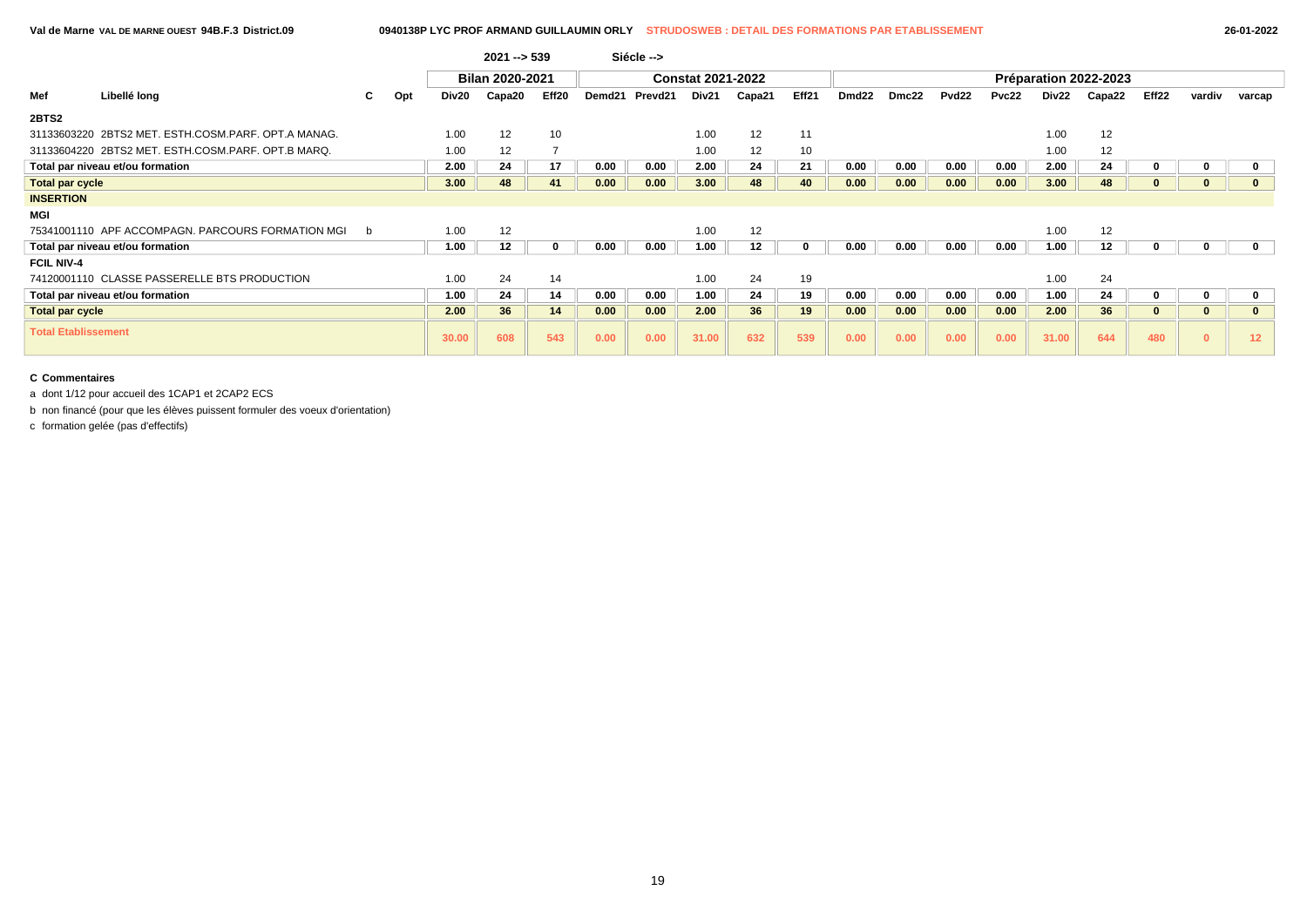|                            |                                                     |    |     |       | $2021 - 539$           |       |        | Siécle --> |                          |        |       |                   |       |                   |       |       |                       |       |          |                 |
|----------------------------|-----------------------------------------------------|----|-----|-------|------------------------|-------|--------|------------|--------------------------|--------|-------|-------------------|-------|-------------------|-------|-------|-----------------------|-------|----------|-----------------|
|                            |                                                     |    |     |       | <b>Bilan 2020-2021</b> |       |        |            | <b>Constat 2021-2022</b> |        |       |                   |       |                   |       |       | Préparation 2022-2023 |       |          |                 |
| Mef                        | Libellé long                                        | C. | Opt | Div20 | Capa20                 | Eff20 | Demd21 | Prevd21    | Div21                    | Capa21 | Eff21 | Dmd <sub>22</sub> | Dmc22 | Pvd <sub>22</sub> | Pvc22 | Div22 | Capa22                | Eff22 | vardiv   | varcap          |
| 2BTS2                      |                                                     |    |     |       |                        |       |        |            |                          |        |       |                   |       |                   |       |       |                       |       |          |                 |
|                            | 31133603220 2BTS2 MET. ESTH.COSM.PARF. OPT.A MANAG. |    |     | 1.00  | 12                     | 10    |        |            | 1.00                     | 12     | 11    |                   |       |                   |       | 1.00  | 12                    |       |          |                 |
|                            | 31133604220 2BTS2 MET. ESTH.COSM.PARF. OPT.B MARQ.  |    |     | 1.00  | 12                     |       |        |            | 1.00                     | 12     | 10    |                   |       |                   |       | 1.00  | 12                    |       |          |                 |
|                            | Total par niveau et/ou formation                    |    |     | 2.00  | 24                     | 17    | 0.00   | 0.00       | 2.00                     | 24     | 21    | 0.00              | 0.00  | 0.00              | 0.00  | 2.00  | 24                    |       |          | $\mathbf 0$     |
| <b>Total par cycle</b>     |                                                     |    |     | 3.00  | 48                     | 41    | 0.00   | 0.00       | 3.00                     | 48     | 40    | 0.00              | 0.00  | 0.00              | 0.00  | 3.00  | 48                    | 0     |          | $\mathbf{0}$    |
| <b>INSERTION</b>           |                                                     |    |     |       |                        |       |        |            |                          |        |       |                   |       |                   |       |       |                       |       |          |                 |
| <b>MGI</b>                 |                                                     |    |     |       |                        |       |        |            |                          |        |       |                   |       |                   |       |       |                       |       |          |                 |
|                            | 75341001110 APF ACCOMPAGN. PARCOURS FORMATION MGI   | b  |     | 1.00  | 12                     |       |        |            | 1.00                     | 12     |       |                   |       |                   |       | 1.00  | 12                    |       |          |                 |
|                            | Total par niveau et/ou formation                    |    |     | 1.00  | 12                     |       | 0.00   | 0.00       | 1.00                     | 12     |       | 0.00              | 0.00  | 0.00              | 0.00  | 1.00  | 12                    |       |          | $\mathbf{0}$    |
| <b>FCIL NIV-4</b>          |                                                     |    |     |       |                        |       |        |            |                          |        |       |                   |       |                   |       |       |                       |       |          |                 |
|                            | 74120001110 CLASSE PASSERELLE BTS PRODUCTION        |    |     | 1.00  | 24                     | 14    |        |            | 1.00                     | 24     | 19    |                   |       |                   |       | 1.00  | 24                    |       |          |                 |
|                            | Total par niveau et/ou formation                    |    |     | 1.00  | 24                     | 14    | 0.00   | 0.00       | 1.00                     | 24     | 19    | 0.00              | 0.00  | 0.00              | 0.00  | 1.00  | 24                    | 0     |          | $\mathbf 0$     |
| <b>Total par cycle</b>     |                                                     |    |     | 2.00  | 36                     | 14    | 0.00   | 0.00       | 2.00                     | 36     | 19    | 0.00              | 0.00  | 0.00              | 0.00  | 2.00  | 36                    | 0     | $\bf{0}$ | $\mathbf{0}$    |
| <b>Total Etablissement</b> |                                                     |    |     | 30.00 | 608                    | 543   | 0.00   | 0.00       | 31.00                    | 632    | 539   | 0.00              | 0.00  | 0.00              | 0.00  | 31.00 | 644                   | 480   | $\bf{0}$ | 12 <sub>2</sub> |

a dont 1/12 pour accueil des 1CAP1 et 2CAP2 ECS

b non financé (pour que les élèves puissent formuler des voeux d'orientation)

c formation gelée (pas d'effectifs)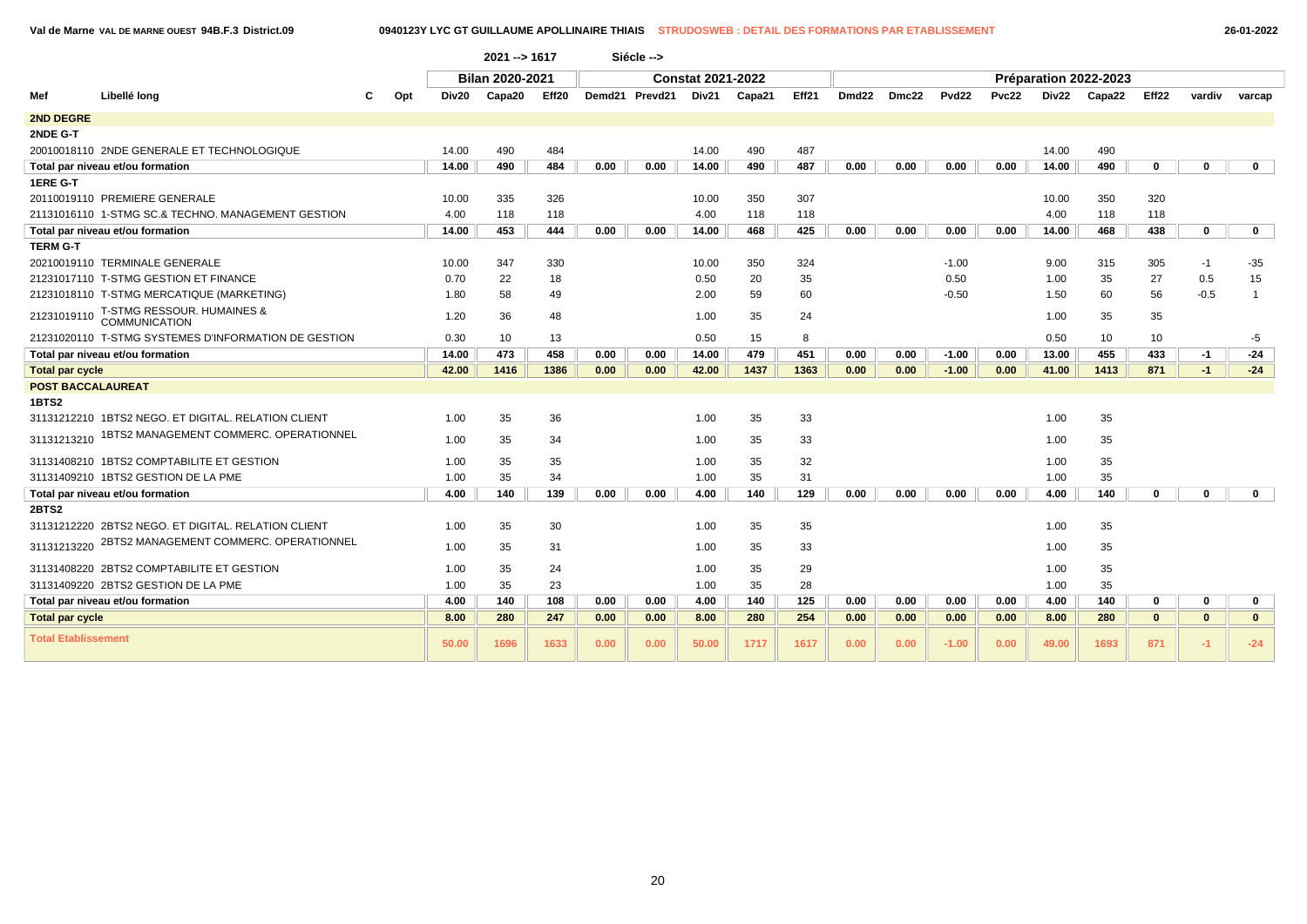### **Val de Marne VAL DE MARNE OUEST 94B.F.3 District.09 0940123Y LYC GT GUILLAUME APOLLINAIRE THIAIS STRUDOSWEB : DETAIL DES FORMATIONS PAR ETABLISSEMENT 26-01-2022**

|                            |                                                                         |     |       | $2021 - 1617$          |       |      | Siécle -->     |                          |        |       |       |       |                   |       |       |                       |              |              |                |
|----------------------------|-------------------------------------------------------------------------|-----|-------|------------------------|-------|------|----------------|--------------------------|--------|-------|-------|-------|-------------------|-------|-------|-----------------------|--------------|--------------|----------------|
|                            |                                                                         |     |       | <b>Bilan 2020-2021</b> |       |      |                | <b>Constat 2021-2022</b> |        |       |       |       |                   |       |       | Préparation 2022-2023 |              |              |                |
| Mef                        | Libellé long                                                            | Opt | Div20 | Capa20                 | Eff20 |      | Demd21 Prevd21 | Div21                    | Capa21 | Eff21 | Dmd22 | Dmc22 | Pvd <sub>22</sub> | Pvc22 | Div22 | Capa22                | Eff22        | vardiv       | varcap         |
| <b>2ND DEGRE</b>           |                                                                         |     |       |                        |       |      |                |                          |        |       |       |       |                   |       |       |                       |              |              |                |
| 2NDE G-T                   |                                                                         |     |       |                        |       |      |                |                          |        |       |       |       |                   |       |       |                       |              |              |                |
|                            | 20010018110 2NDE GENERALE ET TECHNOLOGIQUE                              |     | 14.00 | 490                    | 484   |      |                | 14.00                    | 490    | 487   |       |       |                   |       | 14.00 | 490                   |              |              |                |
|                            | Total par niveau et/ou formation                                        |     | 14.00 | 490                    | 484   | 0.00 | 0.00           | 14.00                    | 490    | 487   | 0.00  | 0.00  | 0.00              | 0.00  | 14.00 | 490                   | 0            | $\bf{0}$     | $\mathbf 0$    |
| <b>1ERE G-T</b>            |                                                                         |     |       |                        |       |      |                |                          |        |       |       |       |                   |       |       |                       |              |              |                |
|                            | 20110019110 PREMIERE GENERALE                                           |     | 10.00 | 335                    | 326   |      |                | 10.00                    | 350    | 307   |       |       |                   |       | 10.00 | 350                   | 320          |              |                |
|                            | 21131016110 1-STMG SC.& TECHNO. MANAGEMENT GESTION                      |     | 4.00  | 118                    | 118   |      |                | 4.00                     | 118    | 118   |       |       |                   |       | 4.00  | 118                   | 118          |              |                |
|                            | Total par niveau et/ou formation                                        |     | 14.00 | 453                    | 444   | 0.00 | 0.00           | 14.00                    | 468    | 425   | 0.00  | 0.00  | 0.00              | 0.00  | 14.00 | 468                   | 438          | $\mathbf 0$  | $\mathbf{0}$   |
| <b>TERM G-T</b>            |                                                                         |     |       |                        |       |      |                |                          |        |       |       |       |                   |       |       |                       |              |              |                |
|                            | 20210019110 TERMINALE GENERALE                                          |     | 10.00 | 347                    | 330   |      |                | 10.00                    | 350    | 324   |       |       | $-1.00$           |       | 9.00  | 315                   | 305          | $-1$         | -35            |
|                            | 21231017110 T-STMG GESTION ET FINANCE                                   |     | 0.70  | 22                     | 18    |      |                | 0.50                     | 20     | 35    |       |       | 0.50              |       | 1.00  | 35                    | 27           | 0.5          | 15             |
|                            | 21231018110 T-STMG MERCATIQUE (MARKETING)                               |     | 1.80  | 58                     | 49    |      |                | 2.00                     | 59     | 60    |       |       | $-0.50$           |       | 1.50  | 60                    | 56           | $-0.5$       | $\overline{1}$ |
|                            | 21231019110   T-STMG RESSOUR. HUMAINES &<br>21231019110   COMMUNICATION |     | 1.20  | 36                     | 48    |      |                | 1.00                     | 35     | 24    |       |       |                   |       | 1.00  | 35                    | 35           |              |                |
|                            | 21231020110 T-STMG SYSTEMES D'INFORMATION DE GESTION                    |     | 0.30  | 10                     | 13    |      |                | 0.50                     | 15     | 8     |       |       |                   |       | 0.50  | 10                    | 10           |              | -5             |
|                            | Total par niveau et/ou formation                                        |     | 14.00 | 473                    | 458   | 0.00 | 0.00           | 14.00                    | 479    | 451   | 0.00  | 0.00  | $-1.00$           | 0.00  | 13.00 | 455                   | 433          | $-1$         | $-24$          |
| <b>Total par cycle</b>     |                                                                         |     | 42.00 | 1416                   | 1386  | 0.00 | 0.00           | 42.00                    | 1437   | 1363  | 0.00  | 0.00  | $-1.00$           | 0.00  | 41.00 | 1413                  | 871          | $-1$         | $-24$          |
| <b>POST BACCALAUREAT</b>   |                                                                         |     |       |                        |       |      |                |                          |        |       |       |       |                   |       |       |                       |              |              |                |
| <b>1BTS2</b>               |                                                                         |     |       |                        |       |      |                |                          |        |       |       |       |                   |       |       |                       |              |              |                |
|                            | 31131212210 1BTS2 NEGO. ET DIGITAL. RELATION CLIENT                     |     | 1.00  | 35                     | 36    |      |                | 1.00                     | 35     | 33    |       |       |                   |       | 1.00  | 35                    |              |              |                |
| 31131213210                | 1BTS2 MANAGEMENT COMMERC. OPERATIONNEL                                  |     | 1.00  | 35                     | 34    |      |                | 1.00                     | 35     | 33    |       |       |                   |       | 1.00  | 35                    |              |              |                |
|                            | 31131408210 1BTS2 COMPTABILITE ET GESTION                               |     | 1.00  | 35                     | 35    |      |                | 1.00                     | 35     | 32    |       |       |                   |       | 1.00  | 35                    |              |              |                |
|                            | 31131409210 1BTS2 GESTION DE LA PME                                     |     | 1.00  | 35                     | 34    |      |                | 1.00                     | 35     | 31    |       |       |                   |       | 1.00  | 35                    |              |              |                |
|                            | Total par niveau et/ou formation                                        |     | 4.00  | 140                    | 139   | 0.00 | 0.00           | 4.00                     | 140    | 129   | 0.00  | 0.00  | 0.00              | 0.00  | 4.00  | 140                   | $\bf{0}$     | $\bf{0}$     | $\mathbf 0$    |
| 2BTS2                      |                                                                         |     |       |                        |       |      |                |                          |        |       |       |       |                   |       |       |                       |              |              |                |
|                            | 31131212220 2BTS2 NEGO. ET DIGITAL. RELATION CLIENT                     |     | 1.00  | 35                     | 30    |      |                | 1.00                     | 35     | 35    |       |       |                   |       | 1.00  | 35                    |              |              |                |
| 31131213220                | 2BTS2 MANAGEMENT COMMERC. OPERATIONNEL                                  |     | 1.00  | 35                     | 31    |      |                | 1.00                     | 35     | 33    |       |       |                   |       | 1.00  | 35                    |              |              |                |
|                            | 31131408220 2BTS2 COMPTABILITE ET GESTION                               |     | 1.00  | 35                     | 24    |      |                | 1.00                     | 35     | 29    |       |       |                   |       | 1.00  | 35                    |              |              |                |
|                            | 31131409220 2BTS2 GESTION DE LA PME                                     |     | 1.00  | 35                     | 23    |      |                | 1.00                     | 35     | 28    |       |       |                   |       | 1.00  | 35                    |              |              |                |
|                            | Total par niveau et/ou formation                                        |     | 4.00  | 140                    | 108   | 0.00 | 0.00           | 4.00                     | 140    | 125   | 0.00  | 0.00  | 0.00              | 0.00  | 4.00  | 140                   | $\mathbf 0$  | $\mathbf 0$  | $\mathbf 0$    |
| <b>Total par cycle</b>     |                                                                         |     | 8.00  | 280                    | 247   | 0.00 | 0.00           | 8.00                     | 280    | 254   | 0.00  | 0.00  | 0.00              | 0.00  | 8.00  | 280                   | $\mathbf{0}$ | $\mathbf{0}$ | $\mathbf{0}$   |
| <b>Total Etablissement</b> |                                                                         |     | 50.00 | 1696                   | 1633  | 0.00 | 0.00           | 50.00                    | 1717   | 1617  | 0.00  | 0.00  | $-1.00$           | 0.00  | 49.00 | 1693                  | 871          | $-1$         | $-24$          |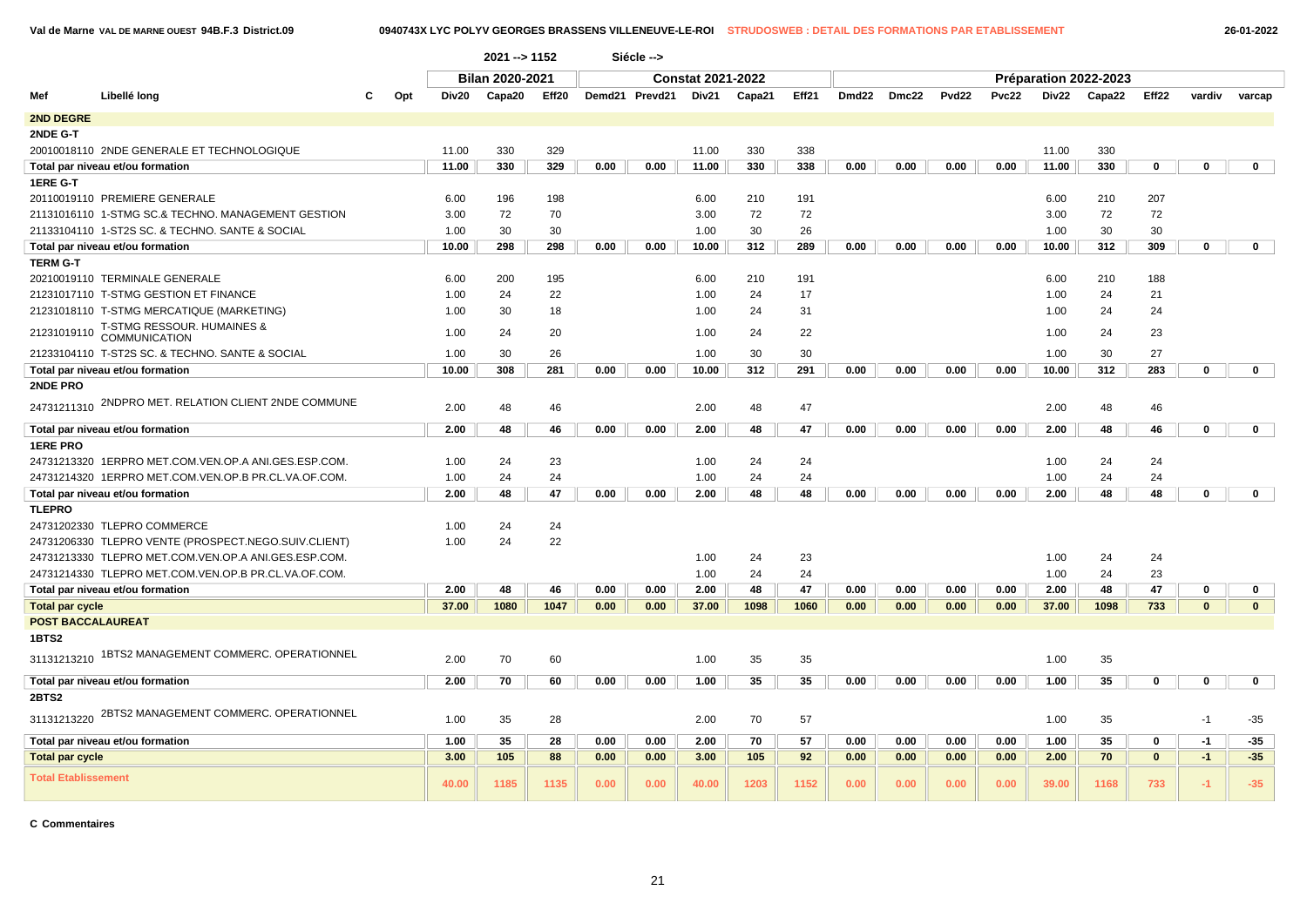**Val de Marne VAL DE MARNE OUEST 94B.F.3 District.09 0940743X LYC POLYV GEORGES BRASSENS VILLENEUVE-LE-ROI STRUDOSWEB : DETAIL DES FORMATIONS PAR ETABLISSEMENT 26-01-2022**

|                            |                                                               |     |       | 2021 -- > 1152         |       |      | Siécle -->     |                          |        |       |                   |       |                   |              |       |                       |              |              |                |
|----------------------------|---------------------------------------------------------------|-----|-------|------------------------|-------|------|----------------|--------------------------|--------|-------|-------------------|-------|-------------------|--------------|-------|-----------------------|--------------|--------------|----------------|
|                            |                                                               |     |       | <b>Bilan 2020-2021</b> |       |      |                | <b>Constat 2021-2022</b> |        |       |                   |       |                   |              |       | Préparation 2022-2023 |              |              |                |
| Mef                        | Libellé long                                                  | Opt | Div20 | Capa20                 | Eff20 |      | Demd21 Prevd21 | Div21                    | Capa21 | Eff21 | Dmd <sub>22</sub> | Dmc22 | Pvd <sub>22</sub> | <b>Pvc22</b> | Div22 | Capa22                | Eff22        | vardiv       | varcap         |
| <b>2ND DEGRE</b>           |                                                               |     |       |                        |       |      |                |                          |        |       |                   |       |                   |              |       |                       |              |              |                |
| 2NDE G-T                   |                                                               |     |       |                        |       |      |                |                          |        |       |                   |       |                   |              |       |                       |              |              |                |
|                            | 20010018110 2NDE GENERALE ET TECHNOLOGIQUE                    |     | 11.00 | 330                    | 329   |      |                | 11.00                    | 330    | 338   |                   |       |                   |              | 11.00 | 330                   |              |              |                |
|                            | Total par niveau et/ou formation                              |     | 11.00 | 330                    | 329   | 0.00 | 0.00           | 11.00                    | 330    | 338   | 0.00              | 0.00  | 0.00              | 0.00         | 11.00 | 330                   | 0            | $\mathbf 0$  | $\mathbf 0$    |
| 1ERE G-T                   |                                                               |     |       |                        |       |      |                |                          |        |       |                   |       |                   |              |       |                       |              |              |                |
|                            | 20110019110 PREMIERE GENERALE                                 |     | 6.00  | 196                    | 198   |      |                | 6.00                     | 210    | 191   |                   |       |                   |              | 6.00  | 210                   | 207          |              |                |
|                            | 21131016110 1-STMG SC.& TECHNO. MANAGEMENT GESTION            |     | 3.00  | 72                     | 70    |      |                | 3.00                     | 72     | 72    |                   |       |                   |              | 3.00  | 72                    | 72           |              |                |
|                            | 21133104110 1-ST2S SC. & TECHNO. SANTE & SOCIAL               |     | 1.00  | 30                     | 30    |      |                | 1.00                     | 30     | 26    |                   |       |                   |              | 1.00  | 30                    | 30           |              |                |
|                            | Total par niveau et/ou formation                              |     | 10.00 | 298                    | 298   | 0.00 | 0.00           | 10.00                    | 312    | 289   | 0.00              | 0.00  | 0.00              | 0.00         | 10.00 | 312                   | 309          | 0            | $\mathbf 0$    |
| <b>TERM G-T</b>            |                                                               |     |       |                        |       |      |                |                          |        |       |                   |       |                   |              |       |                       |              |              |                |
|                            | 20210019110 TERMINALE GENERALE                                |     | 6.00  | 200                    | 195   |      |                | 6.00                     | 210    | 191   |                   |       |                   |              | 6.00  | 210                   | 188          |              |                |
|                            | 21231017110 T-STMG GESTION ET FINANCE                         |     | 1.00  | 24                     | 22    |      |                | 1.00                     | 24     | 17    |                   |       |                   |              | 1.00  | 24                    | 21           |              |                |
|                            | 21231018110 T-STMG MERCATIQUE (MARKETING)                     |     | 1.00  | 30                     | 18    |      |                | 1.00                     | 24     | 31    |                   |       |                   |              | 1.00  | 24                    | 24           |              |                |
| 21231019110                | <b>T-STMG RESSOUR. HUMAINES &amp;</b><br><b>COMMUNICATION</b> |     | 1.00  | 24                     | 20    |      |                | 1.00                     | 24     | 22    |                   |       |                   |              | 1.00  | 24                    | 23           |              |                |
|                            | 21233104110 T-ST2S SC. & TECHNO. SANTE & SOCIAL               |     | 1.00  | 30                     | 26    |      |                | 1.00                     | 30     | 30    |                   |       |                   |              | 1.00  | 30                    | 27           |              |                |
|                            | Total par niveau et/ou formation                              |     | 10.00 | 308                    | 281   | 0.00 | 0.00           | 10.00                    | 312    | 291   | 0.00              | 0.00  | 0.00              | 0.00         | 10.00 | 312                   | 283          | $\mathbf 0$  | $\mathbf 0$    |
| 2NDE PRO                   |                                                               |     |       |                        |       |      |                |                          |        |       |                   |       |                   |              |       |                       |              |              |                |
| 24731211310                | 2NDPRO MET. RELATION CLIENT 2NDE COMMUNE                      |     | 2.00  | 48                     | 46    |      |                | 2.00                     | 48     | 47    |                   |       |                   |              | 2.00  | 48                    | 46           |              |                |
|                            | Total par niveau et/ou formation                              |     | 2.00  | 48                     | 46    | 0.00 | 0.00           | 2.00                     | 48     | 47    | 0.00              | 0.00  | 0.00              | 0.00         | 2.00  | 48                    | 46           | 0            | $\mathbf{0}$   |
| <b>1ERE PRO</b>            |                                                               |     |       |                        |       |      |                |                          |        |       |                   |       |                   |              |       |                       |              |              |                |
|                            | 24731213320 1ERPRO MET.COM.VEN.OP.A ANI.GES.ESP.COM.          |     | 1.00  | 24                     | 23    |      |                | 1.00                     | 24     | 24    |                   |       |                   |              | 1.00  | 24                    | 24           |              |                |
|                            | 24731214320 1ERPRO MET.COM.VEN.OP.B PR.CL.VA.OF.COM.          |     | 1.00  | 24                     | 24    |      |                | 1.00                     | 24     | 24    |                   |       |                   |              | 1.00  | 24                    | 24           |              |                |
|                            | Total par niveau et/ou formation                              |     | 2.00  | 48                     | 47    | 0.00 | 0.00           | 2.00                     | 48     | 48    | 0.00              | 0.00  | 0.00              | 0.00         | 2.00  | 48                    | 48           | 0            | $\mathbf 0$    |
| <b>TLEPRO</b>              |                                                               |     |       |                        |       |      |                |                          |        |       |                   |       |                   |              |       |                       |              |              |                |
|                            | 24731202330 TLEPRO COMMERCE                                   |     | 1.00  | 24                     | 24    |      |                |                          |        |       |                   |       |                   |              |       |                       |              |              |                |
|                            | 24731206330 TLEPRO VENTE (PROSPECT.NEGO.SUIV.CLIENT)          |     | 1.00  | 24                     | 22    |      |                |                          |        |       |                   |       |                   |              |       |                       |              |              |                |
|                            | 24731213330 TLEPRO MET.COM.VEN.OP.A ANI.GES.ESP.COM.          |     |       |                        |       |      |                | 1.00                     | 24     | 23    |                   |       |                   |              | 1.00  | 24                    | 24           |              |                |
|                            | 24731214330 TLEPRO MET.COM.VEN.OP.B PR.CL.VA.OF.COM.          |     |       |                        |       |      |                | 1.00                     | 24     | 24    |                   |       |                   |              | 1.00  | 24                    | 23           |              |                |
|                            | Total par niveau et/ou formation                              |     | 2.00  | 48                     | 46    | 0.00 | 0.00           | 2.00                     | 48     | 47    | 0.00              | 0.00  | 0.00              | 0.00         | 2.00  | 48                    | 47           | 0            | 0              |
| <b>Total par cycle</b>     |                                                               |     | 37.00 | 1080                   | 1047  | 0.00 | 0.00           | 37.00                    | 1098   | 1060  | 0.00              | 0.00  | 0.00              | 0.00         | 37.00 | 1098                  | 733          | $\mathbf{0}$ | $\overline{0}$ |
| <b>POST BACCALAUREAT</b>   |                                                               |     |       |                        |       |      |                |                          |        |       |                   |       |                   |              |       |                       |              |              |                |
| 1BTS2                      |                                                               |     |       |                        |       |      |                |                          |        |       |                   |       |                   |              |       |                       |              |              |                |
|                            | 31131213210 1BTS2 MANAGEMENT COMMERC. OPERATIONNEL            |     | 2.00  | 70                     | 60    |      |                | 1.00                     | 35     | 35    |                   |       |                   |              | 1.00  | 35                    |              |              |                |
|                            | Total par niveau et/ou formation                              |     | 2.00  | 70                     | 60    | 0.00 | 0.00           | 1.00                     | 35     | 35    | 0.00              | 0.00  | 0.00              | 0.00         | 1.00  | 35                    | 0            | $\mathbf 0$  | $\mathbf{0}$   |
| <b>2BTS2</b>               |                                                               |     |       |                        |       |      |                |                          |        |       |                   |       |                   |              |       |                       |              |              |                |
|                            | 31131213220 2BTS2 MANAGEMENT COMMERC. OPERATIONNEL            |     | 1.00  | 35                     | 28    |      |                | 2.00                     | 70     | 57    |                   |       |                   |              | 1.00  | 35                    |              | $-1$         | $-35$          |
|                            | Total par niveau et/ou formation                              |     | 1.00  | 35                     | 28    | 0.00 | 0.00           | 2.00                     | 70     | 57    | 0.00              | 0.00  | 0.00              | 0.00         | 1.00  | 35                    | 0            | $-1$         | -35            |
| <b>Total par cycle</b>     |                                                               |     | 3.00  | 105                    | 88    | 0.00 | 0.00           | 3.00                     | 105    | 92    | 0.00              | 0.00  | 0.00              | 0.00         | 2.00  | 70                    | $\mathbf{0}$ | $-1$         | $-35$          |
| <b>Total Etablissement</b> |                                                               |     | 40.00 | 1185                   | 1135  | 0.00 | 0.00           | 40.00                    | 1203   | 1152  | 0.00              | 0.00  | 0.00              | 0.00         | 39.00 | 1168                  | 733          | $-1$         | $-35$          |

**C Commentaires**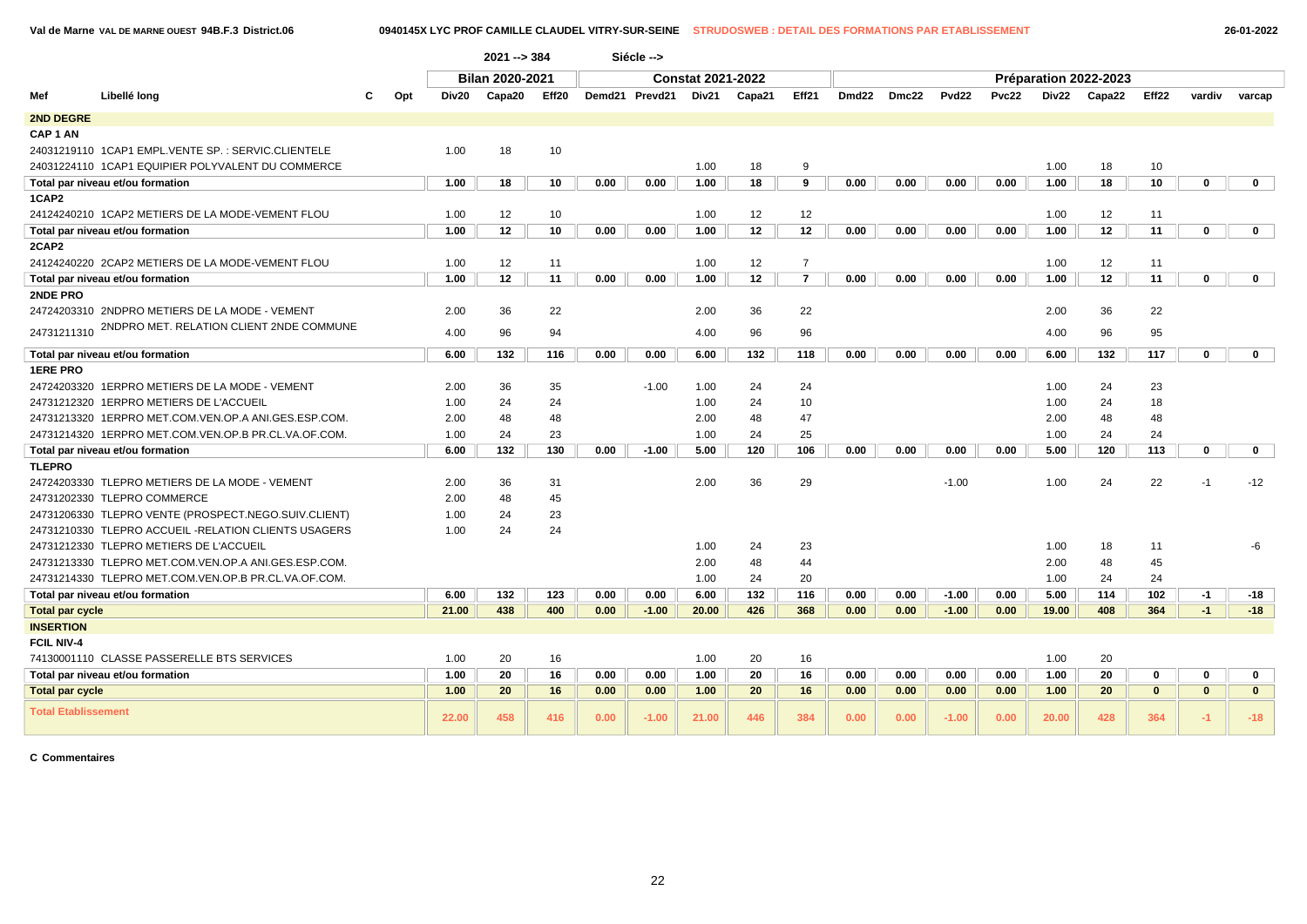**Val de Marne VAL DE MARNE OUEST 94B.F.3 District.06 0940145X LYC PROF CAMILLE CLAUDEL VITRY-SUR-SEINE STRUDOSWEB : DETAIL DES FORMATIONS PAR ETABLISSEMENT 26-01-2022**

|                            |                                                       |                                                    |       | $2021 - 384$ |       |      | Siécle -->     |       |        |                |                   |       |                   |       |                       |        |              |              |              |
|----------------------------|-------------------------------------------------------|----------------------------------------------------|-------|--------------|-------|------|----------------|-------|--------|----------------|-------------------|-------|-------------------|-------|-----------------------|--------|--------------|--------------|--------------|
|                            |                                                       | <b>Bilan 2020-2021</b><br><b>Constat 2021-2022</b> |       |              |       |      |                |       |        |                |                   |       |                   |       | Préparation 2022-2023 |        |              |              |              |
| Mef                        | Libellé long                                          | Opt                                                | Div20 | Capa20       | Eff20 |      | Demd21 Prevd21 | Div21 | Capa21 | Eff21          | Dmd <sub>22</sub> | Dmc22 | Pvd <sub>22</sub> | Pvc22 | Div22                 | Capa22 | Eff22        | vardiv       | varcap       |
| 2ND DEGRE                  |                                                       |                                                    |       |              |       |      |                |       |        |                |                   |       |                   |       |                       |        |              |              |              |
| CAP <sub>1</sub> AN        |                                                       |                                                    |       |              |       |      |                |       |        |                |                   |       |                   |       |                       |        |              |              |              |
|                            | 24031219110 1CAP1 EMPL.VENTE SP.: SERVIC.CLIENTELE    |                                                    | 1.00  | 18           | 10    |      |                |       |        |                |                   |       |                   |       |                       |        |              |              |              |
|                            | 24031224110 1CAP1 EQUIPIER POLYVALENT DU COMMERCE     |                                                    |       |              |       |      |                | 1.00  | 18     | 9              |                   |       |                   |       | 1.00                  | 18     | 10           |              |              |
|                            | Total par niveau et/ou formation                      |                                                    | 1.00  | 18           | 10    | 0.00 | 0.00           | 1.00  | 18     | 9              | 0.00              | 0.00  | 0.00              | 0.00  | 1.00                  | 18     | 10           | $\mathbf 0$  | $\mathbf{0}$ |
| 1CAP2                      |                                                       |                                                    |       |              |       |      |                |       |        |                |                   |       |                   |       |                       |        |              |              |              |
|                            | 24124240210 1CAP2 METIERS DE LA MODE-VEMENT FLOU      |                                                    | 1.00  | 12           | 10    |      |                | 1.00  | 12     | 12             |                   |       |                   |       | 1.00                  | 12     | 11           |              |              |
|                            | Total par niveau et/ou formation                      |                                                    | 1.00  | 12           | 10    | 0.00 | 0.00           | 1.00  | 12     | 12             | 0.00              | 0.00  | 0.00              | 0.00  | 1.00                  | 12     | 11           | $\mathbf 0$  | $\mathbf{0}$ |
| 2CAP2                      |                                                       |                                                    |       |              |       |      |                |       |        |                |                   |       |                   |       |                       |        |              |              |              |
|                            | 24124240220 2CAP2 METIERS DE LA MODE-VEMENT FLOU      |                                                    | 1.00  | 12           | 11    |      |                | 1.00  | 12     | $\overline{7}$ |                   |       |                   |       | 1.00                  | 12     | 11           |              |              |
|                            | Total par niveau et/ou formation                      |                                                    | 1.00  | 12           | 11    | 0.00 | 0.00           | 1.00  | 12     | $\overline{7}$ | 0.00              | 0.00  | 0.00              | 0.00  | 1.00                  | 12     | 11           | $\mathbf 0$  | $\mathbf{0}$ |
| 2NDE PRO                   |                                                       |                                                    |       |              |       |      |                |       |        |                |                   |       |                   |       |                       |        |              |              |              |
|                            | 24724203310 2NDPRO METIERS DE LA MODE - VEMENT        |                                                    | 2.00  | 36           | 22    |      |                | 2.00  | 36     | 22             |                   |       |                   |       | 2.00                  | 36     | 22           |              |              |
| 24731211310                | 2NDPRO MET. RELATION CLIENT 2NDE COMMUNE              |                                                    | 4.00  | 96           | 94    |      |                | 4.00  | 96     | 96             |                   |       |                   |       | 4.00                  | 96     | 95           |              |              |
|                            | Total par niveau et/ou formation                      |                                                    | 6.00  | 132          | 116   | 0.00 | 0.00           | 6.00  | 132    | 118            | 0.00              | 0.00  | 0.00              | 0.00  | 6.00                  | 132    | 117          | $\mathbf 0$  | $\mathbf{0}$ |
| <b>1ERE PRO</b>            |                                                       |                                                    |       |              |       |      |                |       |        |                |                   |       |                   |       |                       |        |              |              |              |
|                            | 24724203320 1ERPRO METIERS DE LA MODE - VEMENT        |                                                    | 2.00  | 36           | 35    |      | $-1.00$        | 1.00  | 24     | 24             |                   |       |                   |       | 1.00                  | 24     | 23           |              |              |
|                            | 24731212320 1ERPRO METIERS DE L'ACCUEIL               |                                                    | 1.00  | 24           | 24    |      |                | 1.00  | 24     | 10             |                   |       |                   |       | 1.00                  | 24     | 18           |              |              |
|                            | 24731213320 1ERPRO MET.COM.VEN.OP.A ANI.GES.ESP.COM   |                                                    | 2.00  | 48           | 48    |      |                | 2.00  | 48     | 47             |                   |       |                   |       | 2.00                  | 48     | 48           |              |              |
|                            | 24731214320 1ERPRO MET.COM.VEN.OP.B PR.CL.VA.OF.COM.  |                                                    | 1.00  | 24           | 23    |      |                | 1.00  | 24     | 25             |                   |       |                   |       | 1.00                  | 24     | 24           |              |              |
|                            | Total par niveau et/ou formation                      |                                                    | 6.00  | 132          | 130   | 0.00 | $-1.00$        | 5.00  | 120    | 106            | 0.00              | 0.00  | 0.00              | 0.00  | 5.00                  | 120    | 113          | $\mathbf 0$  | $\mathbf 0$  |
| <b>TLEPRO</b>              |                                                       |                                                    |       |              |       |      |                |       |        |                |                   |       |                   |       |                       |        |              |              |              |
|                            | 24724203330 TLEPRO METIERS DE LA MODE - VEMENT        |                                                    | 2.00  | 36           | 31    |      |                | 2.00  | 36     | 29             |                   |       | $-1.00$           |       | 1.00                  | 24     | 22           | $-1$         | $-12$        |
|                            | 24731202330 TLEPRO COMMERCE                           |                                                    | 2.00  | 48           | 45    |      |                |       |        |                |                   |       |                   |       |                       |        |              |              |              |
|                            | 24731206330 TLEPRO VENTE (PROSPECT.NEGO.SUIV.CLIENT)  |                                                    | 1.00  | 24           | 23    |      |                |       |        |                |                   |       |                   |       |                       |        |              |              |              |
|                            | 24731210330 TLEPRO ACCUEIL - RELATION CLIENTS USAGERS |                                                    | 1.00  | 24           | 24    |      |                |       |        |                |                   |       |                   |       |                       |        |              |              |              |
|                            | 24731212330 TLEPRO METIERS DE L'ACCUEIL               |                                                    |       |              |       |      |                | 1.00  | 24     | 23             |                   |       |                   |       | 1.00                  | 18     | 11           |              | -6           |
|                            | 24731213330 TLEPRO MET.COM.VEN.OP.A ANI.GES.ESP.COM.  |                                                    |       |              |       |      |                | 2.00  | 48     | 44             |                   |       |                   |       | 2.00                  | 48     | 45           |              |              |
|                            | 24731214330 TLEPRO MET.COM.VEN.OP.B PR.CL.VA.OF.COM.  |                                                    |       |              |       |      |                | 1.00  | 24     | 20             |                   |       |                   |       | 1.00                  | 24     | 24           |              |              |
|                            | Total par niveau et/ou formation                      |                                                    | 6.00  | 132          | 123   | 0.00 | 0.00           | 6.00  | 132    | 116            | 0.00              | 0.00  | $-1.00$           | 0.00  | 5.00                  | 114    | 102          | $-1$         | -18          |
| <b>Total par cycle</b>     |                                                       |                                                    | 21.00 | 438          | 400   | 0.00 | $-1.00$        | 20.00 | 426    | 368            | 0.00              | 0.00  | $-1.00$           | 0.00  | 19.00                 | 408    | 364          | $-1$         | $-18$        |
| <b>INSERTION</b>           |                                                       |                                                    |       |              |       |      |                |       |        |                |                   |       |                   |       |                       |        |              |              |              |
| <b>FCIL NIV-4</b>          |                                                       |                                                    |       |              |       |      |                |       |        |                |                   |       |                   |       |                       |        |              |              |              |
|                            | 74130001110 CLASSE PASSERELLE BTS SERVICES            |                                                    | 1.00  | 20           | 16    |      |                | 1.00  | 20     | 16             |                   |       |                   |       | 1.00                  | 20     |              |              |              |
|                            | Total par niveau et/ou formation                      |                                                    | 1.00  | 20           | 16    | 0.00 | 0.00           | 1.00  | 20     | 16             | 0.00              | 0.00  | 0.00              | 0.00  | 1.00                  | 20     | 0            | $\bf{0}$     | $\mathbf 0$  |
| <b>Total par cycle</b>     |                                                       |                                                    | 1.00  | 20           | 16    | 0.00 | 0.00           | 1.00  | 20     | 16             | 0.00              | 0.00  | 0.00              | 0.00  | 1.00                  | 20     | $\mathbf{0}$ | $\mathbf{0}$ | $\mathbf{0}$ |
| <b>Total Etablissement</b> |                                                       |                                                    | 22.00 | 458          | 416   | 0.00 | $-1.00$        | 21.00 | 446    | 384            | 0.00              | 0.00  | $-1.00$           | 0.00  | 20.00                 | 428    | 364          | $-1$         | $-18$        |

**C Commentaires**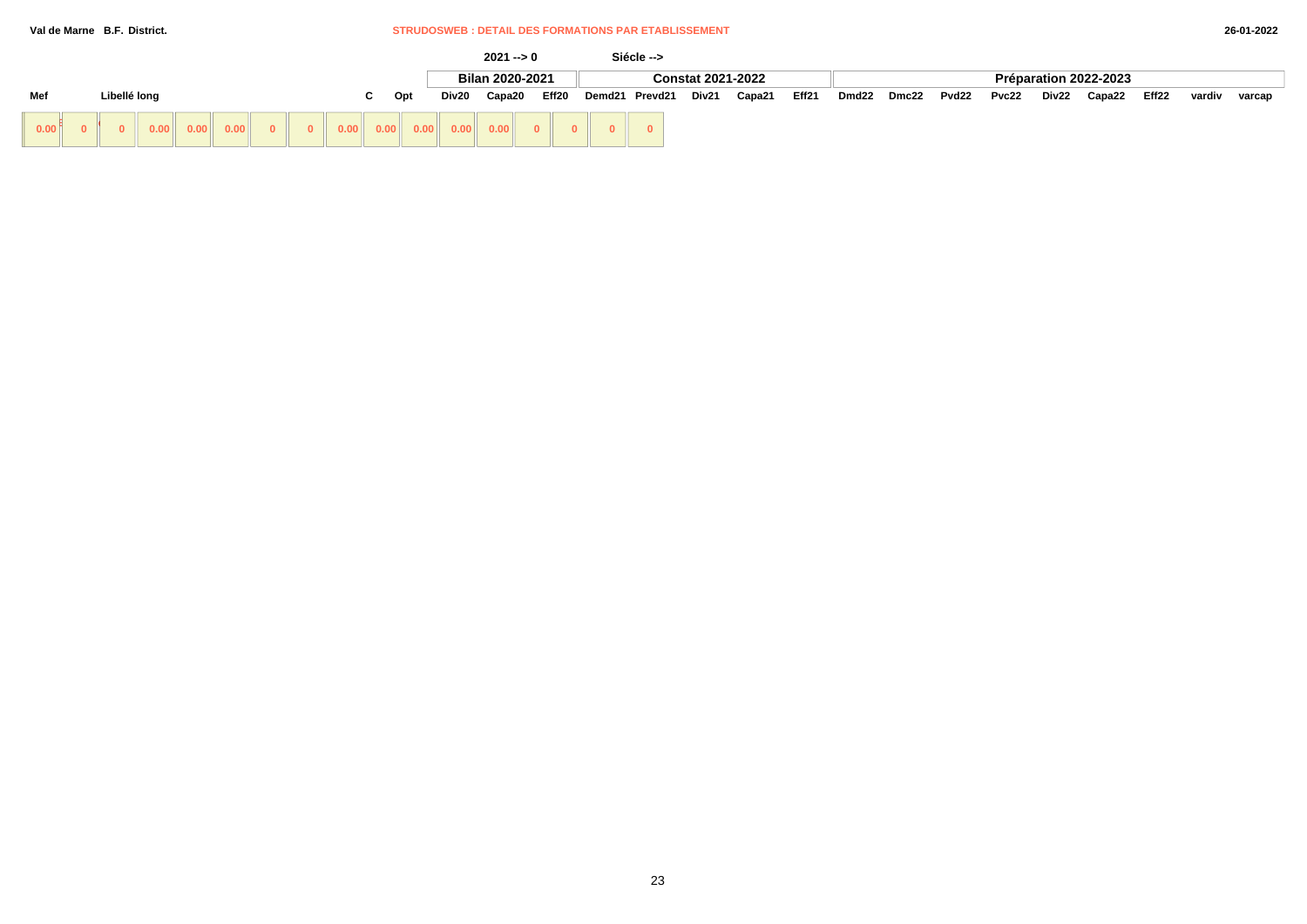### **Val de Marne B.F. District.** STRUDOSWEB : DETAIL DES FORMATIONS PAR ETABLISSEMENT

|                     |  |  |  |    |     |                          |  |  |                 |       | $2021 - 0$ |                |                          | Siécle --> |       |                       |       |        |       |        |        |  |  |  |  |  |
|---------------------|--|--|--|----|-----|--------------------------|--|--|-----------------|-------|------------|----------------|--------------------------|------------|-------|-----------------------|-------|--------|-------|--------|--------|--|--|--|--|--|
|                     |  |  |  |    |     |                          |  |  | Bilan 2020-2021 |       |            |                | <b>Constat 2021-2022</b> |            |       | Préparation 2022-2023 |       |        |       |        |        |  |  |  |  |  |
| Mef<br>Libellé long |  |  |  | C. | Opt | Eff20<br>Capa20<br>Div20 |  |  | Demd21 Prevd21  | Div21 | Capa21     | Eff21          | Dmd22                    | Dmc22      | Pvd22 | Pvc22                 | Div22 | Capa22 | Eff22 | vardiv | varcap |  |  |  |  |  |
| 0.00 <sup>6</sup>   |  |  |  |    |     |                          |  |  |                 |       |            | $\overline{0}$ |                          |            |       |                       |       |        |       |        |        |  |  |  |  |  |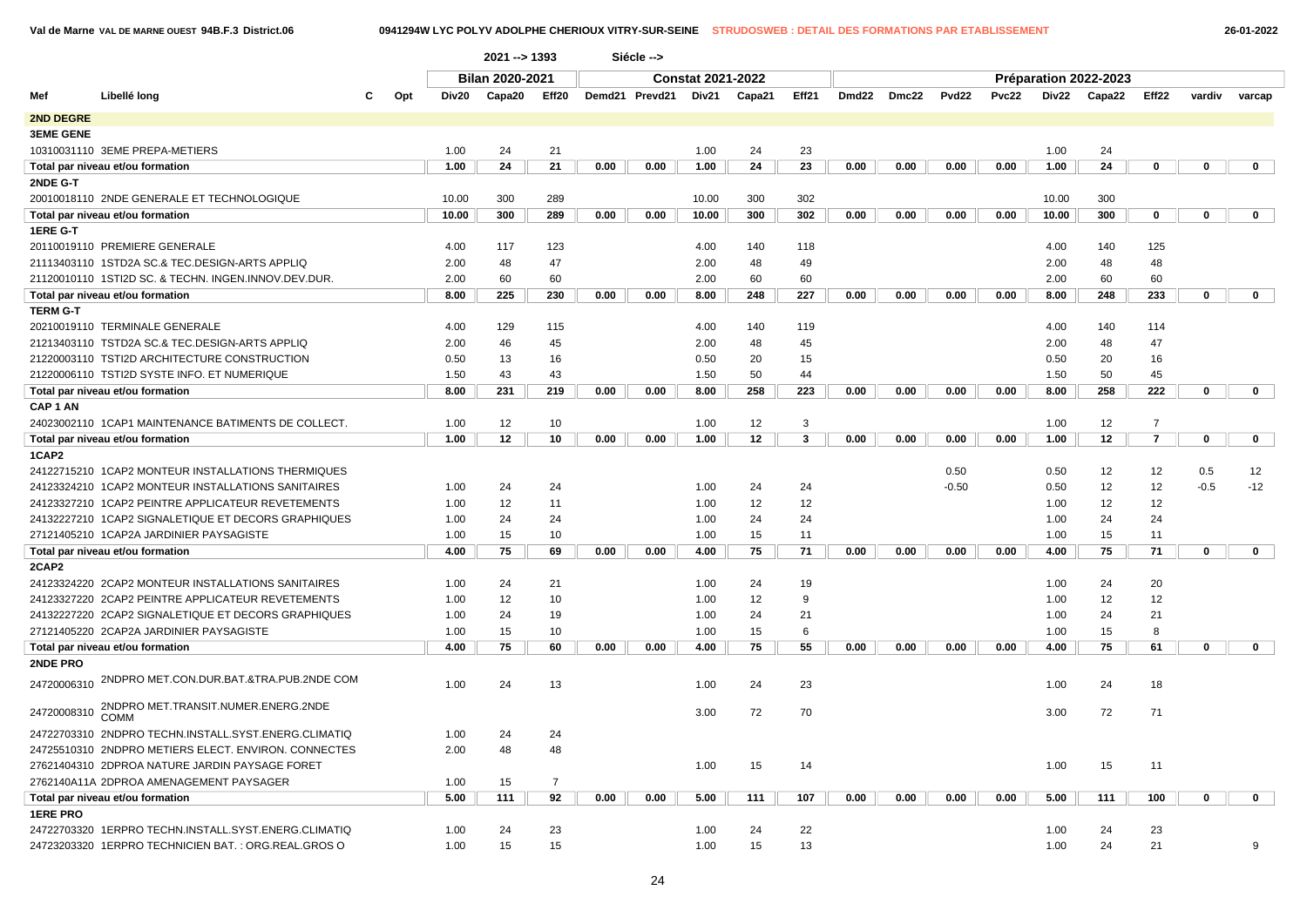**Val de Marne VAL DE MARNE OUEST 94B.F.3 District.06 0941294W LYC POLYV ADOLPHE CHERIOUX VITRY-SUR-SEINE STRUDOSWEB : DETAIL DES FORMATIONS PAR ETABLISSEMENT 26-01-2022**

|                     | 2021 -- > 1393<br>Siécle --><br><b>Constat 2021-2022</b> |  |     |              |                        |                      |      |                |       |          |         |       |       |              |              |              |                       |                   |             |              |
|---------------------|----------------------------------------------------------|--|-----|--------------|------------------------|----------------------|------|----------------|-------|----------|---------|-------|-------|--------------|--------------|--------------|-----------------------|-------------------|-------------|--------------|
|                     |                                                          |  |     |              | <b>Bilan 2020-2021</b> |                      |      |                |       |          |         |       |       |              |              |              | Préparation 2022-2023 |                   |             |              |
| Mef                 | Libellé long                                             |  | Opt | Div20        | Capa20                 | Eff20                |      | Demd21 Prevd21 | Div21 | Capa21   | Eff21   | Dmd22 | Dmc22 | <b>Pvd22</b> | <b>Pvc22</b> | Div22        | Capa22                | Eff <sub>22</sub> | vardiv      | varcap       |
| 2ND DEGRE           |                                                          |  |     |              |                        |                      |      |                |       |          |         |       |       |              |              |              |                       |                   |             |              |
| <b>3EME GENE</b>    |                                                          |  |     |              |                        |                      |      |                |       |          |         |       |       |              |              |              |                       |                   |             |              |
|                     | 10310031110 3EME PREPA-METIERS                           |  |     | 1.00         | 24                     | 21                   |      |                | 1.00  | 24       | 23      |       |       |              |              | 1.00         | 24                    |                   |             |              |
|                     | Total par niveau et/ou formation                         |  |     | 1.00         | 24                     | 21                   | 0.00 | 0.00           | 1.00  | 24       | 23      | 0.00  | 0.00  | 0.00         | 0.00         | 1.00         | 24                    | 0                 | 0           | $\mathbf 0$  |
| 2NDE G-T            |                                                          |  |     |              |                        |                      |      |                |       |          |         |       |       |              |              |              |                       |                   |             |              |
|                     | 20010018110 2NDE GENERALE ET TECHNOLOGIQUE               |  |     | 10.00        | 300                    | 289                  |      |                | 10.00 | 300      | 302     |       |       |              |              | 10.00        | 300                   |                   |             |              |
|                     | Total par niveau et/ou formation                         |  |     | 10.00        | 300                    | 289                  | 0.00 | 0.00           | 10.00 | 300      | 302     | 0.00  | 0.00  | 0.00         | 0.00         | 10.00        | 300                   | 0                 | 0           | $\mathbf 0$  |
| 1ERE G-T            |                                                          |  |     |              |                        |                      |      |                |       |          |         |       |       |              |              |              |                       |                   |             |              |
|                     | 20110019110 PREMIERE GENERALE                            |  |     | 4.00         | 117                    | 123                  |      |                | 4.00  | 140      | 118     |       |       |              |              | 4.00         | 140                   | 125               |             |              |
|                     | 21113403110 1STD2A SC.& TEC.DESIGN-ARTS APPLIQ           |  |     | 2.00         | 48                     | 47                   |      |                | 2.00  | 48       | 49      |       |       |              |              | 2.00         | 48                    | 48                |             |              |
|                     | 21120010110 1STI2D SC. & TECHN. INGEN.INNOV.DEV.DUR.     |  |     | 2.00         | 60                     | 60                   |      |                | 2.00  | 60       | 60      |       |       |              |              | 2.00         | 60                    | 60                |             |              |
|                     | Total par niveau et/ou formation                         |  |     | 8.00         | 225                    | 230                  | 0.00 | 0.00           | 8.00  | 248      | 227     | 0.00  | 0.00  | 0.00         | 0.00         | 8.00         | 248                   | 233               | 0           | $\mathbf{0}$ |
| <b>TERM G-T</b>     |                                                          |  |     |              |                        |                      |      |                |       |          |         |       |       |              |              |              |                       |                   |             |              |
|                     | 20210019110 TERMINALE GENERALE                           |  |     | 4.00         | 129                    | 115                  |      |                | 4.00  | 140      | 119     |       |       |              |              | 4.00         | 140                   | 114               |             |              |
|                     | 21213403110 TSTD2A SC.& TEC.DESIGN-ARTS APPLIQ           |  |     | 2.00         | 46                     | 45                   |      |                | 2.00  | 48       | 45      |       |       |              |              | 2.00         | 48                    | 47                |             |              |
|                     | 21220003110 TSTI2D ARCHITECTURE CONSTRUCTION             |  |     | 0.50         | 13                     | 16                   |      |                | 0.50  | 20       | 15      |       |       |              |              | 0.50         | 20                    | 16                |             |              |
|                     | 21220006110 TSTI2D SYSTE INFO. ET NUMERIQUE              |  |     | 1.50         | 43                     | 43                   |      |                | 1.50  | 50       | 44      |       |       |              |              | 1.50         | 50                    | 45                |             |              |
|                     | Total par niveau et/ou formation                         |  |     | 8.00         | 231                    | 219                  | 0.00 | 0.00           | 8.00  | 258      | 223     | 0.00  | 0.00  | 0.00         | 0.00         | 8.00         | 258                   | 222               | $\mathbf 0$ | $\mathbf{0}$ |
| CAP <sub>1</sub> AN |                                                          |  |     |              |                        |                      |      |                |       |          |         |       |       |              |              |              |                       |                   |             |              |
|                     | 24023002110 1CAP1 MAINTENANCE BATIMENTS DE COLLECT.      |  |     | 1.00         | 12                     | 10                   |      |                | 1.00  | 12       | 3       |       |       |              |              | 1.00         | 12                    | $\overline{7}$    |             |              |
|                     | Total par niveau et/ou formation                         |  |     | 1.00         | 12                     | 10                   | 0.00 | 0.00           | 1.00  | 12       | 3       | 0.00  | 0.00  | 0.00         | 0.00         | 1.00         | 12                    | $\overline{7}$    | $\mathbf 0$ | $\mathbf 0$  |
| 1CAP2               |                                                          |  |     |              |                        |                      |      |                |       |          |         |       |       |              |              |              |                       |                   |             |              |
|                     | 24122715210 1CAP2 MONTEUR INSTALLATIONS THERMIQUES       |  |     |              |                        |                      |      |                |       |          |         |       |       | 0.50         |              | 0.50         | 12                    | 12                | 0.5         | 12           |
|                     | 24123324210 1CAP2 MONTEUR INSTALLATIONS SANITAIRES       |  |     | 1.00         | 24                     | 24                   |      |                | 1.00  | 24       | 24      |       |       | $-0.50$      |              | 0.50         | 12                    | 12                | $-0.5$      | $-12$        |
|                     | 24123327210 1CAP2 PEINTRE APPLICATEUR REVETEMENTS        |  |     | 1.00         | 12                     | 11                   |      |                | 1.00  | 12       | 12      |       |       |              |              | 1.00         | 12                    | 12                |             |              |
|                     | 24132227210 1CAP2 SIGNALETIQUE ET DECORS GRAPHIQUES      |  |     | 1.00         | 24                     | 24                   |      |                | 1.00  | 24       | 24      |       |       |              |              | 1.00         | 24                    | 24                |             |              |
|                     | 27121405210 1CAP2A JARDINIER PAYSAGISTE                  |  |     | 1.00         | 15                     | 10                   |      |                | 1.00  | 15       | 11      |       |       |              |              | 1.00         | 15                    | 11                |             |              |
|                     | Total par niveau et/ou formation                         |  |     | 4.00         | 75                     | 69                   | 0.00 | 0.00           | 4.00  | 75       | 71      | 0.00  | 0.00  | 0.00         | 0.00         | 4.00         | 75                    | 71                | 0           | $\mathbf{0}$ |
| 2CAP2               |                                                          |  |     |              |                        |                      |      |                |       |          |         |       |       |              |              |              |                       |                   |             |              |
|                     | 24123324220 2CAP2 MONTEUR INSTALLATIONS SANITAIRES       |  |     | 1.00         | 24                     | 21                   |      |                | 1.00  | 24       | 19      |       |       |              |              | 1.00         | 24                    | 20                |             |              |
|                     | 24123327220 2CAP2 PEINTRE APPLICATEUR REVETEMENTS        |  |     | 1.00         | 12                     | 10                   |      |                | 1.00  | 12       | 9       |       |       |              |              | 1.00         | 12                    | 12                |             |              |
|                     | 24132227220 2CAP2 SIGNALETIQUE ET DECORS GRAPHIQUES      |  |     | 1.00         | 24                     | 19                   |      |                | 1.00  | 24       | 21      |       |       |              |              | 1.00         | 24                    | 21                |             |              |
|                     | 27121405220 2CAP2A JARDINIER PAYSAGISTE                  |  |     | 1.00<br>4.00 | 15<br>75               | 10<br>60             | 0.00 | 0.00           | 1.00  | 15<br>75 | 6<br>55 | 0.00  | 0.00  | 0.00         | 0.00         | 1.00<br>4.00 | 15<br>75              | 8<br>61           | $\mathbf 0$ | $\mathbf 0$  |
| 2NDE PRO            | Total par niveau et/ou formation                         |  |     |              |                        |                      |      |                | 4.00  |          |         |       |       |              |              |              |                       |                   |             |              |
| 24720006310         | 2NDPRO MET.CON.DUR.BAT.&TRA.PUB.2NDE COM                 |  |     | 1.00         | 24                     | 13                   |      |                | 1.00  | 24       | 23      |       |       |              |              | 1.00         | 24                    | 18                |             |              |
| 24720008310         | 2NDPRO MET.TRANSIT.NUMER.ENERG.2NDE                      |  |     |              |                        |                      |      |                | 3.00  | 72       | 70      |       |       |              |              | 3.00         | 72                    | 71                |             |              |
|                     | <b>COMM</b>                                              |  |     |              |                        |                      |      |                |       |          |         |       |       |              |              |              |                       |                   |             |              |
|                     | 24722703310 2NDPRO TECHN.INSTALL.SYST.ENERG.CLIMATIQ     |  |     | 1.00         | 24                     | 24                   |      |                |       |          |         |       |       |              |              |              |                       |                   |             |              |
|                     | 24725510310 2NDPRO METIERS ELECT. ENVIRON. CONNECTES     |  |     | 2.00         | 48                     | 48                   |      |                |       |          |         |       |       |              |              |              |                       |                   |             |              |
|                     | 27621404310 2DPROA NATURE JARDIN PAYSAGE FORET           |  |     |              |                        |                      |      |                | 1.00  | 15       | 14      |       |       |              |              | 1.00         | 15                    | 11                |             |              |
|                     | 2762140A11A 2DPROA AMENAGEMENT PAYSAGER                  |  |     | 1.00<br>5.00 | 15<br>111              | $\overline{7}$<br>92 | 0.00 | 0.00           | 5.00  | 111      | 107     | 0.00  | 0.00  | 0.00         | 0.00         | 5.00         | 111                   | 100               | 0           | $\mathbf 0$  |
| <b>1ERE PRO</b>     | Total par niveau et/ou formation                         |  |     |              |                        |                      |      |                |       |          |         |       |       |              |              |              |                       |                   |             |              |
|                     | 24722703320 1ERPRO TECHN.INSTALL.SYST.ENERG.CLIMATIQ     |  |     | 1.00         | 24                     | 23                   |      |                | 1.00  | 24       | 22      |       |       |              |              | 1.00         | 24                    | 23                |             |              |
|                     | 24723203320 1ERPRO TECHNICIEN BAT.: ORG.REAL.GROS O      |  |     | 1.00         | 15                     | 15                   |      |                | 1.00  | 15       | 13      |       |       |              |              | 1.00         | 24                    | 21                |             | 9            |
|                     |                                                          |  |     |              |                        |                      |      |                |       |          |         |       |       |              |              |              |                       |                   |             |              |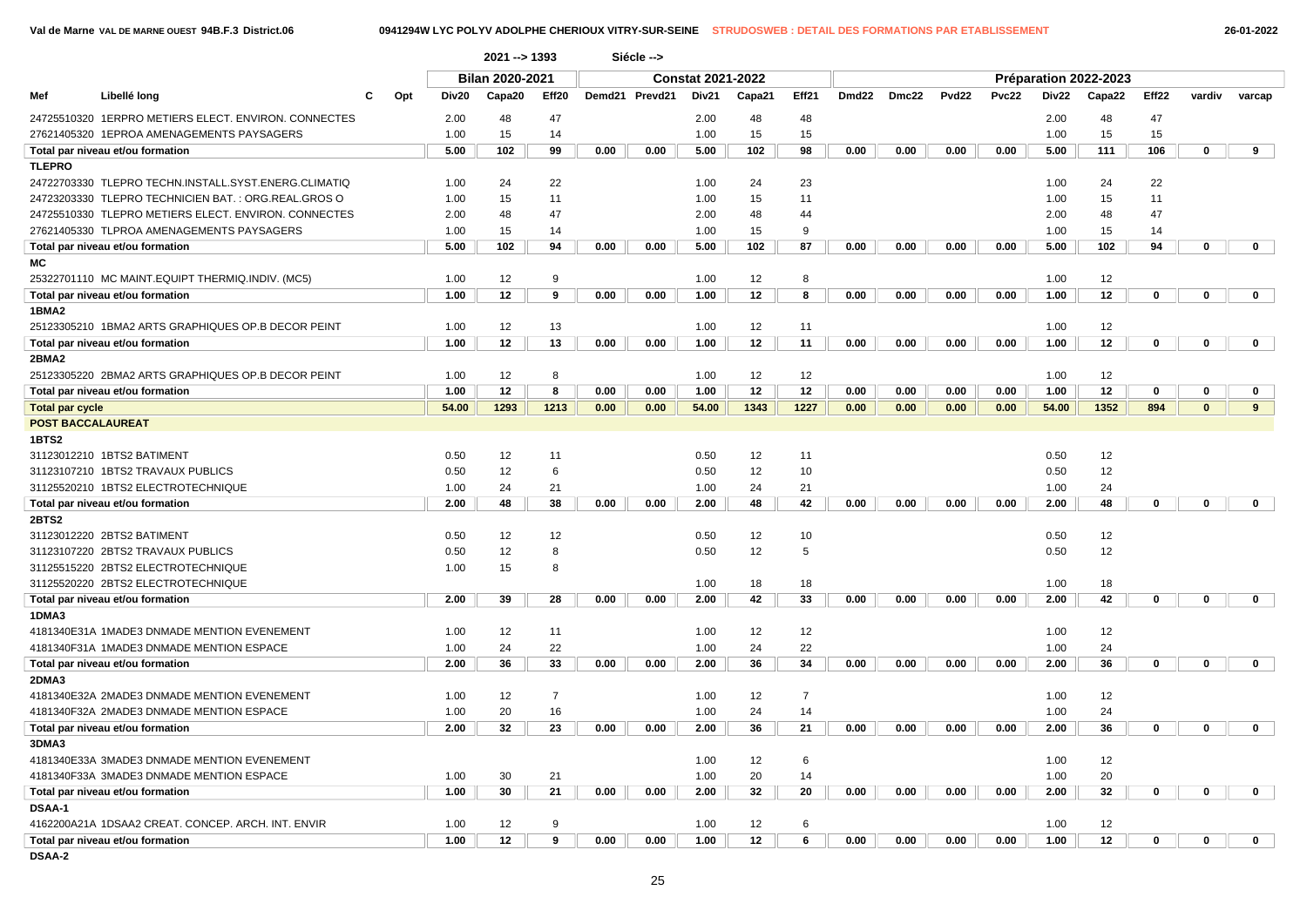|                          |                                                      |     |       | 2021 -- > 1393  |                |      | Siécle -->     |                          |        |                |       |       |              |       |       |                       |                   |              |              |
|--------------------------|------------------------------------------------------|-----|-------|-----------------|----------------|------|----------------|--------------------------|--------|----------------|-------|-------|--------------|-------|-------|-----------------------|-------------------|--------------|--------------|
|                          |                                                      |     |       | Bilan 2020-2021 |                |      |                | <b>Constat 2021-2022</b> |        |                |       |       |              |       |       | Préparation 2022-2023 |                   |              |              |
| Mef                      | Libellé long                                         | Opt | Div20 | Capa20          | Eff20          |      | Demd21 Prevd21 | Div21                    | Capa21 | Eff21          | Dmd22 | Dmc22 | <b>Pvd22</b> | Pvc22 | Div22 | Capa22                | Eff <sub>22</sub> | vardiv       | varcap       |
|                          | 24725510320 1ERPRO METIERS ELECT. ENVIRON. CONNECTES |     | 2.00  | 48              | 47             |      |                | 2.00                     | 48     | 48             |       |       |              |       | 2.00  | 48                    | 47                |              |              |
|                          | 27621405320 1EPROA AMENAGEMENTS PAYSAGERS            |     | 1.00  | 15              | 14             |      |                | 1.00                     |        | 15             |       |       |              |       | 1.00  | 15                    | 15                |              |              |
|                          |                                                      |     |       |                 |                |      |                |                          | 15     |                | 0.00  | 0.00  | 0.00         |       |       |                       |                   | $\mathbf 0$  | 9            |
|                          | Total par niveau et/ou formation                     |     | 5.00  | 102             | 99             | 0.00 | 0.00           | 5.00                     | 102    | 98             |       |       |              | 0.00  | 5.00  | 111                   | 106               |              |              |
| <b>TLEPRO</b>            |                                                      |     |       |                 |                |      |                |                          |        |                |       |       |              |       |       |                       |                   |              |              |
|                          | 24722703330 TLEPRO TECHN.INSTALL.SYST.ENERG.CLIMATIQ |     | 1.00  | 24              | 22<br>11       |      |                | 1.00                     | 24     | 23             |       |       |              |       | 1.00  | 24                    | 22<br>11          |              |              |
|                          | 24723203330 TLEPRO TECHNICIEN BAT.: ORG.REAL.GROS O  |     | 1.00  | 15              |                |      |                | 1.00                     | 15     | 11             |       |       |              |       | 1.00  | 15                    |                   |              |              |
|                          | 24725510330 TLEPRO METIERS ELECT. ENVIRON. CONNECTES |     | 2.00  | 48              | 47             |      |                | 2.00                     | 48     | 44             |       |       |              |       | 2.00  | 48                    | 47                |              |              |
|                          | 27621405330 TLPROA AMENAGEMENTS PAYSAGERS            |     | 1.00  | 15              | 14             |      |                | 1.00                     | 15     | 9              |       |       |              |       | 1.00  | 15                    | 14                |              |              |
|                          | Total par niveau et/ou formation                     |     | 5.00  | 102             | 94             | 0.00 | 0.00           | 5.00                     | 102    | 87             | 0.00  | 0.00  | 0.00         | 0.00  | 5.00  | 102                   | 94                | 0            | $\mathbf 0$  |
| МC                       |                                                      |     |       |                 |                |      |                |                          |        |                |       |       |              |       |       |                       |                   |              |              |
|                          | 25322701110 MC MAINT.EQUIPT THERMIQ.INDIV. (MC5)     |     | 1.00  | 12              | 9              |      |                | 1.00                     | 12     | 8              |       |       |              |       | 1.00  | 12                    |                   |              |              |
|                          | Total par niveau et/ou formation                     |     | 1.00  | 12              | 9              | 0.00 | 0.00           | 1.00                     | 12     | 8              | 0.00  | 0.00  | 0.00         | 0.00  | 1.00  | 12                    | $\mathbf 0$       | $\mathbf 0$  | $\mathbf 0$  |
| 1BMA2                    |                                                      |     |       |                 |                |      |                |                          |        |                |       |       |              |       |       |                       |                   |              |              |
|                          | 25123305210 1BMA2 ARTS GRAPHIQUES OP B DECOR PEINT   |     | 1.00  | 12              | 13             |      |                | 1.00                     | 12     | 11             |       |       |              |       | 1.00  | 12                    |                   |              |              |
|                          | Total par niveau et/ou formation                     |     | 1.00  | 12              | 13             | 0.00 | 0.00           | 1.00                     | 12     | 11             | 0.00  | 0.00  | 0.00         | 0.00  | 1.00  | 12                    | $\mathbf{0}$      | $\mathbf 0$  | $\mathbf{0}$ |
| 2BMA2                    |                                                      |     |       |                 |                |      |                |                          |        |                |       |       |              |       |       |                       |                   |              |              |
|                          | 25123305220 2BMA2 ARTS GRAPHIQUES OP B DECOR PEINT   |     | 1.00  | 12              | 8              |      |                | 1.00                     | 12     | 12             |       |       |              |       | 1.00  | 12                    |                   |              |              |
|                          | Total par niveau et/ou formation                     |     | 1.00  | 12              | 8              | 0.00 | 0.00           | 1.00                     | 12     | 12             | 0.00  | 0.00  | 0.00         | 0.00  | 1.00  | 12                    | $\mathbf{0}$      | 0            | 0            |
| <b>Total par cycle</b>   |                                                      |     | 54.00 | 1293            | 1213           | 0.00 | 0.00           | 54.00                    | 1343   | 1227           | 0.00  | 0.00  | 0.00         | 0.00  | 54.00 | 1352                  | 894               | $\mathbf{0}$ | 9            |
| <b>POST BACCALAUREAT</b> |                                                      |     |       |                 |                |      |                |                          |        |                |       |       |              |       |       |                       |                   |              |              |
| 1BTS2                    |                                                      |     |       |                 |                |      |                |                          |        |                |       |       |              |       |       |                       |                   |              |              |
|                          | 31123012210 1BTS2 BATIMENT                           |     | 0.50  | 12              | 11             |      |                | 0.50                     | 12     | 11             |       |       |              |       | 0.50  | 12                    |                   |              |              |
|                          | 31123107210 1BTS2 TRAVAUX PUBLICS                    |     | 0.50  | 12              | 6              |      |                | 0.50                     | 12     | 10             |       |       |              |       | 0.50  | 12                    |                   |              |              |
|                          | 31125520210 1BTS2 ELECTROTECHNIQUE                   |     | 1.00  | 24              | 21             |      |                | 1.00                     | 24     | 21             |       |       |              |       | 1.00  | 24                    |                   |              |              |
|                          | Total par niveau et/ou formation                     |     | 2.00  | 48              | 38             | 0.00 | 0.00           | 2.00                     | 48     | 42             | 0.00  | 0.00  | 0.00         | 0.00  | 2.00  | 48                    | $\mathbf 0$       | $\bf{0}$     | $\mathbf 0$  |
| <b>2BTS2</b>             |                                                      |     |       |                 |                |      |                |                          |        |                |       |       |              |       |       |                       |                   |              |              |
|                          | 31123012220 2BTS2 BATIMENT                           |     | 0.50  | 12              | 12             |      |                | 0.50                     | 12     | 10             |       |       |              |       | 0.50  | 12                    |                   |              |              |
|                          | 31123107220 2BTS2 TRAVAUX PUBLICS                    |     | 0.50  | 12              | 8              |      |                | 0.50                     | 12     | 5              |       |       |              |       | 0.50  | 12                    |                   |              |              |
|                          | 31125515220 2BTS2 ELECTROTECHNIQUE                   |     | 1.00  | 15              | 8              |      |                |                          |        |                |       |       |              |       |       |                       |                   |              |              |
|                          | 31125520220 2BTS2 ELECTROTECHNIQUE                   |     |       |                 |                |      |                | 1.00                     | 18     | 18             |       |       |              |       | 1.00  | 18                    |                   |              |              |
|                          | Total par niveau et/ou formation                     |     | 2.00  | 39              | 28             | 0.00 | 0.00           | 2.00                     | 42     | 33             | 0.00  | 0.00  | 0.00         | 0.00  | 2.00  | 42                    | 0                 | 0            | $\mathbf 0$  |
| 1DMA3                    |                                                      |     |       |                 |                |      |                |                          |        |                |       |       |              |       |       |                       |                   |              |              |
|                          | 4181340E31A 1MADE3 DNMADE MENTION EVENEMENT          |     | 1.00  | 12              | 11             |      |                | 1.00                     | 12     | 12             |       |       |              |       | 1.00  | 12                    |                   |              |              |
|                          | 4181340F31A 1MADE3 DNMADE MENTION ESPACE             |     | 1.00  | 24              | 22             |      |                | 1.00                     | 24     | 22             |       |       |              |       | 1.00  | 24                    |                   |              |              |
|                          | Total par niveau et/ou formation                     |     | 2.00  | 36              | 33             | 0.00 | 0.00           | 2.00                     | 36     | 34             | 0.00  | 0.00  | 0.00         | 0.00  | 2.00  | 36                    | $\mathbf 0$       | 0            | $\mathbf 0$  |
| 2DMA3                    |                                                      |     |       |                 |                |      |                |                          |        |                |       |       |              |       |       |                       |                   |              |              |
|                          | 4181340E32A 2MADE3 DNMADE MENTION EVENEMENT          |     | 1.00  | 12              | $\overline{7}$ |      |                | 1.00                     | 12     | $\overline{7}$ |       |       |              |       | 1.00  | 12                    |                   |              |              |
|                          | 4181340F32A 2MADE3 DNMADE MENTION ESPACE             |     | 1.00  | 20              | 16             |      |                | 1.00                     | 24     | 14             |       |       |              |       | 1.00  | 24                    |                   |              |              |
|                          | Total par niveau et/ou formation                     |     | 2.00  | 32              | 23             | 0.00 | 0.00           | 2.00                     | 36     | 21             | 0.00  | 0.00  | 0.00         | 0.00  | 2.00  | 36                    | 0                 | 0            | 0            |
| 3DMA3                    |                                                      |     |       |                 |                |      |                |                          |        |                |       |       |              |       |       |                       |                   |              |              |
|                          | 4181340E33A 3MADE3 DNMADE MENTION EVENEMENT          |     |       |                 |                |      |                | 1.00                     | 12     |                |       |       |              |       | 1.00  | 12                    |                   |              |              |
|                          |                                                      |     |       |                 |                |      |                |                          |        | 6              |       |       |              |       |       |                       |                   |              |              |
|                          | 4181340F33A 3MADE3 DNMADE MENTION ESPACE             |     | 1.00  | 30              | 21             |      |                | 1.00                     | 20     | 14             |       |       |              |       | 1.00  | 20                    | $\mathbf 0$       | $\mathbf 0$  |              |
|                          | Total par niveau et/ou formation                     |     | 1.00  | 30              | 21             | 0.00 | 0.00           | 2.00                     | 32     | 20             | 0.00  | 0.00  | 0.00         | 0.00  | 2.00  | 32                    |                   |              | $\mathbf{0}$ |
| <b>DSAA-1</b>            |                                                      |     |       |                 |                |      |                |                          |        |                |       |       |              |       |       |                       |                   |              |              |
|                          | 4162200A21A 1DSAA2 CREAT. CONCEP. ARCH. INT. ENVIR   |     | 1.00  | 12              | 9              |      |                | 1.00                     | 12     | 6              |       |       |              |       | 1.00  | 12                    |                   |              |              |
|                          | Total par niveau et/ou formation                     |     | 1.00  | 12              | 9              | 0.00 | 0.00           | 1.00                     | 12     | 6              | 0.00  | 0.00  | 0.00         | 0.00  | 1.00  | 12                    | 0                 | $\mathbf 0$  | $\mathbf{0}$ |
| <b>DSAA-2</b>            |                                                      |     |       |                 |                |      |                |                          |        |                |       |       |              |       |       |                       |                   |              |              |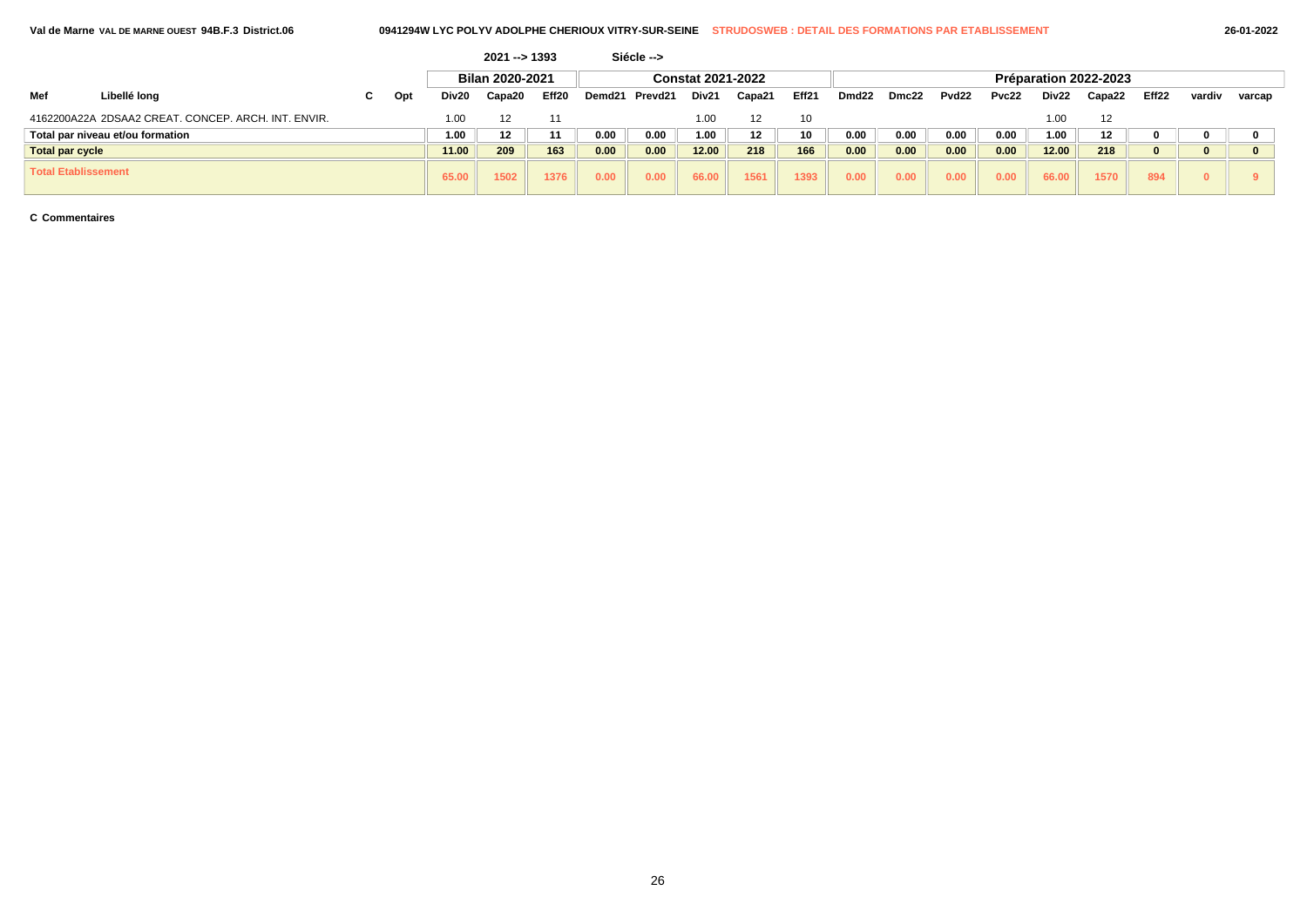|                        |                                                     |   |     |       | $2021 - 1393$   |       |        | Siécle -->               |                   |        |       |       |       |                       |       |       |         |       |        |        |  |  |  |  |
|------------------------|-----------------------------------------------------|---|-----|-------|-----------------|-------|--------|--------------------------|-------------------|--------|-------|-------|-------|-----------------------|-------|-------|---------|-------|--------|--------|--|--|--|--|
|                        |                                                     |   |     |       | Bilan 2020-2021 |       |        | <b>Constat 2021-2022</b> |                   |        |       |       |       | Préparation 2022-2023 |       |       |         |       |        |        |  |  |  |  |
| Mef                    | Libellé long                                        | ັ | Opt | Div20 | Capa20          | Eff20 | Demd21 | Prevd21                  | Div <sub>21</sub> | Capa21 | Eff21 | Dmd22 | Dmc22 | Pvd22                 | Pvc22 | Div22 | Capa22  | Eff22 | vardiv | varcap |  |  |  |  |
|                        | 4162200A22A 2DSAA2 CREAT, CONCEP, ARCH, INT, ENVIR, |   |     | 1.00  |                 | 1'    |        |                          | 1.00              |        | 10    |       |       |                       |       | 00. ا | 12      |       |        |        |  |  |  |  |
|                        | Total par niveau et/ou formation                    |   |     | 1.00  | 12              | 11    | 0.00   | 0.00                     | 1.00              |        | 10    | 0.00  | 0.00  | 0.00                  | 0.00  | 1.00  | $12 \,$ |       |        |        |  |  |  |  |
| <b>Total par cycle</b> |                                                     |   |     | 11.00 | 209             | 163   | 0.00   | 0.00                     | 12.00             | 218    | 166   | 0.00  | 0.00  | 0.00                  | 0.00  | 12.00 | 218     |       |        |        |  |  |  |  |
| Total Etablissement    |                                                     |   |     | 65.00 | 1502            | 1376  | 0.00   | 0.00                     | 66.00             | 1561   | 1393  | 0.00  | 0.00  | 0.00                  | 0.00  | 66.00 | 1570    | 894   |        |        |  |  |  |  |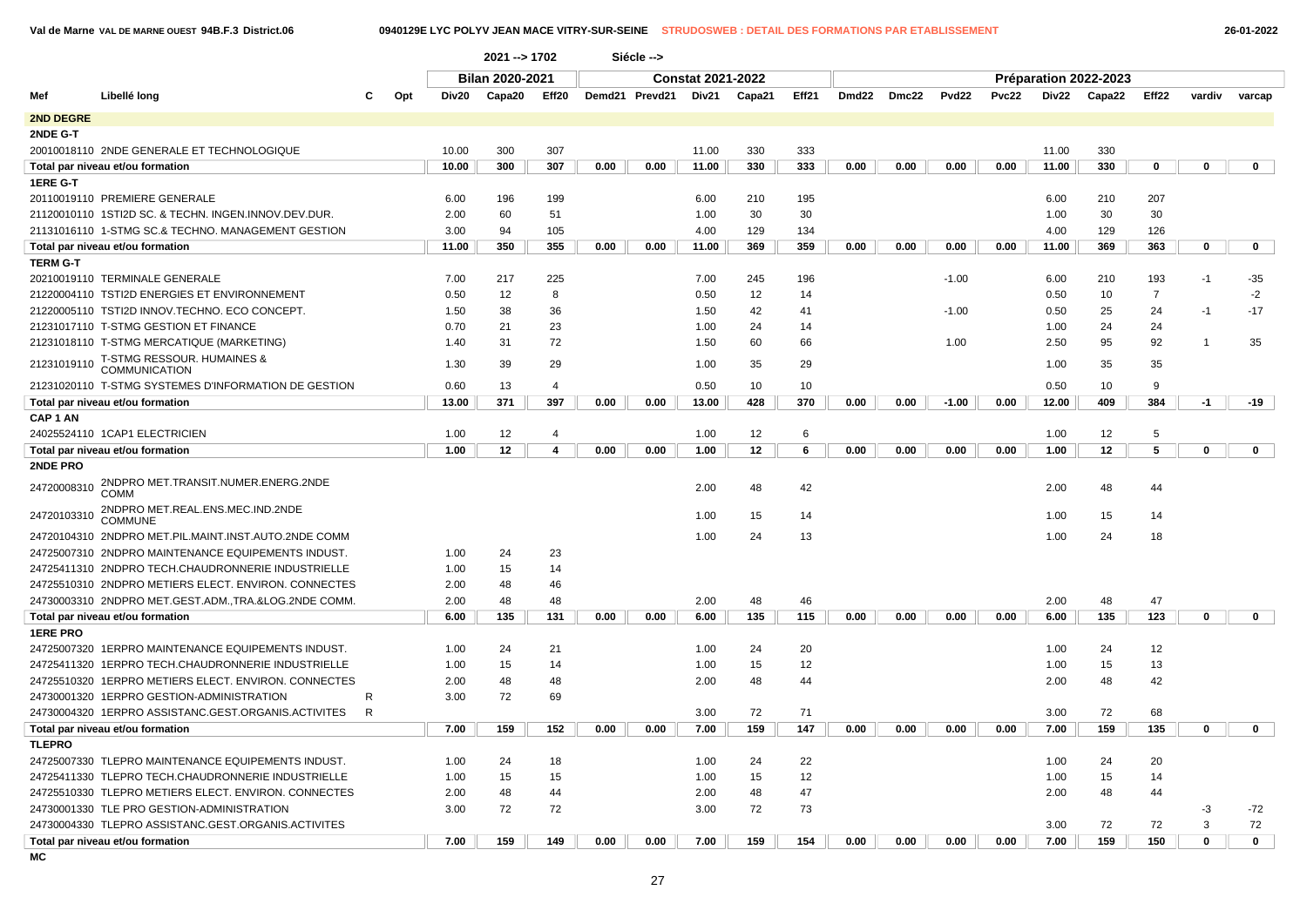### **Val de Marne VAL DE MARNE OUEST 94B.F.3 District.06 0940129E LYC POLYV JEAN MACE VITRY-SUR-SEINE STRUDOSWEB : DETAIL DES FORMATIONS PAR ETABLISSEMENT 26-01-2022**

|                     |                                                      |   |              | 2021 -- > 1702         |                |      | Siécle -->     |                          |        |       |       |       |         |       |       |                       |                |                |             |
|---------------------|------------------------------------------------------|---|--------------|------------------------|----------------|------|----------------|--------------------------|--------|-------|-------|-------|---------|-------|-------|-----------------------|----------------|----------------|-------------|
| Mef                 |                                                      |   |              | <b>Bilan 2020-2021</b> |                |      |                | <b>Constat 2021-2022</b> |        |       |       |       |         |       |       | Préparation 2022-2023 |                |                |             |
|                     | Libellé long                                         |   | Opt<br>Div20 | Capa20                 | Eff20          |      | Demd21 Prevd21 | Div21                    | Capa21 | Eff21 | Dmd22 | Dmc22 | Pvd22   | Pvc22 | Div22 | Capa22                | Eff22          | vardiv         | varcap      |
| <b>2ND DEGRE</b>    |                                                      |   |              |                        |                |      |                |                          |        |       |       |       |         |       |       |                       |                |                |             |
| 2NDE G-T            |                                                      |   |              |                        |                |      |                |                          |        |       |       |       |         |       |       |                       |                |                |             |
|                     | 20010018110 2NDE GENERALE ET TECHNOLOGIQUE           |   | 10.00        | 300                    | 307            |      |                | 11.00                    | 330    | 333   |       |       |         |       | 11.00 | 330                   |                |                |             |
|                     | Total par niveau et/ou formation                     |   | 10.00        | 300                    | 307            | 0.00 | 0.00           | 11.00                    | 330    | 333   | 0.00  | 0.00  | 0.00    | 0.00  | 11.00 | 330                   | 0              | $\mathbf 0$    | $\mathbf 0$ |
| <b>1ERE G-T</b>     |                                                      |   |              |                        |                |      |                |                          |        |       |       |       |         |       |       |                       |                |                |             |
|                     | 20110019110 PREMIERE GENERALE                        |   | 6.00         | 196                    | 199            |      |                | 6.00                     | 210    | 195   |       |       |         |       | 6.00  | 210                   | 207            |                |             |
|                     | 21120010110 1STI2D SC. & TECHN. INGEN.INNOV.DEV.DUR. |   | 2.00         | 60                     | 51             |      |                | 1.00                     | 30     | 30    |       |       |         |       | 1.00  | 30                    | 30             |                |             |
|                     | 21131016110 1-STMG SC.& TECHNO. MANAGEMENT GESTION   |   | 3.00         | 94                     | 105            |      |                | 4.00                     | 129    | 134   |       |       |         |       | 4.00  | 129                   | 126            |                |             |
|                     | Total par niveau et/ou formation                     |   | 11.00        | 350                    | 355            | 0.00 | 0.00           | 11.00                    | 369    | 359   | 0.00  | 0.00  | 0.00    | 0.00  | 11.00 | 369                   | 363            | $\mathbf 0$    | $\mathbf 0$ |
| <b>TERM G-T</b>     |                                                      |   |              |                        |                |      |                |                          |        |       |       |       |         |       |       |                       |                |                |             |
|                     | 20210019110 TERMINALE GENERALE                       |   | 7.00         | 217                    | 225            |      |                | 7.00                     | 245    | 196   |       |       | $-1.00$ |       | 6.00  | 210                   | 193            | $-1$           | $-35$       |
|                     | 21220004110 TSTI2D ENERGIES ET ENVIRONNEMENT         |   | 0.50         | 12                     | 8              |      |                | 0.50                     | 12     | 14    |       |       |         |       | 0.50  | 10                    | $\overline{7}$ |                | $-2$        |
|                     | 21220005110 TSTI2D INNOV.TECHNO. ECO CONCEPT.        |   | 1.50         | 38                     | 36             |      |                | 1.50                     | 42     | 41    |       |       | $-1.00$ |       | 0.50  | 25                    | 24             | $-1$           | $-17$       |
|                     | 21231017110 T-STMG GESTION ET FINANCE                |   | 0.70         | 21                     | 23             |      |                | 1.00                     | 24     | 14    |       |       |         |       | 1.00  | 24                    | 24             |                |             |
|                     | 21231018110 T-STMG MERCATIQUE (MARKETING)            |   | 1.40         | 31                     | 72             |      |                | 1.50                     | 60     | 66    |       |       | 1.00    |       | 2.50  | 95                    | 92             | $\overline{1}$ | 35          |
| 21231019110         | T-STMG RESSOUR. HUMAINES &<br><b>COMMUNICATION</b>   |   | 1.30         | 39                     | 29             |      |                | 1.00                     | 35     | 29    |       |       |         |       | 1.00  | 35                    | 35             |                |             |
|                     | 21231020110 T-STMG SYSTEMES D'INFORMATION DE GESTION |   | 0.60         | 13                     | $\overline{4}$ |      |                | 0.50                     | 10     | 10    |       |       |         |       | 0.50  | 10                    | 9              |                |             |
|                     | Total par niveau et/ou formation                     |   | 13.00        | 371                    | 397            | 0.00 | 0.00           | 13.00                    | 428    | 370   | 0.00  | 0.00  | $-1.00$ | 0.00  | 12.00 | 409                   | 384            | $-1$           | -19         |
| CAP <sub>1</sub> AN |                                                      |   |              |                        |                |      |                |                          |        |       |       |       |         |       |       |                       |                |                |             |
|                     | 24025524110 1CAP1 ELECTRICIEN                        |   | 1.00         | 12                     | $\overline{4}$ |      |                | 1.00                     | 12     | 6     |       |       |         |       | 1.00  | 12                    | 5              |                |             |
|                     | Total par niveau et/ou formation                     |   | 1.00         | 12                     | $\overline{4}$ | 0.00 | 0.00           | 1.00                     | 12     | 6     | 0.00  | 0.00  | 0.00    | 0.00  | 1.00  | 12                    | 5              | $\mathbf 0$    | $\mathbf 0$ |
| 2NDE PRO            |                                                      |   |              |                        |                |      |                |                          |        |       |       |       |         |       |       |                       |                |                |             |
| 24720008310         | 2NDPRO MET.TRANSIT.NUMER.ENERG.2NDE<br>COMM          |   |              |                        |                |      |                | 2.00                     | 48     | 42    |       |       |         |       | 2.00  | 48                    | 44             |                |             |
| 24720103310         | 2NDPRO MET.REAL.ENS.MEC.IND.2NDE<br><b>COMMUNE</b>   |   |              |                        |                |      |                | 1.00                     | 15     | 14    |       |       |         |       | 1.00  | 15                    | 14             |                |             |
|                     | 24720104310 2NDPRO MET.PIL.MAINT.INST.AUTO.2NDE COMM |   |              |                        |                |      |                | 1.00                     | 24     | 13    |       |       |         |       | 1.00  | 24                    | 18             |                |             |
|                     | 24725007310 2NDPRO MAINTENANCE EQUIPEMENTS INDUST.   |   | 1.00         | 24                     | 23             |      |                |                          |        |       |       |       |         |       |       |                       |                |                |             |
|                     | 24725411310 2NDPRO TECH.CHAUDRONNERIE INDUSTRIELLE   |   | 1.00         | 15                     | 14             |      |                |                          |        |       |       |       |         |       |       |                       |                |                |             |
|                     | 24725510310 2NDPRO METIERS ELECT. ENVIRON. CONNECTES |   | 2.00         | 48                     | 46             |      |                |                          |        |       |       |       |         |       |       |                       |                |                |             |
|                     | 24730003310 2NDPRO MET.GEST.ADM.,TRA.&LOG.2NDE COMM. |   | 2.00         | 48                     | 48             |      |                | 2.00                     | 48     | 46    |       |       |         |       | 2.00  | 48                    | 47             |                |             |
|                     | Total par niveau et/ou formation                     |   | 6.00         | 135                    | 131            | 0.00 | 0.00           | 6.00                     | 135    | 115   | 0.00  | 0.00  | 0.00    | 0.00  | 6.00  | 135                   | 123            | $\mathbf 0$    | $\mathbf 0$ |
| <b>1ERE PRO</b>     |                                                      |   |              |                        |                |      |                |                          |        |       |       |       |         |       |       |                       |                |                |             |
|                     | 24725007320 1ERPRO MAINTENANCE EQUIPEMENTS INDUST.   |   | 1.00         | 24                     | 21             |      |                | 1.00                     | 24     | 20    |       |       |         |       | 1.00  | 24                    | 12             |                |             |
|                     | 24725411320 1ERPRO TECH.CHAUDRONNERIE INDUSTRIELLE   |   | 1.00         | 15                     | 14             |      |                | 1.00                     | 15     | 12    |       |       |         |       | 1.00  | 15                    | 13             |                |             |
|                     | 24725510320 1ERPRO METIERS ELECT. ENVIRON. CONNECTES |   | 2.00         | 48                     | 48             |      |                | 2.00                     | 48     | 44    |       |       |         |       | 2.00  | 48                    | 42             |                |             |
|                     | 24730001320 1ERPRO GESTION-ADMINISTRATION            | R | 3.00         | 72                     | 69             |      |                |                          |        |       |       |       |         |       |       |                       |                |                |             |
|                     | 24730004320 1ERPRO ASSISTANC.GEST.ORGANIS.ACTIVITES  | R |              |                        |                |      |                | 3.00                     | 72     | 71    |       |       |         |       | 3.00  | 72                    | 68             |                |             |
|                     | Total par niveau et/ou formation                     |   | 7.00         | 159                    | 152            | 0.00 | 0.00           | 7.00                     | 159    | 147   | 0.00  | 0.00  | 0.00    | 0.00  | 7.00  | 159                   | 135            | $\mathbf 0$    | $\mathbf 0$ |
| <b>TLEPRO</b>       |                                                      |   |              |                        |                |      |                |                          |        |       |       |       |         |       |       |                       |                |                |             |
|                     | 24725007330 TLEPRO MAINTENANCE EQUIPEMENTS INDUST.   |   | 1.00         | 24                     | 18             |      |                | 1.00                     | 24     | 22    |       |       |         |       | 1.00  | 24                    | 20             |                |             |
|                     | 24725411330 TLEPRO TECH.CHAUDRONNERIE INDUSTRIELLE   |   | 1.00         | 15                     | 15             |      |                | 1.00                     | 15     | 12    |       |       |         |       | 1.00  | 15                    | 14             |                |             |
|                     | 24725510330 TLEPRO METIERS ELECT. ENVIRON. CONNECTES |   | 2.00         | 48                     | 44             |      |                | 2.00                     | 48     | 47    |       |       |         |       | 2.00  | 48                    | 44             |                |             |
|                     | 24730001330 TLE PRO GESTION-ADMINISTRATION           |   | 3.00         | 72                     | 72             |      |                | 3.00                     | 72     | 73    |       |       |         |       |       |                       |                | $-3$           | $-72$       |
|                     | 24730004330 TLEPRO ASSISTANC.GEST.ORGANIS.ACTIVITES  |   |              |                        |                |      |                |                          |        |       |       |       |         |       | 3.00  | 72                    | 72             | 3              | 72          |
|                     | Total par niveau et/ou formation                     |   | 7.00         | 159                    | 149            | 0.00 | 0.00           | 7.00                     | 159    | 154   | 0.00  | 0.00  | 0.00    | 0.00  | 7.00  | 159                   | 150            | $\mathbf 0$    | $\mathbf 0$ |
|                     |                                                      |   |              |                        |                |      |                |                          |        |       |       |       |         |       |       |                       |                |                |             |

**MC**